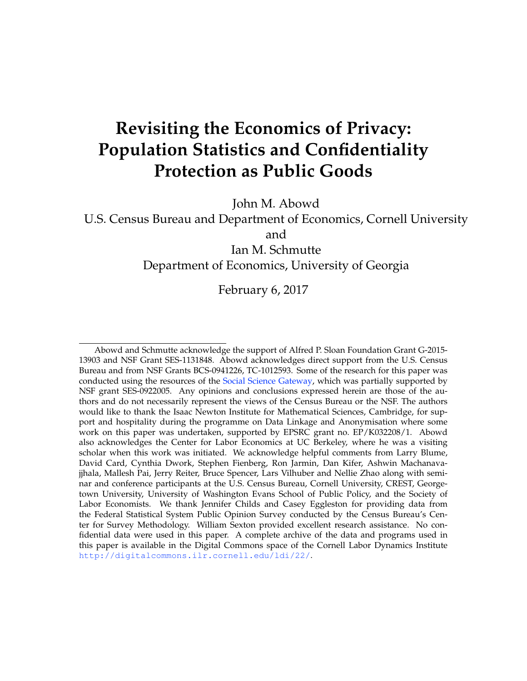# **Revisiting the Economics of Privacy: Population Statistics and Confidentiality Protection as Public Goods**

John M. Abowd

U.S. Census Bureau and Department of Economics, Cornell University and

Ian M. Schmutte Department of Economics, University of Georgia

February 6, 2017

Abowd and Schmutte acknowledge the support of Alfred P. Sloan Foundation Grant G-2015- 13903 and NSF Grant SES-1131848. Abowd acknowledges direct support from the U.S. Census Bureau and from NSF Grants BCS-0941226, TC-1012593. Some of the research for this paper was conducted using the resources of the [Social Science Gateway,](http://www2.vrdc.cornell.edu/news/social-science-gateway/) which was partially supported by NSF grant SES-0922005. Any opinions and conclusions expressed herein are those of the authors and do not necessarily represent the views of the Census Bureau or the NSF. The authors would like to thank the Isaac Newton Institute for Mathematical Sciences, Cambridge, for support and hospitality during the programme on Data Linkage and Anonymisation where some work on this paper was undertaken, supported by EPSRC grant no. EP/K032208/1. Abowd also acknowledges the Center for Labor Economics at UC Berkeley, where he was a visiting scholar when this work was initiated. We acknowledge helpful comments from Larry Blume, David Card, Cynthia Dwork, Stephen Fienberg, Ron Jarmin, Dan Kifer, Ashwin Machanavajjhala, Mallesh Pai, Jerry Reiter, Bruce Spencer, Lars Vilhuber and Nellie Zhao along with seminar and conference participants at the U.S. Census Bureau, Cornell University, CREST, Georgetown University, University of Washington Evans School of Public Policy, and the Society of Labor Economists. We thank Jennifer Childs and Casey Eggleston for providing data from the Federal Statistical System Public Opinion Survey conducted by the Census Bureau's Center for Survey Methodology. William Sexton provided excellent research assistance. No confidential data were used in this paper. A complete archive of the data and programs used in this paper is available in the Digital Commons space of the Cornell Labor Dynamics Institute <http://digitalcommons.ilr.cornell.edu/ldi/22/>.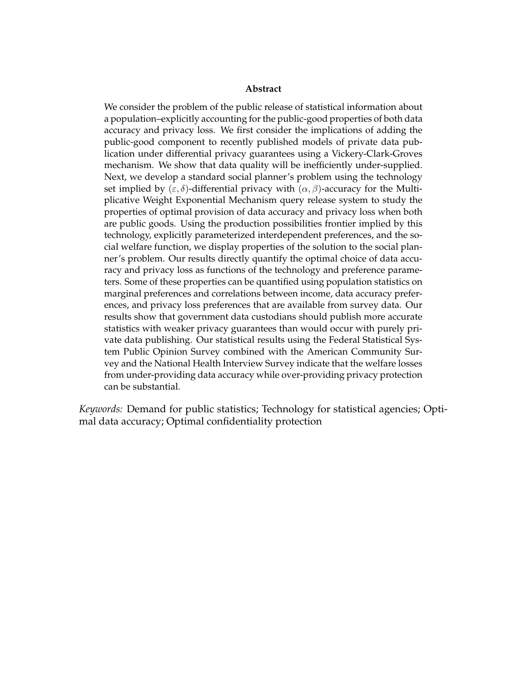#### **Abstract**

We consider the problem of the public release of statistical information about a population–explicitly accounting for the public-good properties of both data accuracy and privacy loss. We first consider the implications of adding the public-good component to recently published models of private data publication under differential privacy guarantees using a Vickery-Clark-Groves mechanism. We show that data quality will be inefficiently under-supplied. Next, we develop a standard social planner's problem using the technology set implied by  $(\varepsilon, \delta)$ -differential privacy with  $(\alpha, \beta)$ -accuracy for the Multiplicative Weight Exponential Mechanism query release system to study the properties of optimal provision of data accuracy and privacy loss when both are public goods. Using the production possibilities frontier implied by this technology, explicitly parameterized interdependent preferences, and the social welfare function, we display properties of the solution to the social planner's problem. Our results directly quantify the optimal choice of data accuracy and privacy loss as functions of the technology and preference parameters. Some of these properties can be quantified using population statistics on marginal preferences and correlations between income, data accuracy preferences, and privacy loss preferences that are available from survey data. Our results show that government data custodians should publish more accurate statistics with weaker privacy guarantees than would occur with purely private data publishing. Our statistical results using the Federal Statistical System Public Opinion Survey combined with the American Community Survey and the National Health Interview Survey indicate that the welfare losses from under-providing data accuracy while over-providing privacy protection can be substantial.

*Keywords:* Demand for public statistics; Technology for statistical agencies; Optimal data accuracy; Optimal confidentiality protection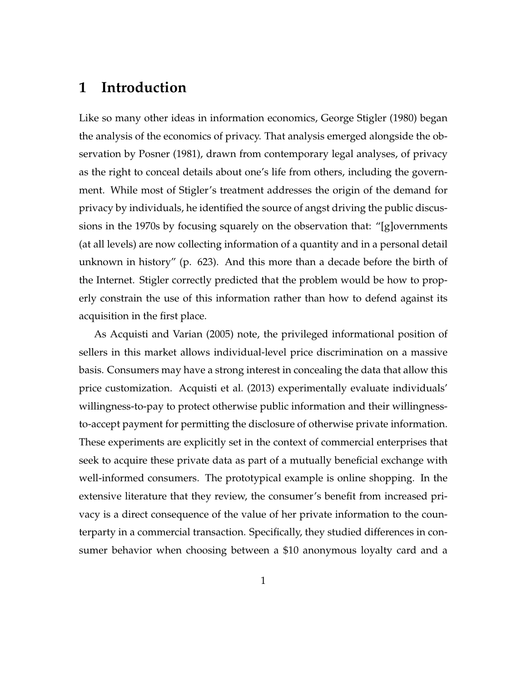## <span id="page-2-0"></span>**1 Introduction**

Like so many other ideas in information economics, George [Stigler](#page-60-0) [\(1980\)](#page-60-0) began the analysis of the economics of privacy. That analysis emerged alongside the observation by [Posner](#page-59-0) [\(1981\)](#page-59-0), drawn from contemporary legal analyses, of privacy as the right to conceal details about one's life from others, including the government. While most of Stigler's treatment addresses the origin of the demand for privacy by individuals, he identified the source of angst driving the public discussions in the 1970s by focusing squarely on the observation that: "[g]overnments (at all levels) are now collecting information of a quantity and in a personal detail unknown in history" (p. 623). And this more than a decade before the birth of the Internet. Stigler correctly predicted that the problem would be how to properly constrain the use of this information rather than how to defend against its acquisition in the first place.

As [Acquisti and Varian](#page-55-0) [\(2005\)](#page-55-0) note, the privileged informational position of sellers in this market allows individual-level price discrimination on a massive basis. Consumers may have a strong interest in concealing the data that allow this price customization. [Acquisti et al.](#page-55-1) [\(2013\)](#page-55-1) experimentally evaluate individuals' willingness-to-pay to protect otherwise public information and their willingnessto-accept payment for permitting the disclosure of otherwise private information. These experiments are explicitly set in the context of commercial enterprises that seek to acquire these private data as part of a mutually beneficial exchange with well-informed consumers. The prototypical example is online shopping. In the extensive literature that they review, the consumer's benefit from increased privacy is a direct consequence of the value of her private information to the counterparty in a commercial transaction. Specifically, they studied differences in consumer behavior when choosing between a \$10 anonymous loyalty card and a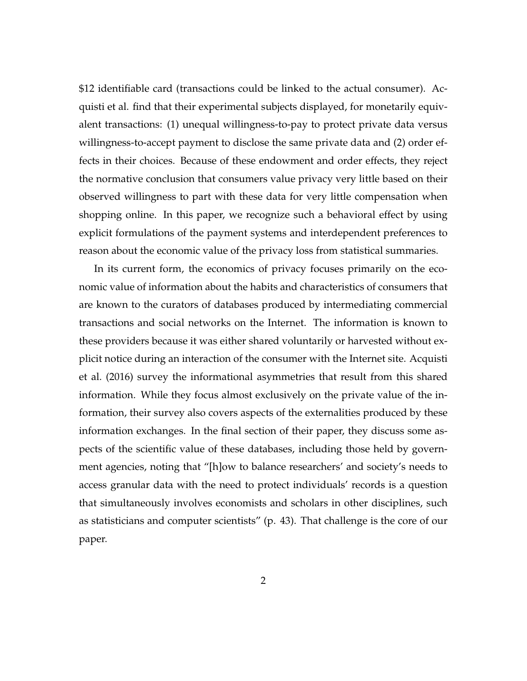\$12 identifiable card (transactions could be linked to the actual consumer). Acquisti et al. find that their experimental subjects displayed, for monetarily equivalent transactions: (1) unequal willingness-to-pay to protect private data versus willingness-to-accept payment to disclose the same private data and (2) order effects in their choices. Because of these endowment and order effects, they reject the normative conclusion that consumers value privacy very little based on their observed willingness to part with these data for very little compensation when shopping online. In this paper, we recognize such a behavioral effect by using explicit formulations of the payment systems and interdependent preferences to reason about the economic value of the privacy loss from statistical summaries.

In its current form, the economics of privacy focuses primarily on the economic value of information about the habits and characteristics of consumers that are known to the curators of databases produced by intermediating commercial transactions and social networks on the Internet. The information is known to these providers because it was either shared voluntarily or harvested without explicit notice during an interaction of the consumer with the Internet site. [Acquisti](#page-55-2) [et al.](#page-55-2) [\(2016\)](#page-55-2) survey the informational asymmetries that result from this shared information. While they focus almost exclusively on the private value of the information, their survey also covers aspects of the externalities produced by these information exchanges. In the final section of their paper, they discuss some aspects of the scientific value of these databases, including those held by government agencies, noting that "[h]ow to balance researchers' and society's needs to access granular data with the need to protect individuals' records is a question that simultaneously involves economists and scholars in other disciplines, such as statisticians and computer scientists" (p. 43). That challenge is the core of our paper.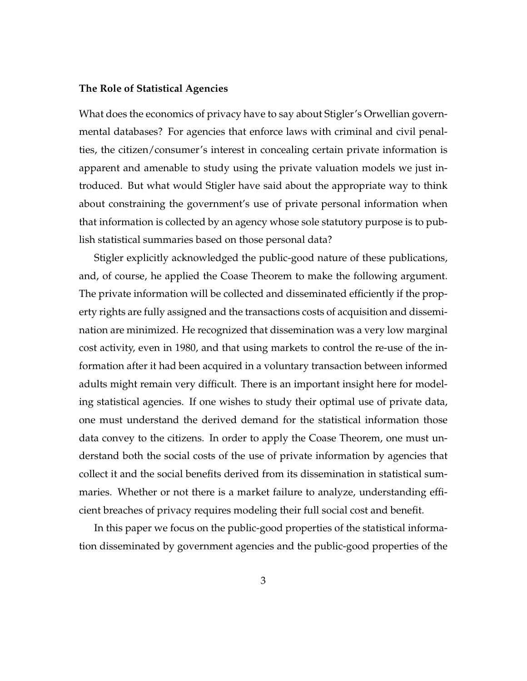#### **The Role of Statistical Agencies**

What does the economics of privacy have to say about Stigler's Orwellian governmental databases? For agencies that enforce laws with criminal and civil penalties, the citizen/consumer's interest in concealing certain private information is apparent and amenable to study using the private valuation models we just introduced. But what would Stigler have said about the appropriate way to think about constraining the government's use of private personal information when that information is collected by an agency whose sole statutory purpose is to publish statistical summaries based on those personal data?

Stigler explicitly acknowledged the public-good nature of these publications, and, of course, he applied the Coase Theorem to make the following argument. The private information will be collected and disseminated efficiently if the property rights are fully assigned and the transactions costs of acquisition and dissemination are minimized. He recognized that dissemination was a very low marginal cost activity, even in 1980, and that using markets to control the re-use of the information after it had been acquired in a voluntary transaction between informed adults might remain very difficult. There is an important insight here for modeling statistical agencies. If one wishes to study their optimal use of private data, one must understand the derived demand for the statistical information those data convey to the citizens. In order to apply the Coase Theorem, one must understand both the social costs of the use of private information by agencies that collect it and the social benefits derived from its dissemination in statistical summaries. Whether or not there is a market failure to analyze, understanding efficient breaches of privacy requires modeling their full social cost and benefit.

In this paper we focus on the public-good properties of the statistical information disseminated by government agencies and the public-good properties of the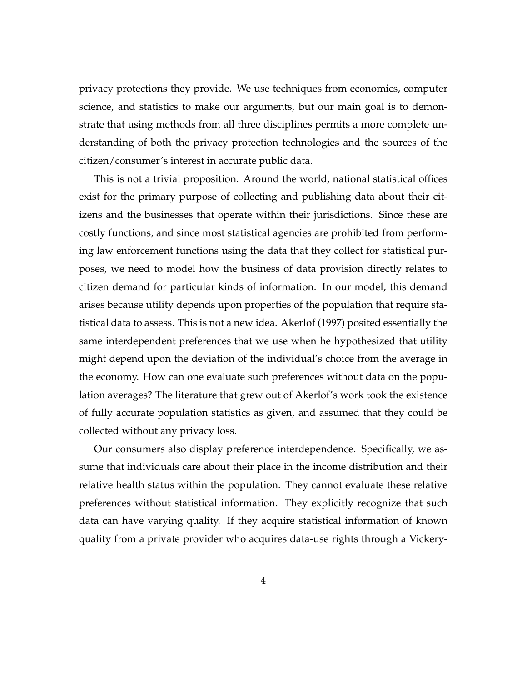privacy protections they provide. We use techniques from economics, computer science, and statistics to make our arguments, but our main goal is to demonstrate that using methods from all three disciplines permits a more complete understanding of both the privacy protection technologies and the sources of the citizen/consumer's interest in accurate public data.

This is not a trivial proposition. Around the world, national statistical offices exist for the primary purpose of collecting and publishing data about their citizens and the businesses that operate within their jurisdictions. Since these are costly functions, and since most statistical agencies are prohibited from performing law enforcement functions using the data that they collect for statistical purposes, we need to model how the business of data provision directly relates to citizen demand for particular kinds of information. In our model, this demand arises because utility depends upon properties of the population that require statistical data to assess. This is not a new idea. [Akerlof](#page-55-3) [\(1997\)](#page-55-3) posited essentially the same interdependent preferences that we use when he hypothesized that utility might depend upon the deviation of the individual's choice from the average in the economy. How can one evaluate such preferences without data on the population averages? The literature that grew out of Akerlof's work took the existence of fully accurate population statistics as given, and assumed that they could be collected without any privacy loss.

Our consumers also display preference interdependence. Specifically, we assume that individuals care about their place in the income distribution and their relative health status within the population. They cannot evaluate these relative preferences without statistical information. They explicitly recognize that such data can have varying quality. If they acquire statistical information of known quality from a private provider who acquires data-use rights through a Vickery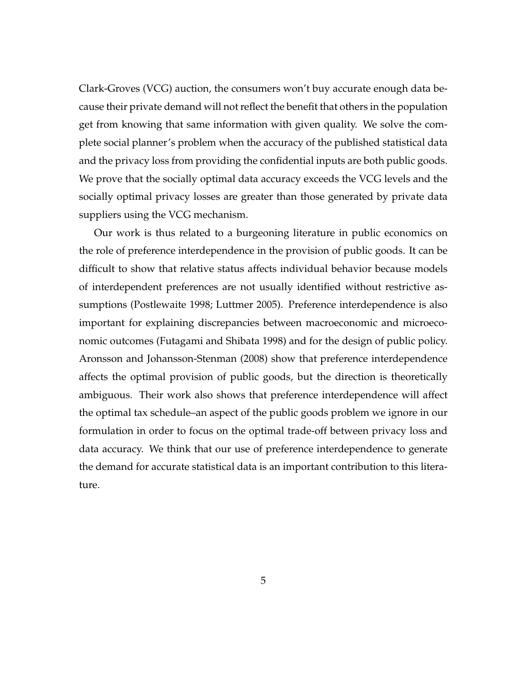Clark-Groves (VCG) auction, the consumers won't buy accurate enough data because their private demand will not reflect the benefit that others in the population get from knowing that same information with given quality. We solve the complete social planner's problem when the accuracy of the published statistical data and the privacy loss from providing the confidential inputs are both public goods. We prove that the socially optimal data accuracy exceeds the VCG levels and the socially optimal privacy losses are greater than those generated by private data suppliers using the VCG mechanism.

Our work is thus related to a burgeoning literature in public economics on the role of preference interdependence in the provision of public goods. It can be difficult to show that relative status affects individual behavior because models of interdependent preferences are not usually identified without restrictive assumptions [\(Postlewaite](#page-59-1) [1998;](#page-59-1) [Luttmer](#page-59-2) [2005\)](#page-59-2). Preference interdependence is also important for explaining discrepancies between macroeconomic and microeconomic outcomes [\(Futagami and Shibata](#page-58-0) [1998\)](#page-58-0) and for the design of public policy. [Aronsson and Johansson-Stenman](#page-55-4) [\(2008\)](#page-55-4) show that preference interdependence affects the optimal provision of public goods, but the direction is theoretically ambiguous. Their work also shows that preference interdependence will affect the optimal tax schedule–an aspect of the public goods problem we ignore in our formulation in order to focus on the optimal trade-off between privacy loss and data accuracy. We think that our use of preference interdependence to generate the demand for accurate statistical data is an important contribution to this literature.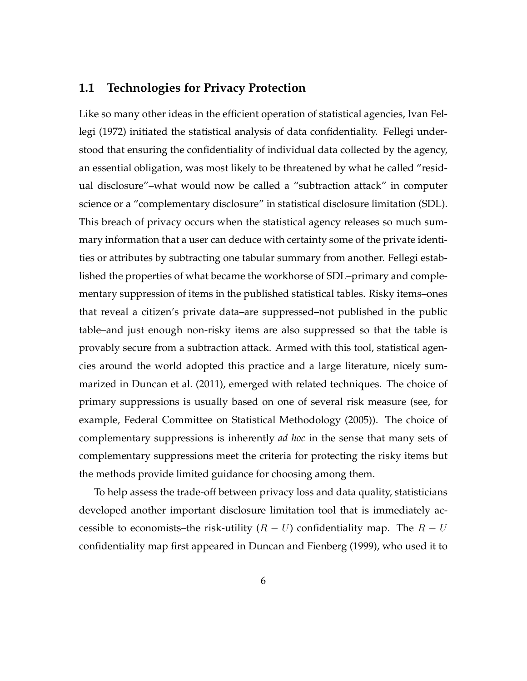## **1.1 Technologies for Privacy Protection**

Like so many other ideas in the efficient operation of statistical agencies, Ivan [Fel](#page-58-1)[legi](#page-58-1) [\(1972\)](#page-58-1) initiated the statistical analysis of data confidentiality. Fellegi understood that ensuring the confidentiality of individual data collected by the agency, an essential obligation, was most likely to be threatened by what he called "residual disclosure"–what would now be called a "subtraction attack" in computer science or a "complementary disclosure" in statistical disclosure limitation (SDL). This breach of privacy occurs when the statistical agency releases so much summary information that a user can deduce with certainty some of the private identities or attributes by subtracting one tabular summary from another. Fellegi established the properties of what became the workhorse of SDL–primary and complementary suppression of items in the published statistical tables. Risky items–ones that reveal a citizen's private data–are suppressed–not published in the public table–and just enough non-risky items are also suppressed so that the table is provably secure from a subtraction attack. Armed with this tool, statistical agencies around the world adopted this practice and a large literature, nicely summarized in [Duncan et al.](#page-57-0) [\(2011\)](#page-57-0), emerged with related techniques. The choice of primary suppressions is usually based on one of several risk measure (see, for example, [Federal Committee on Statistical Methodology](#page-58-2) [\(2005\)](#page-58-2)). The choice of complementary suppressions is inherently *ad hoc* in the sense that many sets of complementary suppressions meet the criteria for protecting the risky items but the methods provide limited guidance for choosing among them.

To help assess the trade-off between privacy loss and data quality, statisticians developed another important disclosure limitation tool that is immediately accessible to economists–the risk-utility  $(R - U)$  confidentiality map. The  $R - U$ confidentiality map first appeared in [Duncan and Fienberg](#page-57-1) [\(1999\)](#page-57-1), who used it to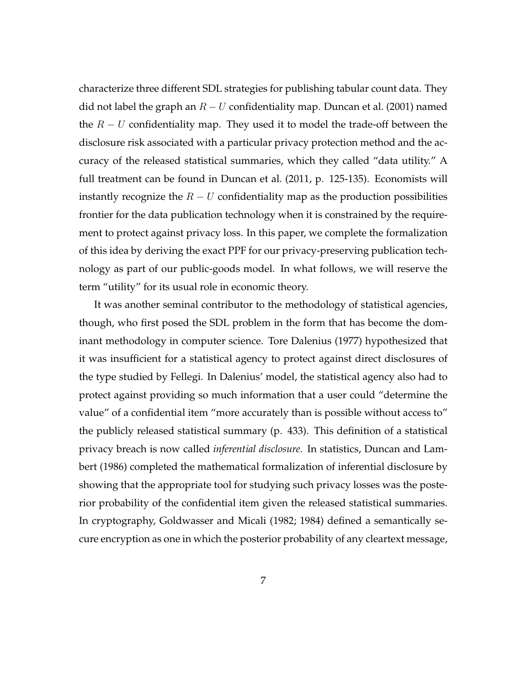characterize three different SDL strategies for publishing tabular count data. They did not label the graph an  $R - U$  confidentiality map. [Duncan et al.](#page-56-0) [\(2001\)](#page-56-0) named the  $R-U$  confidentiality map. They used it to model the trade-off between the disclosure risk associated with a particular privacy protection method and the accuracy of the released statistical summaries, which they called "data utility." A full treatment can be found in [Duncan et al.](#page-57-0) [\(2011,](#page-57-0) p. 125-135). Economists will instantly recognize the  $R - U$  confidentiality map as the production possibilities frontier for the data publication technology when it is constrained by the requirement to protect against privacy loss. In this paper, we complete the formalization of this idea by deriving the exact PPF for our privacy-preserving publication technology as part of our public-goods model. In what follows, we will reserve the term "utility" for its usual role in economic theory.

It was another seminal contributor to the methodology of statistical agencies, though, who first posed the SDL problem in the form that has become the dominant methodology in computer science. Tore [Dalenius](#page-56-1) [\(1977\)](#page-56-1) hypothesized that it was insufficient for a statistical agency to protect against direct disclosures of the type studied by Fellegi. In Dalenius' model, the statistical agency also had to protect against providing so much information that a user could "determine the value" of a confidential item "more accurately than is possible without access to" the publicly released statistical summary (p. 433). This definition of a statistical privacy breach is now called *inferential disclosure*. In statistics, [Duncan and Lam](#page-57-2)[bert](#page-57-2) [\(1986\)](#page-57-2) completed the mathematical formalization of inferential disclosure by showing that the appropriate tool for studying such privacy losses was the posterior probability of the confidential item given the released statistical summaries. In cryptography, [Goldwasser and Micali](#page-58-3) [\(1982;](#page-58-3) [1984\)](#page-58-4) defined a semantically secure encryption as one in which the posterior probability of any cleartext message,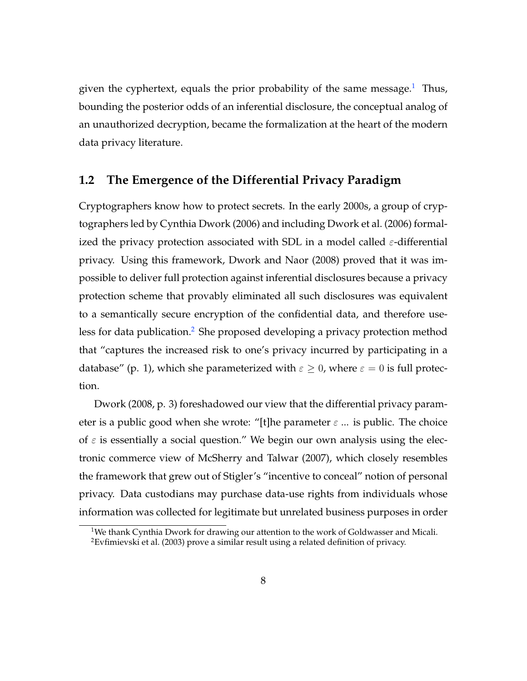given the cyphertext, equals the prior probability of the same message.<sup>[1](#page-9-0)</sup> Thus, bounding the posterior odds of an inferential disclosure, the conceptual analog of an unauthorized decryption, became the formalization at the heart of the modern data privacy literature.

### **1.2 The Emergence of the Differential Privacy Paradigm**

Cryptographers know how to protect secrets. In the early 2000s, a group of cryptographers led by Cynthia [Dwork](#page-57-3) [\(2006\)](#page-57-3) and including [Dwork et al.](#page-57-4) [\(2006\)](#page-57-4) formalized the privacy protection associated with SDL in a model called  $\varepsilon$ -differential privacy. Using this framework, [Dwork and Naor](#page-57-5) [\(2008\)](#page-57-5) proved that it was impossible to deliver full protection against inferential disclosures because a privacy protection scheme that provably eliminated all such disclosures was equivalent to a semantically secure encryption of the confidential data, and therefore use-less for data publication.<sup>[2](#page-9-1)</sup> She proposed developing a privacy protection method that "captures the increased risk to one's privacy incurred by participating in a database" (p. 1), which she parameterized with  $\varepsilon \geq 0$ , where  $\varepsilon = 0$  is full protection.

[Dwork](#page-57-6) [\(2008,](#page-57-6) p. 3) foreshadowed our view that the differential privacy parameter is a public good when she wrote: "[t]he parameter  $\varepsilon$  ... is public. The choice of  $\varepsilon$  is essentially a social question." We begin our own analysis using the electronic commerce view of [McSherry and Talwar](#page-59-3) [\(2007\)](#page-59-3), which closely resembles the framework that grew out of Stigler's "incentive to conceal" notion of personal privacy. Data custodians may purchase data-use rights from individuals whose information was collected for legitimate but unrelated business purposes in order

<span id="page-9-1"></span><span id="page-9-0"></span><sup>&</sup>lt;sup>1</sup>We thank Cynthia Dwork for drawing our attention to the work of Goldwasser and Micali. <sup>2</sup>[Evfimievski et al.](#page-57-7) [\(2003\)](#page-57-7) prove a similar result using a related definition of privacy.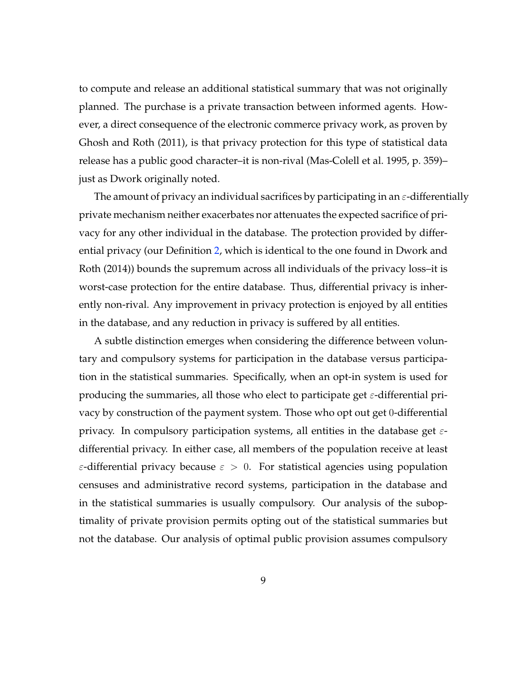to compute and release an additional statistical summary that was not originally planned. The purchase is a private transaction between informed agents. However, a direct consequence of the electronic commerce privacy work, as proven by [Ghosh and Roth](#page-58-5) [\(2011\)](#page-58-5), is that privacy protection for this type of statistical data release has a public good character–it is non-rival [\(Mas-Colell et al.](#page-59-4) [1995,](#page-59-4) p. 359)– just as Dwork originally noted.

The amount of privacy an individual sacrifices by participating in an  $\varepsilon$ -differentially private mechanism neither exacerbates nor attenuates the expected sacrifice of privacy for any other individual in the database. The protection provided by differential privacy (our Definition [2,](#page-19-0) which is identical to the one found in [Dwork and](#page-57-8) [Roth](#page-57-8) [\(2014\)](#page-57-8)) bounds the supremum across all individuals of the privacy loss–it is worst-case protection for the entire database. Thus, differential privacy is inherently non-rival. Any improvement in privacy protection is enjoyed by all entities in the database, and any reduction in privacy is suffered by all entities.

A subtle distinction emerges when considering the difference between voluntary and compulsory systems for participation in the database versus participation in the statistical summaries. Specifically, when an opt-in system is used for producing the summaries, all those who elect to participate get  $\varepsilon$ -differential privacy by construction of the payment system. Those who opt out get 0-differential privacy. In compulsory participation systems, all entities in the database get  $\varepsilon$ differential privacy. In either case, all members of the population receive at least  $\varepsilon$ -differential privacy because  $\varepsilon > 0$ . For statistical agencies using population censuses and administrative record systems, participation in the database and in the statistical summaries is usually compulsory. Our analysis of the suboptimality of private provision permits opting out of the statistical summaries but not the database. Our analysis of optimal public provision assumes compulsory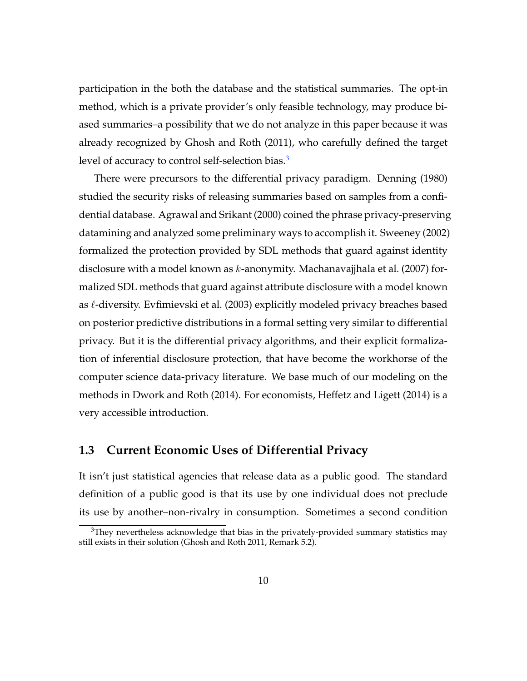participation in the both the database and the statistical summaries. The opt-in method, which is a private provider's only feasible technology, may produce biased summaries–a possibility that we do not analyze in this paper because it was already recognized by [Ghosh and Roth](#page-58-5) [\(2011\)](#page-58-5), who carefully defined the target level of accuracy to control self-selection bias.<sup>[3](#page-11-0)</sup>

There were precursors to the differential privacy paradigm. [Denning](#page-56-2) [\(1980\)](#page-56-2) studied the security risks of releasing summaries based on samples from a confidential database. [Agrawal and Srikant](#page-55-5) [\(2000\)](#page-55-5) coined the phrase privacy-preserving datamining and analyzed some preliminary ways to accomplish it. [Sweeney](#page-60-1) [\(2002\)](#page-60-1) formalized the protection provided by SDL methods that guard against identity disclosure with a model known as  $k$ -anonymity. [Machanavajjhala et al.](#page-59-5) [\(2007\)](#page-59-5) formalized SDL methods that guard against attribute disclosure with a model known as  $\ell$ -diversity. [Evfimievski et al.](#page-57-7) [\(2003\)](#page-57-7) explicitly modeled privacy breaches based on posterior predictive distributions in a formal setting very similar to differential privacy. But it is the differential privacy algorithms, and their explicit formalization of inferential disclosure protection, that have become the workhorse of the computer science data-privacy literature. We base much of our modeling on the methods in [Dwork and Roth](#page-57-8) [\(2014\)](#page-57-8). For economists, [Heffetz and Ligett](#page-59-6) [\(2014\)](#page-59-6) is a very accessible introduction.

## **1.3 Current Economic Uses of Differential Privacy**

It isn't just statistical agencies that release data as a public good. The standard definition of a public good is that its use by one individual does not preclude its use by another–non-rivalry in consumption. Sometimes a second condition

<span id="page-11-0"></span> $3$ They nevertheless acknowledge that bias in the privately-provided summary statistics may still exists in their solution [\(Ghosh and Roth](#page-58-5) [2011,](#page-58-5) Remark 5.2).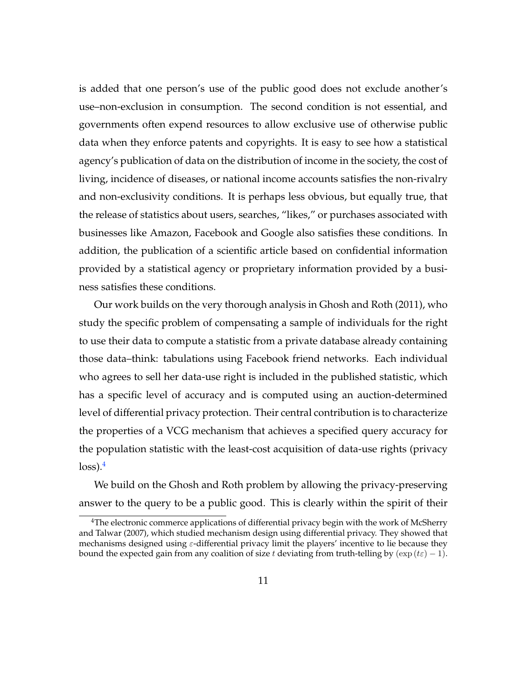is added that one person's use of the public good does not exclude another's use–non-exclusion in consumption. The second condition is not essential, and governments often expend resources to allow exclusive use of otherwise public data when they enforce patents and copyrights. It is easy to see how a statistical agency's publication of data on the distribution of income in the society, the cost of living, incidence of diseases, or national income accounts satisfies the non-rivalry and non-exclusivity conditions. It is perhaps less obvious, but equally true, that the release of statistics about users, searches, "likes," or purchases associated with businesses like Amazon, Facebook and Google also satisfies these conditions. In addition, the publication of a scientific article based on confidential information provided by a statistical agency or proprietary information provided by a business satisfies these conditions.

Our work builds on the very thorough analysis in [Ghosh and Roth](#page-58-5) [\(2011\)](#page-58-5), who study the specific problem of compensating a sample of individuals for the right to use their data to compute a statistic from a private database already containing those data–think: tabulations using Facebook friend networks. Each individual who agrees to sell her data-use right is included in the published statistic, which has a specific level of accuracy and is computed using an auction-determined level of differential privacy protection. Their central contribution is to characterize the properties of a VCG mechanism that achieves a specified query accuracy for the population statistic with the least-cost acquisition of data-use rights (privacy  $loss).<sup>4</sup>$  $loss).<sup>4</sup>$  $loss).<sup>4</sup>$ 

We build on the Ghosh and Roth problem by allowing the privacy-preserving answer to the query to be a public good. This is clearly within the spirit of their

<span id="page-12-0"></span><sup>&</sup>lt;sup>4</sup>The electronic commerce applications of differential privacy begin with the work of [McSherry](#page-59-3) [and Talwar](#page-59-3) [\(2007\)](#page-59-3), which studied mechanism design using differential privacy. They showed that mechanisms designed using  $\varepsilon$ -differential privacy limit the players' incentive to lie because they bound the expected gain from any coalition of size t deviating from truth-telling by  $(\exp (tz) - 1)$ .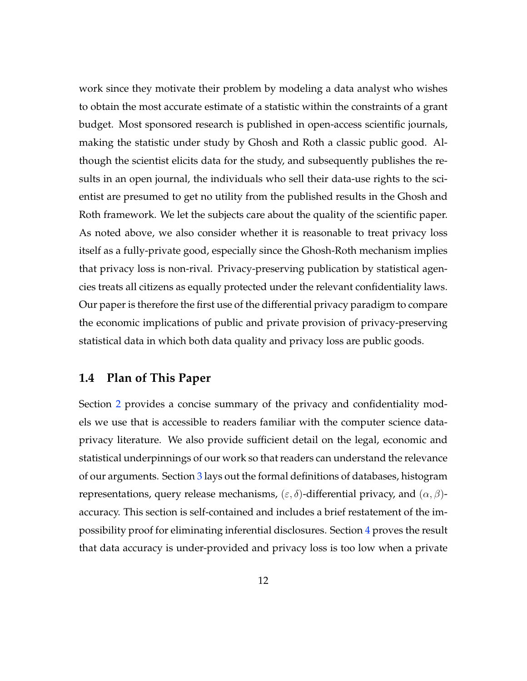work since they motivate their problem by modeling a data analyst who wishes to obtain the most accurate estimate of a statistic within the constraints of a grant budget. Most sponsored research is published in open-access scientific journals, making the statistic under study by Ghosh and Roth a classic public good. Although the scientist elicits data for the study, and subsequently publishes the results in an open journal, the individuals who sell their data-use rights to the scientist are presumed to get no utility from the published results in the Ghosh and Roth framework. We let the subjects care about the quality of the scientific paper. As noted above, we also consider whether it is reasonable to treat privacy loss itself as a fully-private good, especially since the Ghosh-Roth mechanism implies that privacy loss is non-rival. Privacy-preserving publication by statistical agencies treats all citizens as equally protected under the relevant confidentiality laws. Our paper is therefore the first use of the differential privacy paradigm to compare the economic implications of public and private provision of privacy-preserving statistical data in which both data quality and privacy loss are public goods.

## **1.4 Plan of This Paper**

Section [2](#page-14-0) provides a concise summary of the privacy and confidentiality models we use that is accessible to readers familiar with the computer science dataprivacy literature. We also provide sufficient detail on the legal, economic and statistical underpinnings of our work so that readers can understand the relevance of our arguments. Section [3](#page-16-0) lays out the formal definitions of databases, histogram representations, query release mechanisms,  $(\varepsilon, \delta)$ -differential privacy, and  $(\alpha, \beta)$ accuracy. This section is self-contained and includes a brief restatement of the impossibility proof for eliminating inferential disclosures. Section [4](#page-21-0) proves the result that data accuracy is under-provided and privacy loss is too low when a private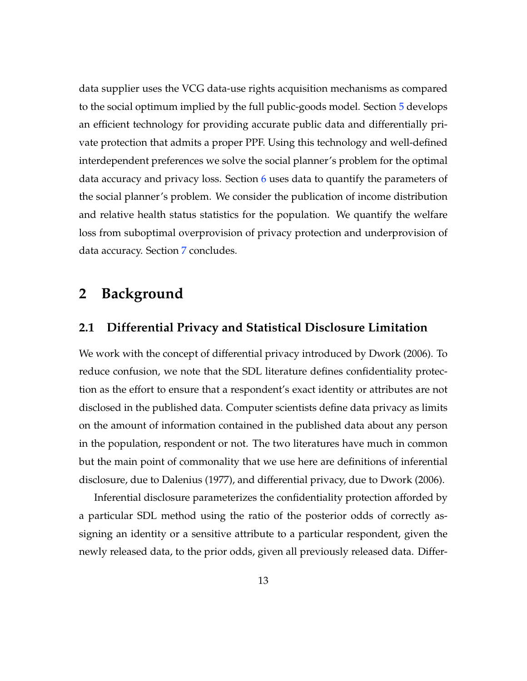data supplier uses the VCG data-use rights acquisition mechanisms as compared to the social optimum implied by the full public-goods model. Section [5](#page-30-0) develops an efficient technology for providing accurate public data and differentially private protection that admits a proper PPF. Using this technology and well-defined interdependent preferences we solve the social planner's problem for the optimal data accuracy and privacy loss. Section  $6$  uses data to quantify the parameters of the social planner's problem. We consider the publication of income distribution and relative health status statistics for the population. We quantify the welfare loss from suboptimal overprovision of privacy protection and underprovision of data accuracy. Section [7](#page-52-0) concludes.

## <span id="page-14-0"></span>**2 Background**

### <span id="page-14-1"></span>**2.1 Differential Privacy and Statistical Disclosure Limitation**

We work with the concept of differential privacy introduced by [Dwork](#page-57-3) [\(2006\)](#page-57-3). To reduce confusion, we note that the SDL literature defines confidentiality protection as the effort to ensure that a respondent's exact identity or attributes are not disclosed in the published data. Computer scientists define data privacy as limits on the amount of information contained in the published data about any person in the population, respondent or not. The two literatures have much in common but the main point of commonality that we use here are definitions of inferential disclosure, due to [Dalenius](#page-56-1) [\(1977\)](#page-56-1), and differential privacy, due to [Dwork](#page-57-3) [\(2006\)](#page-57-3).

Inferential disclosure parameterizes the confidentiality protection afforded by a particular SDL method using the ratio of the posterior odds of correctly assigning an identity or a sensitive attribute to a particular respondent, given the newly released data, to the prior odds, given all previously released data. Differ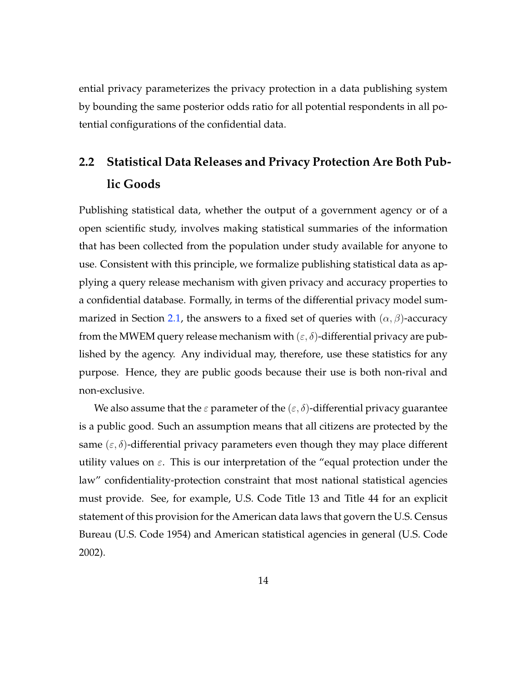ential privacy parameterizes the privacy protection in a data publishing system by bounding the same posterior odds ratio for all potential respondents in all potential configurations of the confidential data.

# **2.2 Statistical Data Releases and Privacy Protection Are Both Public Goods**

Publishing statistical data, whether the output of a government agency or of a open scientific study, involves making statistical summaries of the information that has been collected from the population under study available for anyone to use. Consistent with this principle, we formalize publishing statistical data as applying a query release mechanism with given privacy and accuracy properties to a confidential database. Formally, in terms of the differential privacy model sum-marized in Section [2.1,](#page-14-1) the answers to a fixed set of queries with  $(\alpha, \beta)$ -accuracy from the MWEM query release mechanism with  $(\varepsilon, \delta)$ -differential privacy are published by the agency. Any individual may, therefore, use these statistics for any purpose. Hence, they are public goods because their use is both non-rival and non-exclusive.

We also assume that the  $\varepsilon$  parameter of the  $(\varepsilon, \delta)$ -differential privacy guarantee is a public good. Such an assumption means that all citizens are protected by the same  $(\varepsilon, \delta)$ -differential privacy parameters even though they may place different utility values on  $\varepsilon$ . This is our interpretation of the "equal protection under the law" confidentiality-protection constraint that most national statistical agencies must provide. See, for example, U.S. Code Title 13 and Title 44 for an explicit statement of this provision for the American data laws that govern the U.S. Census Bureau [\(U.S. Code](#page-60-2) [1954\)](#page-60-2) and American statistical agencies in general [\(U.S. Code](#page-60-3) [2002\)](#page-60-3).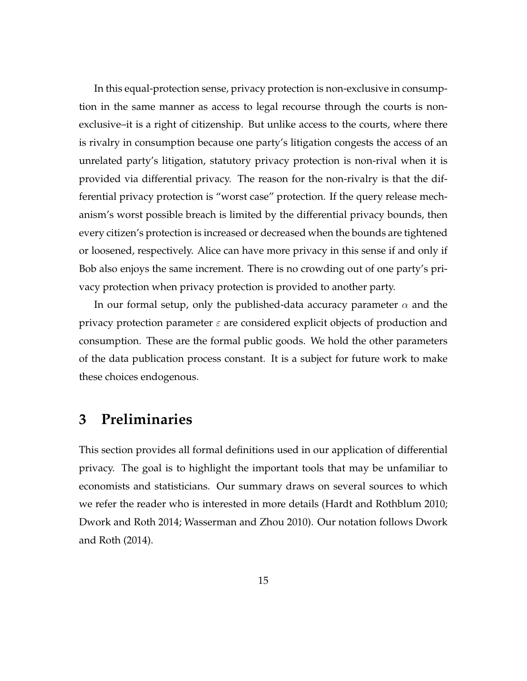In this equal-protection sense, privacy protection is non-exclusive in consumption in the same manner as access to legal recourse through the courts is nonexclusive–it is a right of citizenship. But unlike access to the courts, where there is rivalry in consumption because one party's litigation congests the access of an unrelated party's litigation, statutory privacy protection is non-rival when it is provided via differential privacy. The reason for the non-rivalry is that the differential privacy protection is "worst case" protection. If the query release mechanism's worst possible breach is limited by the differential privacy bounds, then every citizen's protection is increased or decreased when the bounds are tightened or loosened, respectively. Alice can have more privacy in this sense if and only if Bob also enjoys the same increment. There is no crowding out of one party's privacy protection when privacy protection is provided to another party.

In our formal setup, only the published-data accuracy parameter  $\alpha$  and the privacy protection parameter  $\varepsilon$  are considered explicit objects of production and consumption. These are the formal public goods. We hold the other parameters of the data publication process constant. It is a subject for future work to make these choices endogenous.

## <span id="page-16-0"></span>**3 Preliminaries**

This section provides all formal definitions used in our application of differential privacy. The goal is to highlight the important tools that may be unfamiliar to economists and statisticians. Our summary draws on several sources to which we refer the reader who is interested in more details [\(Hardt and Rothblum](#page-58-6) [2010;](#page-58-6) [Dwork and Roth](#page-57-8) [2014;](#page-57-8) [Wasserman and Zhou](#page-60-4) [2010\)](#page-60-4). Our notation follows [Dwork](#page-57-8) [and Roth](#page-57-8) [\(2014\)](#page-57-8).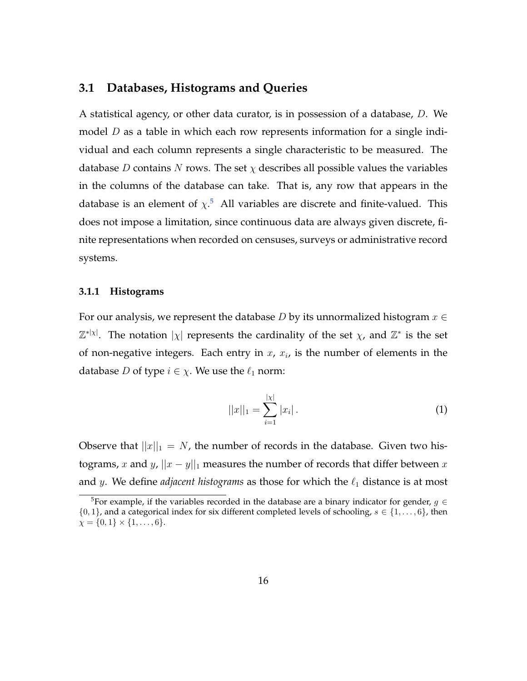## **3.1 Databases, Histograms and Queries**

A statistical agency, or other data curator, is in possession of a database, D. We model  $D$  as a table in which each row represents information for a single individual and each column represents a single characteristic to be measured. The database D contains N rows. The set  $\chi$  describes all possible values the variables in the columns of the database can take. That is, any row that appears in the database is an element of  $\chi$ <sup>[5](#page-17-0)</sup> All variables are discrete and finite-valued. This does not impose a limitation, since continuous data are always given discrete, finite representations when recorded on censuses, surveys or administrative record systems.

#### **3.1.1 Histograms**

For our analysis, we represent the database D by its unnormalized histogram  $x \in$  $\mathbb{Z}^{*}$ | $\chi$ |. The notation  $|\chi|$  represents the cardinality of the set  $\chi$ , and  $\mathbb{Z}^{*}$  is the set of non-negative integers. Each entry in  $x$ ,  $x_i$ , is the number of elements in the database *D* of type  $i \in \chi$ . We use the  $\ell_1$  norm:

$$
||x||_1 = \sum_{i=1}^{|x|} |x_i| \,.
$$
 (1)

Observe that  $||x||_1 = N$ , the number of records in the database. Given two histograms, x and y,  $||x - y||_1$  measures the number of records that differ between x and y. We define *adjacent histograms* as those for which the  $\ell_1$  distance is at most

<span id="page-17-0"></span><sup>&</sup>lt;sup>5</sup>For example, if the variables recorded in the database are a binary indicator for gender,  $g \in$  $\{0, 1\}$ , and a categorical index for six different completed levels of schooling,  $s \in \{1, \ldots, 6\}$ , then  $\chi = \{0, 1\} \times \{1, \ldots, 6\}.$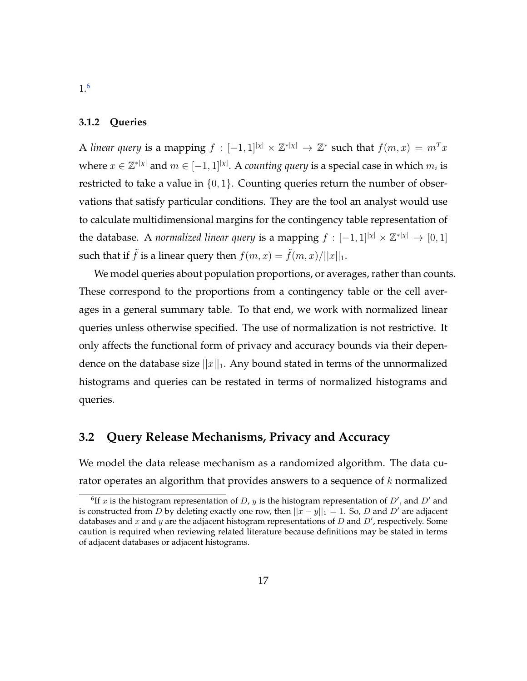#### **3.1.2 Queries**

A *linear query* is a mapping  $f : [-1,1]^{|\chi|} \times \mathbb{Z}^{*|\chi|} \to \mathbb{Z}^{*}$  such that  $f(m,x) = m^{T}x$ where  $x \in \mathbb{Z}^{*|\chi|}$  and  $m \in [-1,1]^{|\chi|}$ . A *counting query* is a special case in which  $m_i$  is restricted to take a value in  $\{0, 1\}$ . Counting queries return the number of observations that satisfy particular conditions. They are the tool an analyst would use to calculate multidimensional margins for the contingency table representation of the database. A *normalized linear query* is a mapping  $f : [-1,1]^{|\chi|} \times \mathbb{Z}^{*|\chi|} \to [0,1]$ such that if  $\tilde{f}$  is a linear query then  $f(m, x) = \tilde{f}(m, x)/||x||_1$ .

We model queries about population proportions, or averages, rather than counts. These correspond to the proportions from a contingency table or the cell averages in a general summary table. To that end, we work with normalized linear queries unless otherwise specified. The use of normalization is not restrictive. It only affects the functional form of privacy and accuracy bounds via their dependence on the database size  $||x||_1$ . Any bound stated in terms of the unnormalized histograms and queries can be restated in terms of normalized histograms and queries.

## **3.2 Query Release Mechanisms, Privacy and Accuracy**

We model the data release mechanism as a randomized algorithm. The data curator operates an algorithm that provides answers to a sequence of  $k$  normalized

<span id="page-18-0"></span><sup>&</sup>lt;sup>6</sup>If x is the histogram representation of D, y is the histogram representation of D', and D' and is constructed from D by deleting exactly one row, then  $||x - y||_1 = 1$ . So, D and D' are adjacent databases and x and y are the adjacent histogram representations of D and  $D'$ , respectively. Some caution is required when reviewing related literature because definitions may be stated in terms of adjacent databases or adjacent histograms.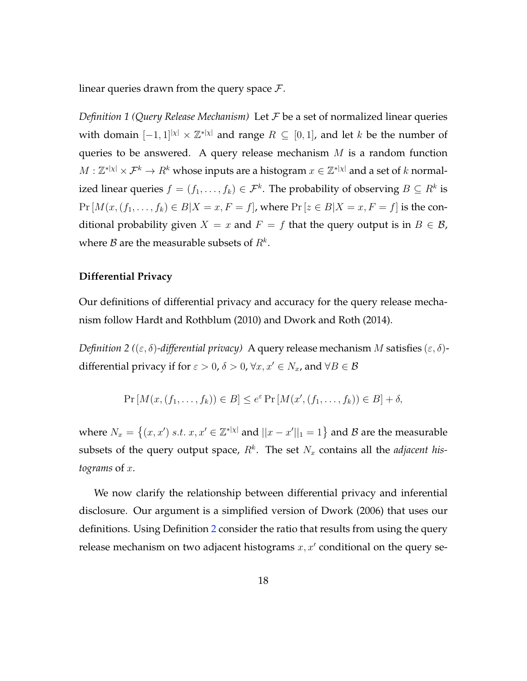linear queries drawn from the query space  $\mathcal{F}$ .

*Definition 1 (Query Release Mechanism)* Let F be a set of normalized linear queries with domain  $[-1,1]^{|\chi|} \times \mathbb{Z}^{*|\chi|}$  and range  $R \subseteq [0,1]$ , and let k be the number of queries to be answered. A query release mechanism  $M$  is a random function  $M: \mathbb{Z}^{*|\chi|} \times \mathcal{F}^k \to R^k$  whose inputs are a histogram  $x \in \mathbb{Z}^{*|\chi|}$  and a set of  $k$  normalized linear queries  $f = (f_1, \ldots, f_k) \in \mathcal{F}^k$ . The probability of observing  $B \subseteq R^k$  is  $Pr[M(x,(f_1,\ldots,f_k) \in B | X = x, F = f]$ , where  $Pr[z \in B | X = x, F = f]$  is the conditional probability given  $X = x$  and  $F = f$  that the query output is in  $B \in \mathcal{B}$ , where  ${\cal B}$  are the measurable subsets of  $R^k.$ 

#### **Differential Privacy**

Our definitions of differential privacy and accuracy for the query release mechanism follow [Hardt and Rothblum](#page-58-6) [\(2010\)](#page-58-6) and [Dwork and Roth](#page-57-8) [\(2014\)](#page-57-8).

<span id="page-19-0"></span>*Definition 2* (( $\varepsilon$ ,  $\delta$ )-differential privacy) A query release mechanism M satisfies ( $\varepsilon$ ,  $\delta$ )differential privacy if for  $\varepsilon > 0$ ,  $\delta > 0$ ,  $\forall x, x' \in N_x$ , and  $\forall B \in \mathcal{B}$ 

$$
\Pr\left[M(x,(f_1,\ldots,f_k))\in B\right]\leq e^{\varepsilon}\Pr\left[M(x',(f_1,\ldots,f_k))\in B\right]+\delta,
$$

where  $N_x = \{(x, x') \ s.t. \ x, x' \in \mathbb{Z}^{*|x|} \text{ and } ||x - x'||_1 = 1\}$  and  $\mathcal{B}$  are the measurable subsets of the query output space,  $R^k$ . The set  $N_x$  contains all the *adjacent histograms* of x.

We now clarify the relationship between differential privacy and inferential disclosure. Our argument is a simplified version of [Dwork](#page-57-3) [\(2006\)](#page-57-3) that uses our definitions. Using Definition [2](#page-19-0) consider the ratio that results from using the query release mechanism on two adjacent histograms  $x, x'$  conditional on the query se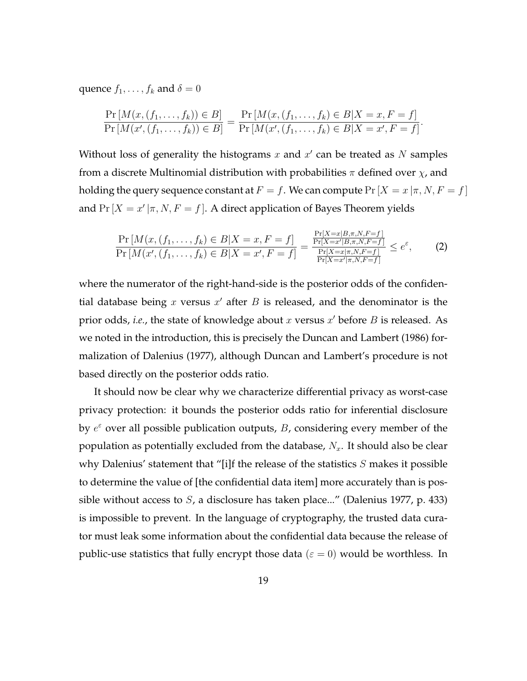quence  $f_1, \ldots, f_k$  and  $\delta = 0$ 

$$
\frac{\Pr\left[M(x,(f_1,\ldots,f_k))\in B\right]}{\Pr\left[M(x',(f_1,\ldots,f_k))\in B\right]} = \frac{\Pr\left[M(x,(f_1,\ldots,f_k)\in B|X=x,F=f\right]}{\Pr\left[M(x',(f_1,\ldots,f_k)\in B|X=x',F=f\right]}.
$$

Without loss of generality the histograms  $x$  and  $x'$  can be treated as  $N$  samples from a discrete Multinomial distribution with probabilities  $\pi$  defined over  $\chi$ , and holding the query sequence constant at  $F = f$ . We can compute  $Pr[X = x | \pi, N, F = f]$ and  $Pr[X = x' | \pi, N, F = f]$ . A direct application of Bayes Theorem yields

$$
\frac{\Pr\left[M(x,(f_1,\ldots,f_k)\in B|X=x,F=f\right]}{\Pr\left[M(x',(f_1,\ldots,f_k)\in B|X=x',F=f\right]} = \frac{\frac{\Pr[X=x|B,\pi,N,F=f]}{\Pr[X=x'|B,\pi,N,F=f]}}{\frac{\Pr[X=x|\pi,N,F=f]}{\Pr[X=x'|\pi,N,F=f]}} \le e^{\varepsilon},\tag{2}
$$

where the numerator of the right-hand-side is the posterior odds of the confidential database being  $x$  versus  $x'$  after  $B$  is released, and the denominator is the prior odds, *i.e.*, the state of knowledge about  $x$  versus  $x'$  before  $B$  is released. As we noted in the introduction, this is precisely the [Duncan and Lambert](#page-57-2) [\(1986\)](#page-57-2) formalization of [Dalenius](#page-56-1) [\(1977\)](#page-56-1), although Duncan and Lambert's procedure is not based directly on the posterior odds ratio.

It should now be clear why we characterize differential privacy as worst-case privacy protection: it bounds the posterior odds ratio for inferential disclosure by  $e^{\varepsilon}$  over all possible publication outputs, B, considering every member of the population as potentially excluded from the database,  $N_x$ . It should also be clear why Dalenius' statement that "[i]f the release of the statistics  $S$  makes it possible to determine the value of [the confidential data item] more accurately than is possible without access to  $S$ , a disclosure has taken place..." [\(Dalenius](#page-56-1) [1977,](#page-56-1) p. 433) is impossible to prevent. In the language of cryptography, the trusted data curator must leak some information about the confidential data because the release of public-use statistics that fully encrypt those data ( $\varepsilon = 0$ ) would be worthless. In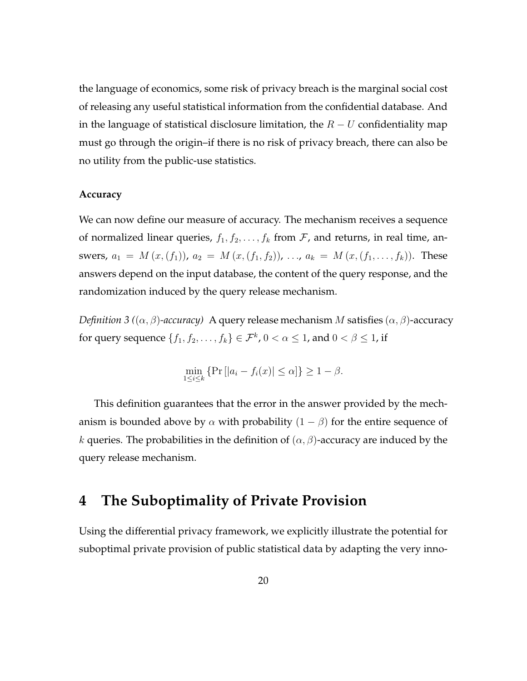the language of economics, some risk of privacy breach is the marginal social cost of releasing any useful statistical information from the confidential database. And in the language of statistical disclosure limitation, the  $R-U$  confidentiality map must go through the origin–if there is no risk of privacy breach, there can also be no utility from the public-use statistics.

#### **Accuracy**

We can now define our measure of accuracy. The mechanism receives a sequence of normalized linear queries,  $f_1, f_2, \ldots, f_k$  from  $F$ , and returns, in real time, answers,  $a_1 = M(x,(f_1))$ ,  $a_2 = M(x,(f_1,f_2))$ , ...,  $a_k = M(x,(f_1,\ldots,f_k))$ . These answers depend on the input database, the content of the query response, and the randomization induced by the query release mechanism.

*Definition 3 (* $(\alpha, \beta)$ *-accuracy)* A query release mechanism M satisfies  $(\alpha, \beta)$ -accuracy for query sequence  $\{f_1, f_2, \ldots, f_k\} \in \mathcal{F}^k$ ,  $0 < \alpha \leq 1$ , and  $0 < \beta \leq 1$ , if

$$
\min_{1 \le i \le k} \{ \Pr\left[ |a_i - f_i(x)| \le \alpha \right] \} \ge 1 - \beta.
$$

This definition guarantees that the error in the answer provided by the mechanism is bounded above by  $\alpha$  with probability  $(1 - \beta)$  for the entire sequence of k queries. The probabilities in the definition of  $(\alpha, \beta)$ -accuracy are induced by the query release mechanism.

## <span id="page-21-0"></span>**4 The Suboptimality of Private Provision**

Using the differential privacy framework, we explicitly illustrate the potential for suboptimal private provision of public statistical data by adapting the very inno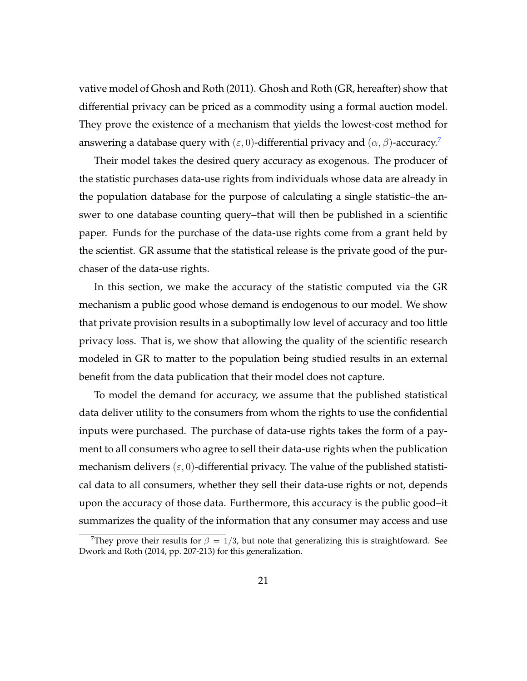vative model of [Ghosh and Roth](#page-58-5) [\(2011\)](#page-58-5). Ghosh and Roth (GR, hereafter) show that differential privacy can be priced as a commodity using a formal auction model. They prove the existence of a mechanism that yields the lowest-cost method for answering a database query with  $(\varepsilon, 0)$ -differential privacy and  $(\alpha, \beta)$ -accuracy.<sup>[7](#page-22-0)</sup>

Their model takes the desired query accuracy as exogenous. The producer of the statistic purchases data-use rights from individuals whose data are already in the population database for the purpose of calculating a single statistic–the answer to one database counting query–that will then be published in a scientific paper. Funds for the purchase of the data-use rights come from a grant held by the scientist. GR assume that the statistical release is the private good of the purchaser of the data-use rights.

In this section, we make the accuracy of the statistic computed via the GR mechanism a public good whose demand is endogenous to our model. We show that private provision results in a suboptimally low level of accuracy and too little privacy loss. That is, we show that allowing the quality of the scientific research modeled in GR to matter to the population being studied results in an external benefit from the data publication that their model does not capture.

To model the demand for accuracy, we assume that the published statistical data deliver utility to the consumers from whom the rights to use the confidential inputs were purchased. The purchase of data-use rights takes the form of a payment to all consumers who agree to sell their data-use rights when the publication mechanism delivers  $(\varepsilon, 0)$ -differential privacy. The value of the published statistical data to all consumers, whether they sell their data-use rights or not, depends upon the accuracy of those data. Furthermore, this accuracy is the public good–it summarizes the quality of the information that any consumer may access and use

<span id="page-22-0"></span><sup>&</sup>lt;sup>7</sup>They prove their results for  $\beta = 1/3$ , but note that generalizing this is straightfoward. See [Dwork and Roth](#page-57-8) [\(2014,](#page-57-8) pp. 207-213) for this generalization.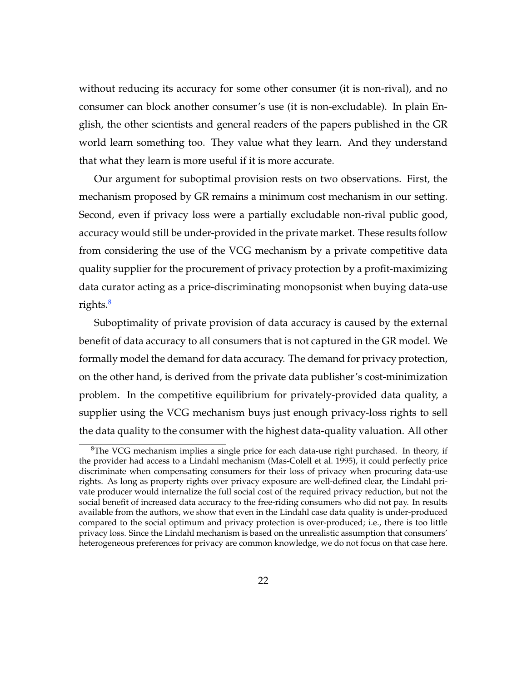without reducing its accuracy for some other consumer (it is non-rival), and no consumer can block another consumer's use (it is non-excludable). In plain English, the other scientists and general readers of the papers published in the GR world learn something too. They value what they learn. And they understand that what they learn is more useful if it is more accurate.

Our argument for suboptimal provision rests on two observations. First, the mechanism proposed by GR remains a minimum cost mechanism in our setting. Second, even if privacy loss were a partially excludable non-rival public good, accuracy would still be under-provided in the private market. These results follow from considering the use of the VCG mechanism by a private competitive data quality supplier for the procurement of privacy protection by a profit-maximizing data curator acting as a price-discriminating monopsonist when buying data-use rights.<sup>[8](#page-23-0)</sup>

Suboptimality of private provision of data accuracy is caused by the external benefit of data accuracy to all consumers that is not captured in the GR model. We formally model the demand for data accuracy. The demand for privacy protection, on the other hand, is derived from the private data publisher's cost-minimization problem. In the competitive equilibrium for privately-provided data quality, a supplier using the VCG mechanism buys just enough privacy-loss rights to sell the data quality to the consumer with the highest data-quality valuation. All other

<span id="page-23-0"></span> ${}^{8}$ The VCG mechanism implies a single price for each data-use right purchased. In theory, if the provider had access to a Lindahl mechanism [\(Mas-Colell et al.](#page-59-4) [1995\)](#page-59-4), it could perfectly price discriminate when compensating consumers for their loss of privacy when procuring data-use rights. As long as property rights over privacy exposure are well-defined clear, the Lindahl private producer would internalize the full social cost of the required privacy reduction, but not the social benefit of increased data accuracy to the free-riding consumers who did not pay. In results available from the authors, we show that even in the Lindahl case data quality is under-produced compared to the social optimum and privacy protection is over-produced; i.e., there is too little privacy loss. Since the Lindahl mechanism is based on the unrealistic assumption that consumers' heterogeneous preferences for privacy are common knowledge, we do not focus on that case here.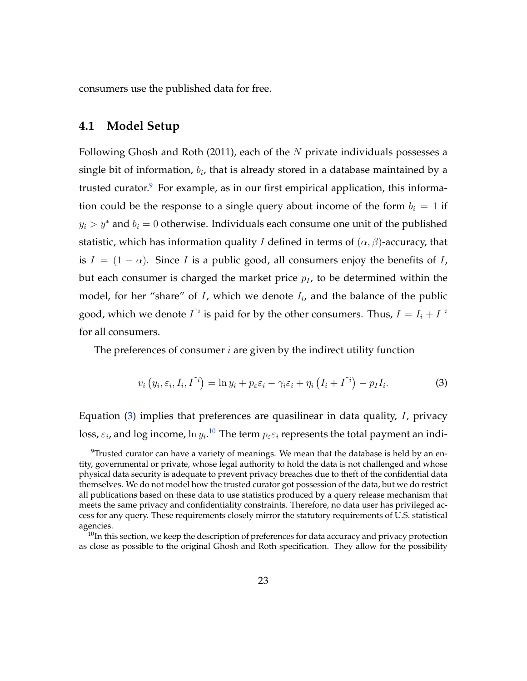consumers use the published data for free.

#### **4.1 Model Setup**

Following [Ghosh and Roth](#page-58-5) [\(2011\)](#page-58-5), each of the  $N$  private individuals possesses a single bit of information,  $b_i$ , that is already stored in a database maintained by a trusted curator.<sup>[9](#page-24-0)</sup> For example, as in our first empirical application, this information could be the response to a single query about income of the form  $b_i = 1$  if  $y_i > y^*$  and  $b_i = 0$  otherwise. Individuals each consume one unit of the published statistic, which has information quality *I* defined in terms of  $(\alpha, \beta)$ -accuracy, that is  $I = (1 - \alpha)$ . Since I is a public good, all consumers enjoy the benefits of I, but each consumer is charged the market price  $p_I$ , to be determined within the model, for her "share" of I, which we denote  $I_i$ , and the balance of the public good, which we denote  $I^{\tilde{i}}$  is paid for by the other consumers. Thus,  $I = I_i + I^{\tilde{i}}$ for all consumers.

The preferences of consumer  $i$  are given by the indirect utility function

<span id="page-24-1"></span>
$$
v_i\left(y_i, \varepsilon_i, I_i, I^{\tilde{i}}\right) = \ln y_i + p_{\varepsilon} \varepsilon_i - \gamma_i \varepsilon_i + \eta_i \left(I_i + I^{\tilde{i}}\right) - p_I I_i. \tag{3}
$$

Equation  $(3)$  implies that preferences are quasilinear in data quality, I, privacy loss,  $\varepsilon_i$ , and log income,  $\ln y_i.^\mathbf{10}$  $\ln y_i.^\mathbf{10}$  $\ln y_i.^\mathbf{10}$  The term  $p_\varepsilon \varepsilon_i$  represents the total payment an indi-

<span id="page-24-0"></span><sup>&</sup>lt;sup>9</sup>Trusted curator can have a variety of meanings. We mean that the database is held by an entity, governmental or private, whose legal authority to hold the data is not challenged and whose physical data security is adequate to prevent privacy breaches due to theft of the confidential data themselves. We do not model how the trusted curator got possession of the data, but we do restrict all publications based on these data to use statistics produced by a query release mechanism that meets the same privacy and confidentiality constraints. Therefore, no data user has privileged access for any query. These requirements closely mirror the statutory requirements of U.S. statistical agencies.

<span id="page-24-2"></span><sup>&</sup>lt;sup>10</sup>In this section, we keep the description of preferences for data accuracy and privacy protection as close as possible to the original Ghosh and Roth specification. They allow for the possibility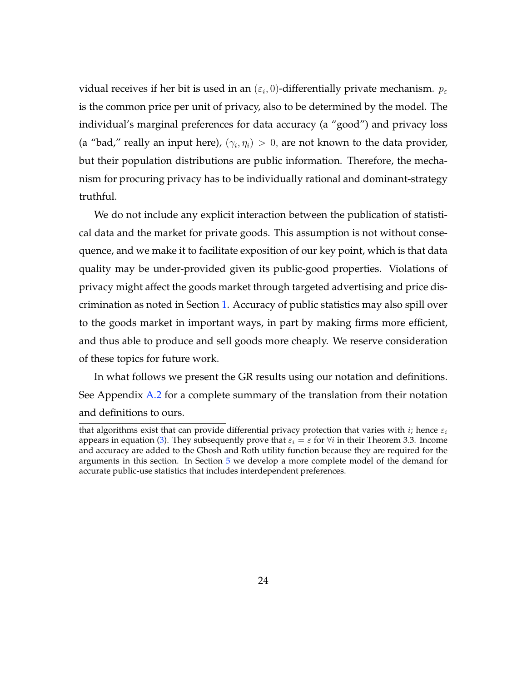vidual receives if her bit is used in an  $(\varepsilon_i,0)$ -differentially private mechanism.  $p_\varepsilon$ is the common price per unit of privacy, also to be determined by the model. The individual's marginal preferences for data accuracy (a "good") and privacy loss (a "bad," really an input here),  $(\gamma_i, \eta_i) > 0$ , are not known to the data provider, but their population distributions are public information. Therefore, the mechanism for procuring privacy has to be individually rational and dominant-strategy truthful.

We do not include any explicit interaction between the publication of statistical data and the market for private goods. This assumption is not without consequence, and we make it to facilitate exposition of our key point, which is that data quality may be under-provided given its public-good properties. Violations of privacy might affect the goods market through targeted advertising and price discrimination as noted in Section [1.](#page-2-0) Accuracy of public statistics may also spill over to the goods market in important ways, in part by making firms more efficient, and thus able to produce and sell goods more cheaply. We reserve consideration of these topics for future work.

In what follows we present the GR results using our notation and definitions. See Appendix [A.2](#page-62-0) for a complete summary of the translation from their notation and definitions to ours.

that algorithms exist that can provide differential privacy protection that varies with i; hence  $\varepsilon_i$ appears in equation [\(3\)](#page-24-1). They subsequently prove that  $\varepsilon_i = \varepsilon$  for  $\forall i$  in their Theorem 3.3. Income and accuracy are added to the Ghosh and Roth utility function because they are required for the arguments in this section. In Section [5](#page-30-0) we develop a more complete model of the demand for accurate public-use statistics that includes interdependent preferences.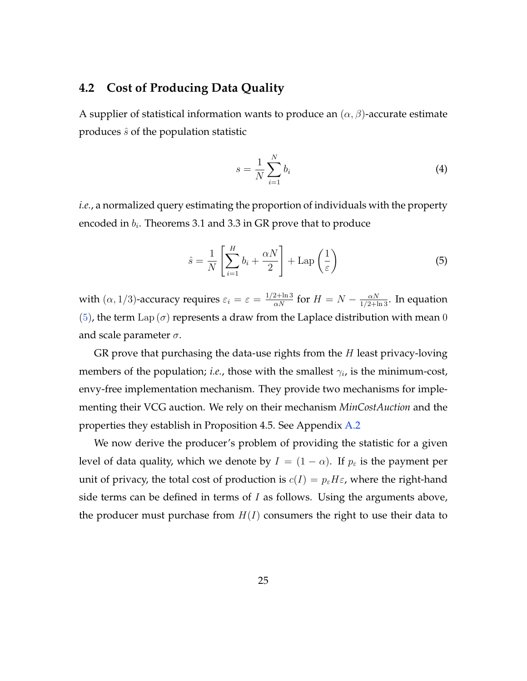## **4.2 Cost of Producing Data Quality**

A supplier of statistical information wants to produce an  $(\alpha, \beta)$ -accurate estimate produces  $\hat{s}$  of the population statistic

$$
s = \frac{1}{N} \sum_{i=1}^{N} b_i
$$
\n<sup>(4)</sup>

*i.e.*, a normalized query estimating the proportion of individuals with the property encoded in  $b_i$ . Theorems 3.1 and 3.3 in GR prove that to produce

<span id="page-26-0"></span>
$$
\hat{s} = \frac{1}{N} \left[ \sum_{i=1}^{H} b_i + \frac{\alpha N}{2} \right] + \text{Lap} \left( \frac{1}{\varepsilon} \right) \tag{5}
$$

with  $(\alpha, 1/3)$ -accuracy requires  $\varepsilon_i = \varepsilon = \frac{1/2 + \ln 3}{\alpha N}$  for  $H = N - \frac{\alpha N}{1/2 + \ln 3}$ . In equation [\(5\)](#page-26-0), the term Lap ( $\sigma$ ) represents a draw from the Laplace distribution with mean 0 and scale parameter  $\sigma$ .

GR prove that purchasing the data-use rights from the  $H$  least privacy-loving members of the population; *i.e.*, those with the smallest  $\gamma_i$ , is the minimum-cost, envy-free implementation mechanism. They provide two mechanisms for implementing their VCG auction. We rely on their mechanism *MinCostAuction* and the properties they establish in Proposition 4.5. See Appendix [A.2](#page-62-0)

We now derive the producer's problem of providing the statistic for a given level of data quality, which we denote by  $I = (1 - \alpha)$ . If  $p_{\varepsilon}$  is the payment per unit of privacy, the total cost of production is  $c(I) = p_{\varepsilon}H\varepsilon$ , where the right-hand side terms can be defined in terms of  $I$  as follows. Using the arguments above, the producer must purchase from  $H(I)$  consumers the right to use their data to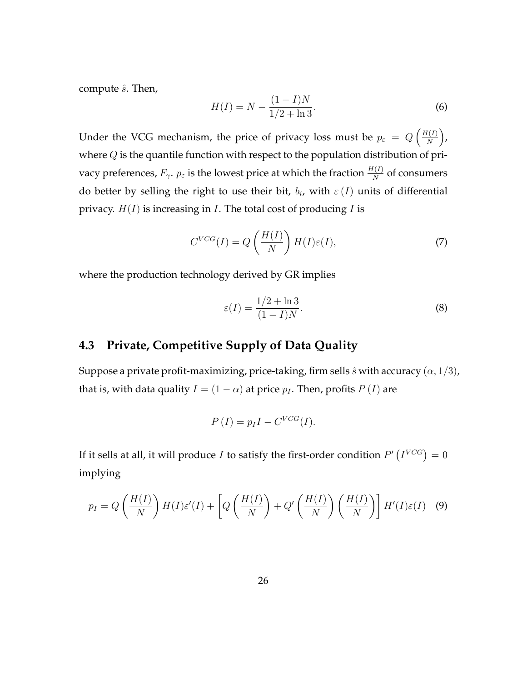compute  $\hat{s}$ . Then,

$$
H(I) = N - \frac{(1 - I)N}{1/2 + \ln 3}.
$$
\n(6)

Under the VCG mechanism, the price of privacy loss must be  $p_{\varepsilon} = Q\left(\frac{H(I)}{N}\right)$  $\frac{I(I)}{N}$ where  $Q$  is the quantile function with respect to the population distribution of privacy preferences,  $F_\gamma$ .  $p_\varepsilon$  is the lowest price at which the fraction  $\frac{H(I)}{N}$  of consumers do better by selling the right to use their bit,  $b_i$ , with  $\varepsilon(I)$  units of differential privacy.  $H(I)$  is increasing in *I*. The total cost of producing *I* is

<span id="page-27-2"></span>
$$
C^{VCG}(I) = Q\left(\frac{H(I)}{N}\right)H(I)\varepsilon(I),\tag{7}
$$

where the production technology derived by GR implies

<span id="page-27-1"></span>
$$
\varepsilon(I) = \frac{1/2 + \ln 3}{(1 - I)N}.\tag{8}
$$

## <span id="page-27-3"></span>**4.3 Private, Competitive Supply of Data Quality**

Suppose a private profit-maximizing, price-taking, firm sells  $\hat{s}$  with accuracy  $(\alpha, 1/3)$ , that is, with data quality  $I = (1 - \alpha)$  at price  $p_I$ . Then, profits  $P(I)$  are

$$
P(I) = p_I I - C^{VCG}(I).
$$

If it sells at all, it will produce  $I$  to satisfy the first-order condition  $P'\left(I^{VCG}\right)=0$ implying

<span id="page-27-0"></span>
$$
p_I = Q\left(\frac{H(I)}{N}\right)H(I)\varepsilon'(I) + \left[Q\left(\frac{H(I)}{N}\right) + Q'\left(\frac{H(I)}{N}\right)\left(\frac{H(I)}{N}\right)\right]H'(I)\varepsilon(I) \quad (9)
$$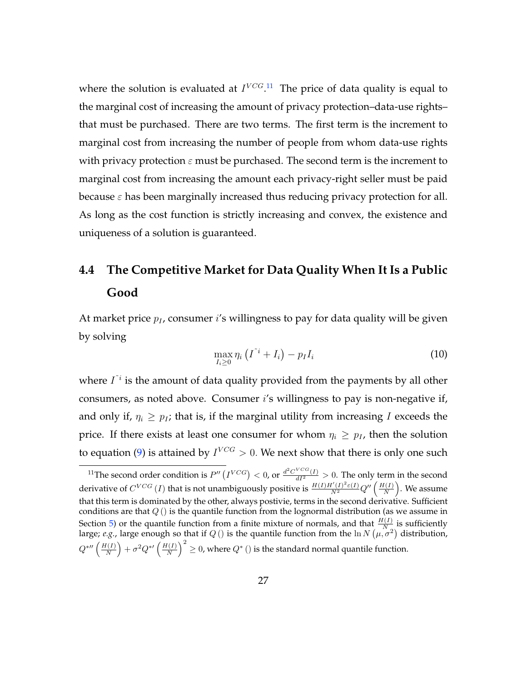where the solution is evaluated at  $I^{VCG,11}$  $I^{VCG,11}$  $I^{VCG,11}$  The price of data quality is equal to the marginal cost of increasing the amount of privacy protection–data-use rights– that must be purchased. There are two terms. The first term is the increment to marginal cost from increasing the number of people from whom data-use rights with privacy protection  $\varepsilon$  must be purchased. The second term is the increment to marginal cost from increasing the amount each privacy-right seller must be paid because  $\varepsilon$  has been marginally increased thus reducing privacy protection for all. As long as the cost function is strictly increasing and convex, the existence and uniqueness of a solution is guaranteed.

# **4.4 The Competitive Market for Data Quality When It Is a Public Good**

At market price  $p_l$ , consumer i's willingness to pay for data quality will be given by solving

$$
\max_{I_i \geq 0} \eta_i \left( I^{\tilde{i}} + I_i \right) - p_I I_i \tag{10}
$$

where  $I^{\dagger i}$  is the amount of data quality provided from the payments by all other consumers, as noted above. Consumer i's willingness to pay is non-negative if, and only if,  $\eta_i \geq p_I$ ; that is, if the marginal utility from increasing I exceeds the price. If there exists at least one consumer for whom  $\eta_i \geq p_I$ , then the solution to equation [\(9\)](#page-27-0) is attained by  $I^{VCG} > 0$ . We next show that there is only one such

<span id="page-28-0"></span><sup>&</sup>lt;sup>11</sup>The second order condition is  $P''(I^{VCG}) < 0$ , or  $\frac{d^2C^{VCG}(I)}{dI^2} > 0$ . The only term in the second derivative of  $C^{VCG}$  (*I*) that is not unambiguously positive is  $\frac{H(I)H'(I)^2\varepsilon(I)}{N^2}Q''\left(\frac{H(I)}{N}\right)$  $\frac{I(I)}{N}$ ). We assume that this term is dominated by the other, always postivie, terms in the second derivative. Sufficient conditions are that  $Q()$  is the quantile function from the lognormal distribution (as we assume in Section [5\)](#page-30-0) or the quantile function from a finite mixture of normals, and that  $\frac{H(I)}{N}$  is sufficiently large; *e.g.*, large enough so that if  $Q$  () is the quantile function from the  $\ln N(\mu, \sigma^2)$  distribution,  $Q^*$ "  $\left(\frac{H(I)}{N}\right)$  $\left(\frac{I(I)}{N}\right)+\sigma^2 Q^{*\prime}\left(\frac{H(I)}{N}\right)$  $\left(\frac{N(I)}{N}\right)^2\geq 0$ , where  $Q^*$  () is the standard normal quantile function.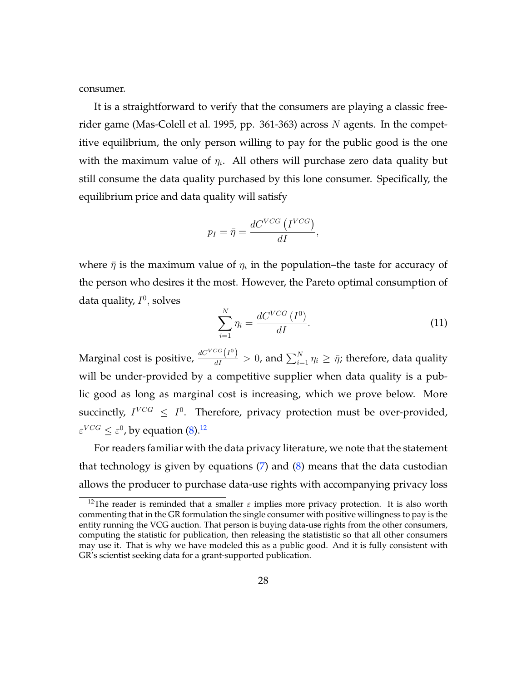consumer.

It is a straightforward to verify that the consumers are playing a classic free-rider game [\(Mas-Colell et al.](#page-59-4) [1995,](#page-59-4) pp. 361-363) across  $N$  agents. In the competitive equilibrium, the only person willing to pay for the public good is the one with the maximum value of  $\eta_i$ . All others will purchase zero data quality but still consume the data quality purchased by this lone consumer. Specifically, the equilibrium price and data quality will satisfy

$$
p_I = \bar{\eta} = \frac{dC^{VCG} \left(I^{VCG}\right)}{dI},
$$

where  $\bar{\eta}$  is the maximum value of  $\eta_i$  in the population–the taste for accuracy of the person who desires it the most. However, the Pareto optimal consumption of data quality,  $I^0$ , solves

<span id="page-29-1"></span>
$$
\sum_{i=1}^{N} \eta_i = \frac{dC^{VCG} (I^0)}{dI}.
$$
\n(11)

Marginal cost is positive,  $\frac{dC^{VCG}(I^0)}{dI} > 0$ , and  $\sum_{i=1}^{N} \eta_i \geq \bar{\eta}$ ; therefore, data quality will be under-provided by a competitive supplier when data quality is a public good as long as marginal cost is increasing, which we prove below. More succinctly,  $I^{VCG} \leq I^0$ . Therefore, privacy protection must be over-provided,  $\varepsilon^{VCG} \leq \varepsilon^0$ , by equation [\(8\)](#page-27-1). $^{12}$  $^{12}$  $^{12}$ 

For readers familiar with the data privacy literature, we note that the statement that technology is given by equations  $(7)$  and  $(8)$  means that the data custodian allows the producer to purchase data-use rights with accompanying privacy loss

<span id="page-29-0"></span><sup>&</sup>lt;sup>12</sup>The reader is reminded that a smaller  $\varepsilon$  implies more privacy protection. It is also worth commenting that in the GR formulation the single consumer with positive willingness to pay is the entity running the VCG auction. That person is buying data-use rights from the other consumers, computing the statistic for publication, then releasing the statististic so that all other consumers may use it. That is why we have modeled this as a public good. And it is fully consistent with GR's scientist seeking data for a grant-supported publication.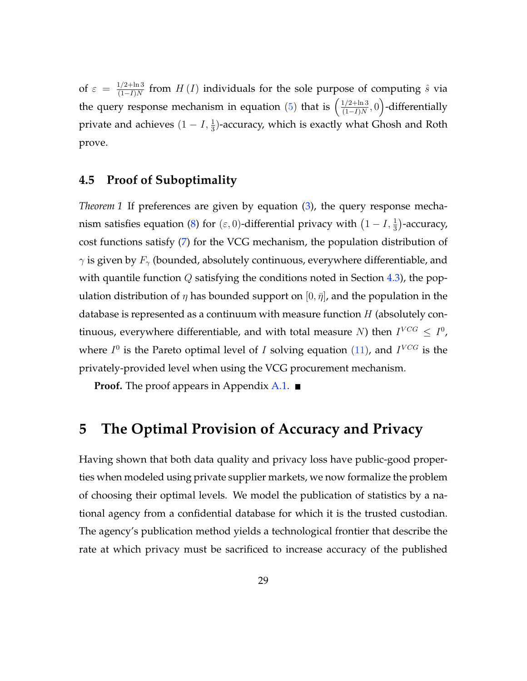of  $\varepsilon = \frac{1/2 + \ln 3}{(1 - I)N}$  $\frac{f_1/2 + m_3}{(1-I)N}$  from  $H(I)$  individuals for the sole purpose of computing  $\hat{s}$  via the query response mechanism in equation [\(5\)](#page-26-0) that is  $\left(\frac{1/2+\ln 3}{(1-I)N}\right)$  $\frac{1/2 + \ln 3}{(1-I)N}, 0$ )-differentially private and achieves  $(1 - I, \frac{1}{3})$ -accuracy, which is exactly what Ghosh and Roth prove.

### **4.5 Proof of Suboptimality**

*Theorem 1* If preferences are given by equation [\(3\)](#page-24-1), the query response mecha-nism satisfies equation [\(8\)](#page-27-1) for  $(\varepsilon, 0)$ -differential privacy with  $\left(1 - I, \frac{1}{3}\right)$ -accuracy, cost functions satisfy [\(7\)](#page-27-2) for the VCG mechanism, the population distribution of  $\gamma$  is given by  $F_{\gamma}$  (bounded, absolutely continuous, everywhere differentiable, and with quantile function  $Q$  satisfying the conditions noted in Section [4.3\)](#page-27-3), the population distribution of  $\eta$  has bounded support on  $[0, \bar{\eta}]$ , and the population in the database is represented as a continuum with measure function  $H$  (absolutely continuous, everywhere differentiable, and with total measure N) then  $I^{VCG} \leq I^0$ , where  $I^0$  is the Pareto optimal level of I solving equation [\(11\)](#page-29-1), and  $I^{VCG}$  is the privately-provided level when using the VCG procurement mechanism.

**Proof.** The proof appears in Appendix [A.1.](#page-61-0) ■

## <span id="page-30-0"></span>**5 The Optimal Provision of Accuracy and Privacy**

Having shown that both data quality and privacy loss have public-good properties when modeled using private supplier markets, we now formalize the problem of choosing their optimal levels. We model the publication of statistics by a national agency from a confidential database for which it is the trusted custodian. The agency's publication method yields a technological frontier that describe the rate at which privacy must be sacrificed to increase accuracy of the published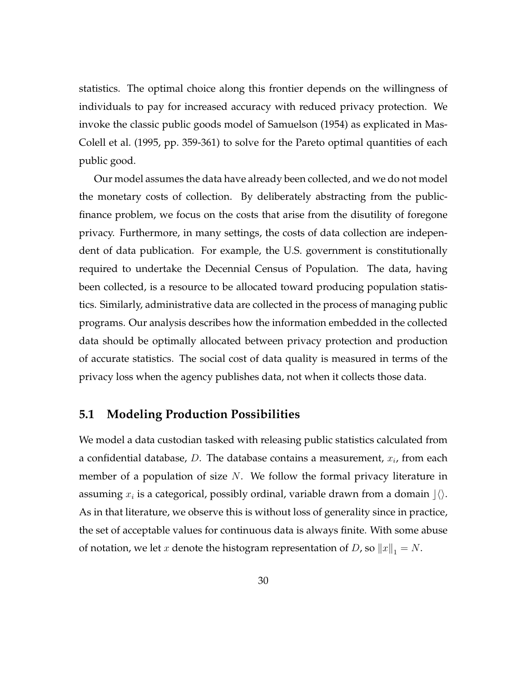statistics. The optimal choice along this frontier depends on the willingness of individuals to pay for increased accuracy with reduced privacy protection. We invoke the classic public goods model of [Samuelson](#page-59-7) [\(1954\)](#page-59-7) as explicated in [Mas-](#page-59-4)[Colell et al.](#page-59-4) [\(1995,](#page-59-4) pp. 359-361) to solve for the Pareto optimal quantities of each public good.

Our model assumes the data have already been collected, and we do not model the monetary costs of collection. By deliberately abstracting from the publicfinance problem, we focus on the costs that arise from the disutility of foregone privacy. Furthermore, in many settings, the costs of data collection are independent of data publication. For example, the U.S. government is constitutionally required to undertake the Decennial Census of Population. The data, having been collected, is a resource to be allocated toward producing population statistics. Similarly, administrative data are collected in the process of managing public programs. Our analysis describes how the information embedded in the collected data should be optimally allocated between privacy protection and production of accurate statistics. The social cost of data quality is measured in terms of the privacy loss when the agency publishes data, not when it collects those data.

## **5.1 Modeling Production Possibilities**

We model a data custodian tasked with releasing public statistics calculated from a confidential database, D. The database contains a measurement,  $x_i$ , from each member of a population of size  $N$ . We follow the formal privacy literature in assuming  $x_i$  is a categorical, possibly ordinal, variable drawn from a domain  $\rfloor\langle\rangle.$ As in that literature, we observe this is without loss of generality since in practice, the set of acceptable values for continuous data is always finite. With some abuse of notation, we let *x* denote the histogram representation of *D*, so  $||x||_1 = N$ .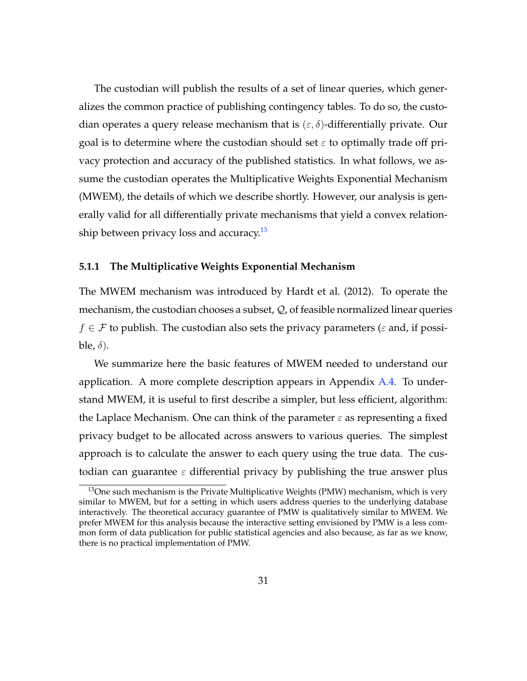The custodian will publish the results of a set of linear queries, which generalizes the common practice of publishing contingency tables. To do so, the custodian operates a query release mechanism that is  $(\varepsilon, \delta)$ -differentially private. Our goal is to determine where the custodian should set  $\varepsilon$  to optimally trade off privacy protection and accuracy of the published statistics. In what follows, we assume the custodian operates the Multiplicative Weights Exponential Mechanism (MWEM), the details of which we describe shortly. However, our analysis is generally valid for all differentially private mechanisms that yield a convex relation-ship between privacy loss and accuracy.<sup>[13](#page-32-0)</sup>

#### **5.1.1 The Multiplicative Weights Exponential Mechanism**

The MWEM mechanism was introduced by [Hardt et al.](#page-58-7) [\(2012\)](#page-58-7). To operate the mechanism, the custodian chooses a subset, Q, of feasible normalized linear queries  $f \in \mathcal{F}$  to publish. The custodian also sets the privacy parameters ( $\varepsilon$  and, if possible,  $\delta$ ).

We summarize here the basic features of MWEM needed to understand our application. A more complete description appears in Appendix  $A.4$ . To understand MWEM, it is useful to first describe a simpler, but less efficient, algorithm: the Laplace Mechanism. One can think of the parameter  $\varepsilon$  as representing a fixed privacy budget to be allocated across answers to various queries. The simplest approach is to calculate the answer to each query using the true data. The custodian can guarantee  $\varepsilon$  differential privacy by publishing the true answer plus

<span id="page-32-0"></span> $13$ One such mechanism is the Private Multiplicative Weights (PMW) mechanism, which is very similar to MWEM, but for a setting in which users address queries to the underlying database interactively. The theoretical accuracy guarantee of PMW is qualitatively similar to MWEM. We prefer MWEM for this analysis because the interactive setting envisioned by PMW is a less common form of data publication for public statistical agencies and also because, as far as we know, there is no practical implementation of PMW.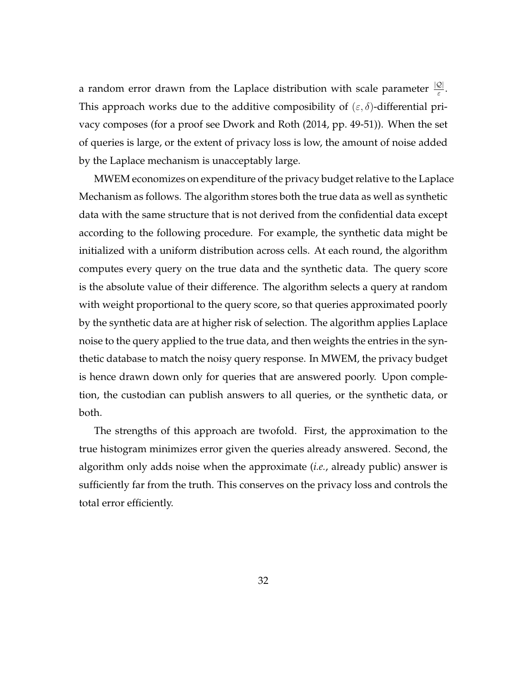a random error drawn from the Laplace distribution with scale parameter  $\frac{|Q|}{\varepsilon}$ . This approach works due to the additive composibility of  $(\varepsilon, \delta)$ -differential privacy composes (for a proof see [Dwork and Roth](#page-57-8) [\(2014,](#page-57-8) pp. 49-51)). When the set of queries is large, or the extent of privacy loss is low, the amount of noise added by the Laplace mechanism is unacceptably large.

MWEM economizes on expenditure of the privacy budget relative to the Laplace Mechanism as follows. The algorithm stores both the true data as well as synthetic data with the same structure that is not derived from the confidential data except according to the following procedure. For example, the synthetic data might be initialized with a uniform distribution across cells. At each round, the algorithm computes every query on the true data and the synthetic data. The query score is the absolute value of their difference. The algorithm selects a query at random with weight proportional to the query score, so that queries approximated poorly by the synthetic data are at higher risk of selection. The algorithm applies Laplace noise to the query applied to the true data, and then weights the entries in the synthetic database to match the noisy query response. In MWEM, the privacy budget is hence drawn down only for queries that are answered poorly. Upon completion, the custodian can publish answers to all queries, or the synthetic data, or both.

The strengths of this approach are twofold. First, the approximation to the true histogram minimizes error given the queries already answered. Second, the algorithm only adds noise when the approximate (*i.e.*, already public) answer is sufficiently far from the truth. This conserves on the privacy loss and controls the total error efficiently.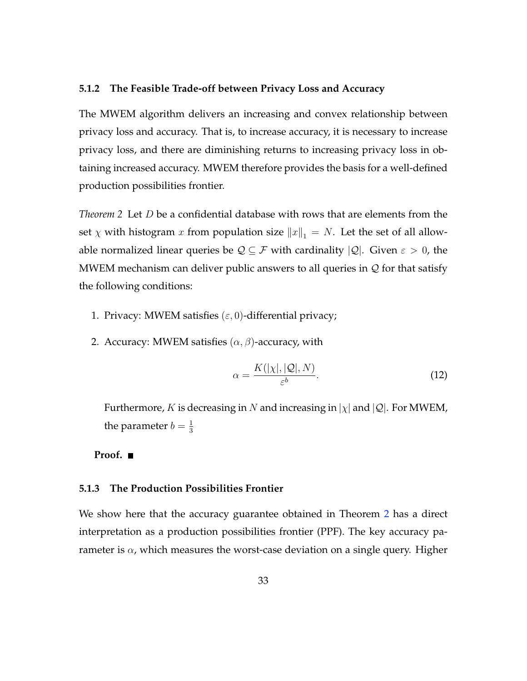#### **5.1.2 The Feasible Trade-off between Privacy Loss and Accuracy**

The MWEM algorithm delivers an increasing and convex relationship between privacy loss and accuracy. That is, to increase accuracy, it is necessary to increase privacy loss, and there are diminishing returns to increasing privacy loss in obtaining increased accuracy. MWEM therefore provides the basis for a well-defined production possibilities frontier.

<span id="page-34-0"></span>*Theorem 2* Let D be a confidential database with rows that are elements from the set  $\chi$  with histogram x from population size  $||x||_1 = N$ . Let the set of all allowable normalized linear queries be  $\mathcal{Q} \subseteq \mathcal{F}$  with cardinality  $|\mathcal{Q}|$ . Given  $\varepsilon > 0$ , the MWEM mechanism can deliver public answers to all queries in  $\mathcal Q$  for that satisfy the following conditions:

- 1. Privacy: MWEM satisfies  $(\varepsilon, 0)$ -differential privacy;
- 2. Accuracy: MWEM satisfies  $(\alpha, \beta)$ -accuracy, with

$$
\alpha = \frac{K(|\chi|, |\mathcal{Q}|, N)}{\varepsilon^b}.
$$
\n(12)

Furthermore, K is decreasing in N and increasing in  $|\chi|$  and  $|\mathcal{Q}|$ . For MWEM, the parameter  $b=\frac{1}{3}$ 3

#### **Proof.**

#### **5.1.3 The Production Possibilities Frontier**

We show here that the accuracy guarantee obtained in Theorem [2](#page-34-0) has a direct interpretation as a production possibilities frontier (PPF). The key accuracy parameter is  $\alpha$ , which measures the worst-case deviation on a single query. Higher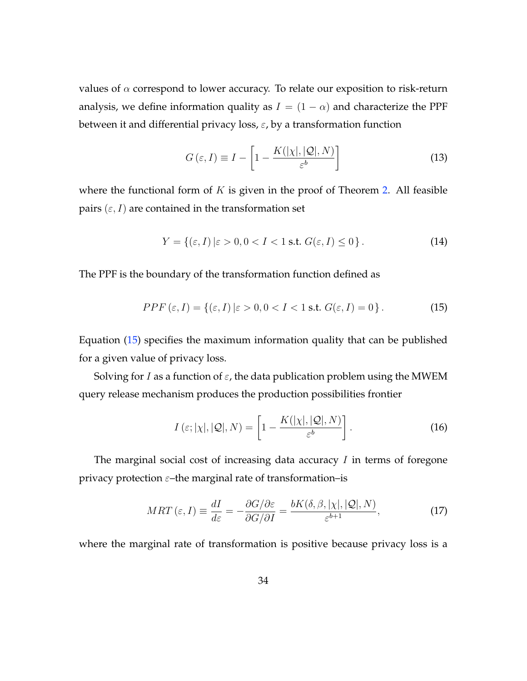values of  $\alpha$  correspond to lower accuracy. To relate our exposition to risk-return analysis, we define information quality as  $I = (1 - \alpha)$  and characterize the PPF between it and differential privacy loss,  $\varepsilon$ , by a transformation function

$$
G\left(\varepsilon, I\right) \equiv I - \left[1 - \frac{K(|\chi|, |\mathcal{Q}|, N)}{\varepsilon^b}\right] \tag{13}
$$

where the functional form of  $K$  is given in the proof of Theorem [2.](#page-34-0) All feasible pairs  $(\varepsilon, I)$  are contained in the transformation set

$$
Y = \{ (\varepsilon, I) \mid \varepsilon > 0, 0 < I < 1 \text{ s.t. } G(\varepsilon, I) \le 0 \}.
$$
 (14)

The PPF is the boundary of the transformation function defined as

<span id="page-35-0"></span>
$$
PPF\left(\varepsilon,I\right) = \left\{ \left(\varepsilon,I\right) \left|\varepsilon > 0, 0 < I < 1 \text{ s.t. } G(\varepsilon,I) = 0 \right.\right\}.\tag{15}
$$

Equation [\(15\)](#page-35-0) specifies the maximum information quality that can be published for a given value of privacy loss.

Solving for I as a function of  $\varepsilon$ , the data publication problem using the MWEM query release mechanism produces the production possibilities frontier

$$
I\left(\varepsilon; |\chi|, |\mathcal{Q}|, N\right) = \left[1 - \frac{K(|\chi|, |\mathcal{Q}|, N)}{\varepsilon^b}\right].\tag{16}
$$

The marginal social cost of increasing data accuracy  $I$  in terms of foregone privacy protection  $\varepsilon$ –the marginal rate of transformation–is

$$
MRT\left(\varepsilon, I\right) \equiv \frac{dI}{d\varepsilon} = -\frac{\partial G/\partial \varepsilon}{\partial G/\partial I} = \frac{bK(\delta, \beta, |\chi|, |\mathcal{Q}|, N)}{\varepsilon^{b+1}},\tag{17}
$$

where the marginal rate of transformation is positive because privacy loss is a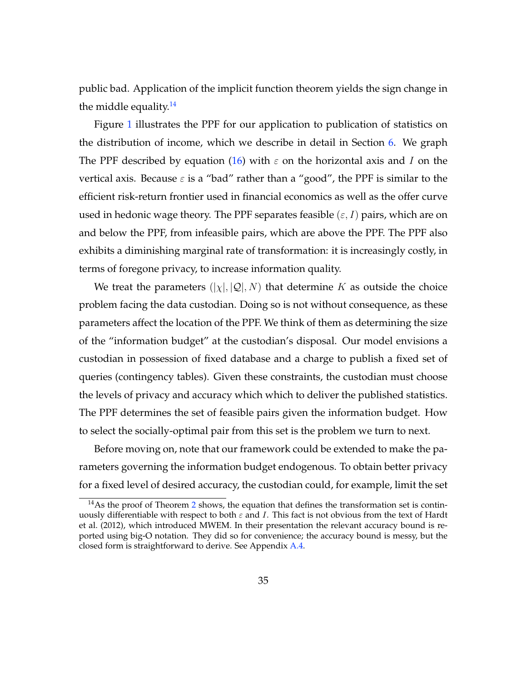public bad. Application of the implicit function theorem yields the sign change in the middle equality. $14$ 

Figure [1](#page-45-0) illustrates the PPF for our application to publication of statistics on the distribution of income, which we describe in detail in Section [6.](#page-39-0) We graph The PPF described by equation [\(16\)](#page-35-0) with  $\varepsilon$  on the horizontal axis and I on the vertical axis. Because  $\varepsilon$  is a "bad" rather than a "good", the PPF is similar to the efficient risk-return frontier used in financial economics as well as the offer curve used in hedonic wage theory. The PPF separates feasible  $(\varepsilon, I)$  pairs, which are on and below the PPF, from infeasible pairs, which are above the PPF. The PPF also exhibits a diminishing marginal rate of transformation: it is increasingly costly, in terms of foregone privacy, to increase information quality.

We treat the parameters  $(|\chi|, |\mathcal{Q}|, N)$  that determine K as outside the choice problem facing the data custodian. Doing so is not without consequence, as these parameters affect the location of the PPF. We think of them as determining the size of the "information budget" at the custodian's disposal. Our model envisions a custodian in possession of fixed database and a charge to publish a fixed set of queries (contingency tables). Given these constraints, the custodian must choose the levels of privacy and accuracy which which to deliver the published statistics. The PPF determines the set of feasible pairs given the information budget. How to select the socially-optimal pair from this set is the problem we turn to next.

Before moving on, note that our framework could be extended to make the parameters governing the information budget endogenous. To obtain better privacy for a fixed level of desired accuracy, the custodian could, for example, limit the set

<span id="page-36-0"></span> $14$ As the proof of Theorem [2](#page-34-0) shows, the equation that defines the transformation set is continuously differentiable with respect to both  $\varepsilon$  and I. This fact is not obvious from the text of [Hardt](#page-58-0) [et al.](#page-58-0) [\(2012\)](#page-58-0), which introduced MWEM. In their presentation the relevant accuracy bound is reported using big-O notation. They did so for convenience; the accuracy bound is messy, but the closed form is straightforward to derive. See Appendix [A.4.](#page-70-0)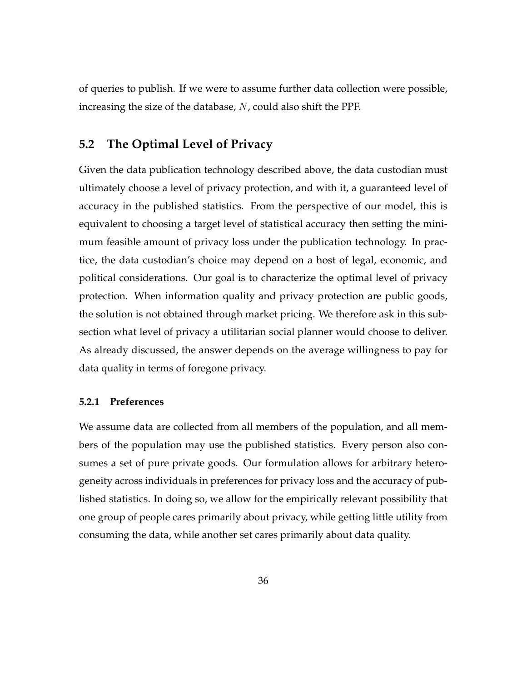of queries to publish. If we were to assume further data collection were possible, increasing the size of the database,  $N$ , could also shift the PPF.

# <span id="page-37-0"></span>**5.2 The Optimal Level of Privacy**

Given the data publication technology described above, the data custodian must ultimately choose a level of privacy protection, and with it, a guaranteed level of accuracy in the published statistics. From the perspective of our model, this is equivalent to choosing a target level of statistical accuracy then setting the minimum feasible amount of privacy loss under the publication technology. In practice, the data custodian's choice may depend on a host of legal, economic, and political considerations. Our goal is to characterize the optimal level of privacy protection. When information quality and privacy protection are public goods, the solution is not obtained through market pricing. We therefore ask in this subsection what level of privacy a utilitarian social planner would choose to deliver. As already discussed, the answer depends on the average willingness to pay for data quality in terms of foregone privacy.

#### **5.2.1 Preferences**

We assume data are collected from all members of the population, and all members of the population may use the published statistics. Every person also consumes a set of pure private goods. Our formulation allows for arbitrary heterogeneity across individuals in preferences for privacy loss and the accuracy of published statistics. In doing so, we allow for the empirically relevant possibility that one group of people cares primarily about privacy, while getting little utility from consuming the data, while another set cares primarily about data quality.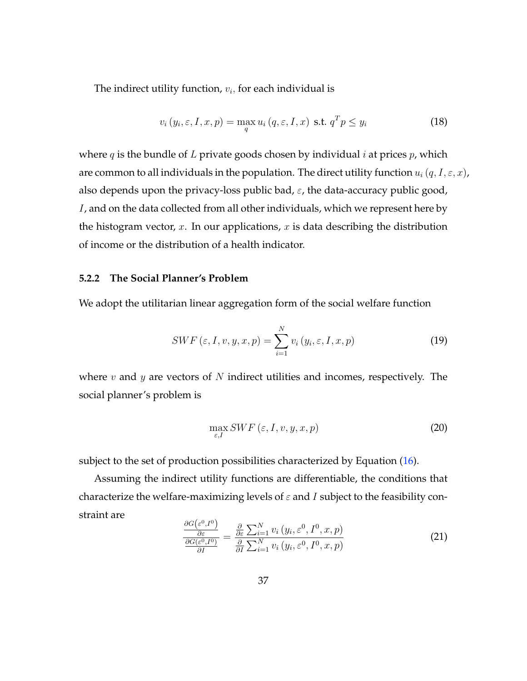The indirect utility function,  $v_i$ , for each individual is

$$
v_i(y_i, \varepsilon, I, x, p) = \max_{q} u_i(q, \varepsilon, I, x) \text{ s.t. } q^T p \le y_i
$$
 (18)

where  $q$  is the bundle of L private goods chosen by individual i at prices  $p$ , which are common to all individuals in the population. The direct utility function  $u_i(q, I, \varepsilon, x)$ , also depends upon the privacy-loss public bad,  $\varepsilon$ , the data-accuracy public good, I, and on the data collected from all other individuals, which we represent here by the histogram vector,  $x$ . In our applications,  $x$  is data describing the distribution of income or the distribution of a health indicator.

#### **5.2.2 The Social Planner's Problem**

We adopt the utilitarian linear aggregation form of the social welfare function

<span id="page-38-1"></span>
$$
SWF\left(\varepsilon, I, v, y, x, p\right) = \sum_{i=1}^{N} v_i\left(y_i, \varepsilon, I, x, p\right)
$$
\n
$$
(19)
$$

where  $v$  and  $y$  are vectors of  $N$  indirect utilities and incomes, respectively. The social planner's problem is

$$
\max_{\varepsilon, I} SWF\left(\varepsilon, I, v, y, x, p\right) \tag{20}
$$

subject to the set of production possibilities characterized by Equation [\(16\)](#page-35-0).

Assuming the indirect utility functions are differentiable, the conditions that characterize the welfare-maximizing levels of  $\varepsilon$  and I subject to the feasibility constraint are

<span id="page-38-0"></span>
$$
\frac{\frac{\partial G(\varepsilon^{0},I^{0})}{\partial \varepsilon}}{\frac{\partial G(\varepsilon^{0},I^{0})}{\partial I}} = \frac{\frac{\partial}{\partial \varepsilon} \sum_{i=1}^{N} v_{i} \left(y_{i}, \varepsilon^{0}, I^{0}, x, p\right)}{\frac{\partial}{\partial I} \sum_{i=1}^{N} v_{i} \left(y_{i}, \varepsilon^{0}, I^{0}, x, p\right)}
$$
(21)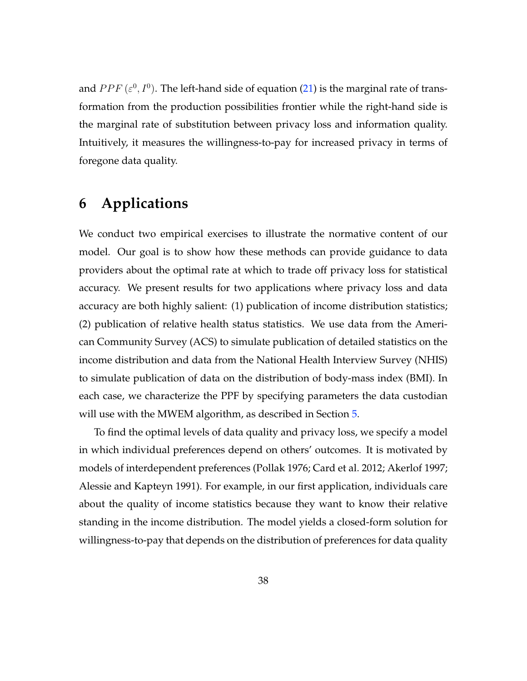and  $PPF(\varepsilon^0, I^0)$ . The left-hand side of equation [\(21\)](#page-38-0) is the marginal rate of transformation from the production possibilities frontier while the right-hand side is the marginal rate of substitution between privacy loss and information quality. Intuitively, it measures the willingness-to-pay for increased privacy in terms of foregone data quality.

# <span id="page-39-0"></span>**6 Applications**

We conduct two empirical exercises to illustrate the normative content of our model. Our goal is to show how these methods can provide guidance to data providers about the optimal rate at which to trade off privacy loss for statistical accuracy. We present results for two applications where privacy loss and data accuracy are both highly salient: (1) publication of income distribution statistics; (2) publication of relative health status statistics. We use data from the American Community Survey (ACS) to simulate publication of detailed statistics on the income distribution and data from the National Health Interview Survey (NHIS) to simulate publication of data on the distribution of body-mass index (BMI). In each case, we characterize the PPF by specifying parameters the data custodian will use with the MWEM algorithm, as described in Section [5.](#page-30-0)

To find the optimal levels of data quality and privacy loss, we specify a model in which individual preferences depend on others' outcomes. It is motivated by models of interdependent preferences [\(Pollak](#page-59-0) [1976;](#page-59-0) [Card et al.](#page-56-0) [2012;](#page-56-0) [Akerlof](#page-55-0) [1997;](#page-55-0) [Alessie and Kapteyn](#page-55-1) [1991\)](#page-55-1). For example, in our first application, individuals care about the quality of income statistics because they want to know their relative standing in the income distribution. The model yields a closed-form solution for willingness-to-pay that depends on the distribution of preferences for data quality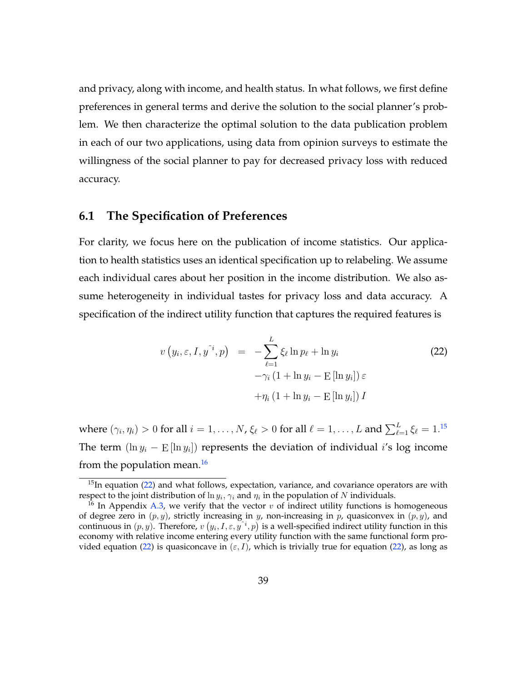and privacy, along with income, and health status. In what follows, we first define preferences in general terms and derive the solution to the social planner's problem. We then characterize the optimal solution to the data publication problem in each of our two applications, using data from opinion surveys to estimate the willingness of the social planner to pay for decreased privacy loss with reduced accuracy.

## **6.1 The Specification of Preferences**

For clarity, we focus here on the publication of income statistics. Our application to health statistics uses an identical specification up to relabeling. We assume each individual cares about her position in the income distribution. We also assume heterogeneity in individual tastes for privacy loss and data accuracy. A specification of the indirect utility function that captures the required features is

<span id="page-40-2"></span>
$$
v(y_i, \varepsilon, I, y^{\tilde{i}}, p) = -\sum_{\ell=1}^{L} \xi_{\ell} \ln p_{\ell} + \ln y_i
$$
  

$$
-\gamma_i (1 + \ln y_i - \operatorname{E} [\ln y_i]) \varepsilon
$$
  

$$
+\eta_i (1 + \ln y_i - \operatorname{E} [\ln y_i]) I
$$
 (22)

where  $(\gamma_i, \eta_i) > 0$  for all  $i = 1, \ldots, N$ ,  $\xi_\ell > 0$  for all  $\ell = 1, \ldots, L$  and  $\sum_{\ell=1}^L \xi_\ell = 1.^{15}$  $\sum_{\ell=1}^L \xi_\ell = 1.^{15}$  $\sum_{\ell=1}^L \xi_\ell = 1.^{15}$ The term  $(\ln y_i - \mathrm{E}[\ln y_i])$  represents the deviation of individual i's log income from the population mean. $16$ 

<span id="page-40-0"></span> $15$ In equation [\(22\)](#page-40-2) and what follows, expectation, variance, and covariance operators are with respect to the joint distribution of  $\ln y_i, \gamma_i$  and  $\eta_i$  in the population of N individuals.

<span id="page-40-1"></span><sup>&</sup>lt;sup>16</sup> In Appendix [A.3,](#page-67-0) we verify that the vector v of indirect utility functions is homogeneous of degree zero in  $(p, y)$ , strictly increasing in y, non-increasing in p, quasiconvex in  $(p, y)$ , and continuous in  $(p, y)$ . Therefore,  $v(y_i, I, \varepsilon, y^{\varepsilon_i}, p)$  is a well-specified indirect utility function in this economy with relative income entering every utility function with the same functional form pro-vided equation [\(22\)](#page-40-2) is quasiconcave in  $(\varepsilon, I)$ , which is trivially true for equation (22), as long as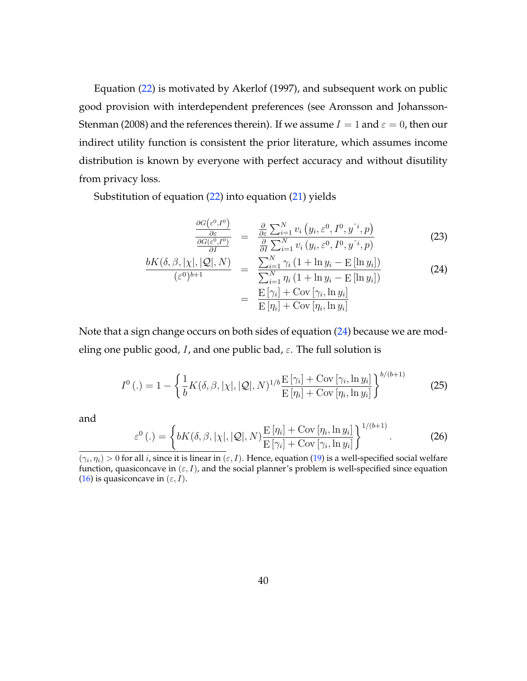Equation [\(22\)](#page-40-2) is motivated by [Akerlof](#page-55-0) [\(1997\)](#page-55-0), and subsequent work on public good provision with interdependent preferences (see [Aronsson and Johansson-](#page-55-2)[Stenman](#page-55-2) [\(2008\)](#page-55-2) and the references therein). If we assume  $I = 1$  and  $\varepsilon = 0$ , then our indirect utility function is consistent the prior literature, which assumes income distribution is known by everyone with perfect accuracy and without disutility from privacy loss.

Substitution of equation [\(22\)](#page-40-2) into equation [\(21\)](#page-38-0) yields

<span id="page-41-0"></span>
$$
\frac{\frac{\partial G(\varepsilon^{0},I^{0})}{\partial \varepsilon}}{\frac{\partial G(\varepsilon^{0},I^{0})}{\partial I}} = \frac{\frac{\partial}{\partial \varepsilon} \sum_{i=1}^{N} v_{i} (y_{i},\varepsilon^{0},I^{0},y^{i},p)}{\frac{\partial}{\partial I} \sum_{i=1}^{N} v_{i} (y_{i},\varepsilon^{0},I^{0},y^{i},p)}
$$
(23)

$$
\frac{bK(\delta, \beta, |\chi|, |\mathcal{Q}|, N)}{(\varepsilon^0)^{b+1}} = \frac{\sum_{i=1}^N \gamma_i (1 + \ln y_i - \operatorname{E}[\ln y_i])}{\sum_{i=1}^N \eta_i (1 + \ln y_i - \operatorname{E}[\ln y_i])}
$$
(24)  

$$
= \frac{\operatorname{E}[\gamma_i] + \operatorname{Cov}[\gamma_i, \ln y_i]}{\operatorname{E}[\eta_i] + \operatorname{Cov}[\eta_i, \ln y_i]}
$$

Note that a sign change occurs on both sides of equation [\(24\)](#page-41-0) because we are modeling one public good, I, and one public bad,  $\varepsilon$ . The full solution is

$$
I^{0}\left(.)=1-\left\{\frac{1}{b}K(\delta,\beta,|\chi|,|\mathcal{Q}|,N)^{1/b}\frac{\mathrm{E}\left[\gamma_{i}\right]+\mathrm{Cov}\left[\gamma_{i},\ln y_{i}\right]}{\mathrm{E}\left[\eta_{i}\right]+\mathrm{Cov}\left[\eta_{i},\ln y_{i}\right]}\right\}^{b/(b+1)}
$$
(25)

and

$$
\varepsilon^{0}\left(. \right) = \left\{ bK(\delta, \beta, |\chi|, |\mathcal{Q}|, N) \frac{\mathrm{E}\left[\eta_{i}\right] + \mathrm{Cov}\left[\eta_{i}, \ln y_{i}\right]}{\mathrm{E}\left[\gamma_{i}\right] + \mathrm{Cov}\left[\gamma_{i}, \ln y_{i}\right]} \right\}^{1/(b+1)}.\tag{26}
$$

 $(\gamma_i, \eta_i) > 0$  for all i, since it is linear in  $(\varepsilon, I)$ . Hence, equation [\(19\)](#page-38-1) is a well-specified social welfare function, quasiconcave in  $(\varepsilon, I)$ , and the social planner's problem is well-specified since equation [\(16\)](#page-35-0) is quasiconcave in  $(\varepsilon, I)$ .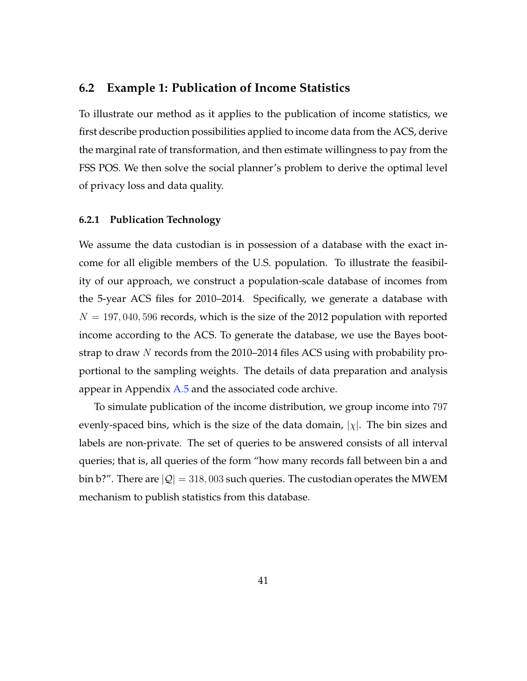## **6.2 Example 1: Publication of Income Statistics**

To illustrate our method as it applies to the publication of income statistics, we first describe production possibilities applied to income data from the ACS, derive the marginal rate of transformation, and then estimate willingness to pay from the FSS POS. We then solve the social planner's problem to derive the optimal level of privacy loss and data quality.

#### **6.2.1 Publication Technology**

We assume the data custodian is in possession of a database with the exact income for all eligible members of the U.S. population. To illustrate the feasibility of our approach, we construct a population-scale database of incomes from the 5-year ACS files for 2010–2014. Specifically, we generate a database with  $N = 197,040,596$  records, which is the size of the 2012 population with reported income according to the ACS. To generate the database, we use the Bayes bootstrap to draw N records from the 2010–2014 files ACS using with probability proportional to the sampling weights. The details of data preparation and analysis appear in Appendix  $A.5$  and the associated code archive.

To simulate publication of the income distribution, we group income into 797 evenly-spaced bins, which is the size of the data domain,  $|\chi|$ . The bin sizes and labels are non-private. The set of queries to be answered consists of all interval queries; that is, all queries of the form "how many records fall between bin a and bin b?". There are  $|Q| = 318,003$  such queries. The custodian operates the MWEM mechanism to publish statistics from this database.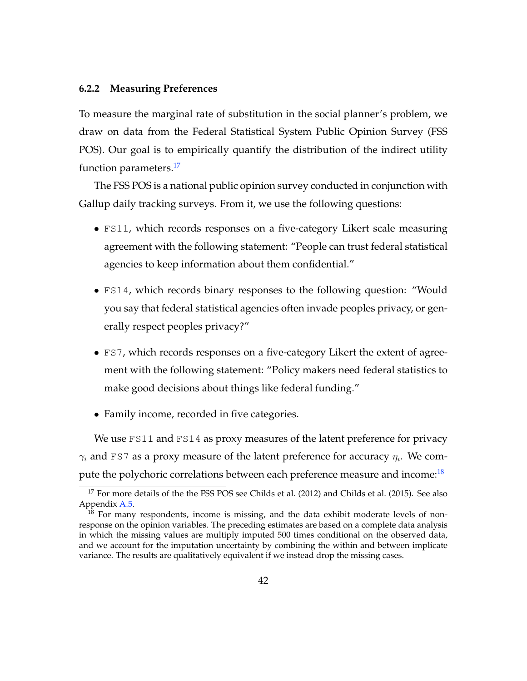#### **6.2.2 Measuring Preferences**

To measure the marginal rate of substitution in the social planner's problem, we draw on data from the Federal Statistical System Public Opinion Survey (FSS POS). Our goal is to empirically quantify the distribution of the indirect utility function parameters.<sup>[17](#page-43-0)</sup>

The FSS POS is a national public opinion survey conducted in conjunction with Gallup daily tracking surveys. From it, we use the following questions:

- FS11, which records responses on a five-category Likert scale measuring agreement with the following statement: "People can trust federal statistical agencies to keep information about them confidential."
- FS14, which records binary responses to the following question: "Would you say that federal statistical agencies often invade peoples privacy, or generally respect peoples privacy?"
- FS7, which records responses on a five-category Likert the extent of agreement with the following statement: "Policy makers need federal statistics to make good decisions about things like federal funding."
- Family income, recorded in five categories.

We use FS11 and FS14 as proxy measures of the latent preference for privacy  $\gamma_i$  and FS7 as a proxy measure of the latent preference for accuracy  $\eta_i$ . We com-pute the polychoric correlations between each preference measure and income:<sup>[18](#page-43-1)</sup>

<span id="page-43-0"></span><sup>&</sup>lt;sup>17</sup> For more details of the the FSS POS see [Childs et al.](#page-56-2) [\(2012\)](#page-56-1) and Childs et al. [\(2015\)](#page-56-2). See also Appendix [A.5.](#page-72-0)

<span id="page-43-1"></span> $1^{\overline{8}}$  For many respondents, income is missing, and the data exhibit moderate levels of nonresponse on the opinion variables. The preceding estimates are based on a complete data analysis in which the missing values are multiply imputed 500 times conditional on the observed data, and we account for the imputation uncertainty by combining the within and between implicate variance. The results are qualitatively equivalent if we instead drop the missing cases.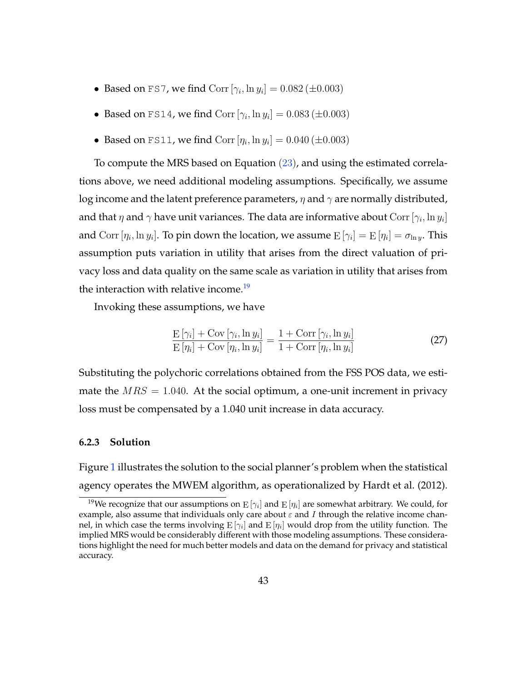- Based on FS7, we find  $Corr [\gamma_i, \ln y_i] = 0.082 (\pm 0.003)$
- Based on FS14, we find  $Corr [\gamma_i, \ln y_i] = 0.083 (\pm 0.003)$
- Based on FS11, we find  $Corr [\eta_i, \ln y_i] = 0.040 (\pm 0.003)$

To compute the MRS based on Equation  $(23)$ , and using the estimated correlations above, we need additional modeling assumptions. Specifically, we assume log income and the latent preference parameters,  $\eta$  and  $\gamma$  are normally distributed, and that  $\eta$  and  $\gamma$  have unit variances. The data are informative about  $\text{Corr}\left[\gamma_{i},\ln y_{i}\right]$ and  $\text{Corr }[\eta_i, \ln y_i].$  To pin down the location, we assume  $\text{E }[\gamma_i] = \text{E }[\eta_i] = \sigma_{\ln y}.$  This assumption puts variation in utility that arises from the direct valuation of privacy loss and data quality on the same scale as variation in utility that arises from the interaction with relative income.<sup>[19](#page-44-0)</sup>

Invoking these assumptions, we have

$$
\frac{\mathcal{E}\left[\gamma_i\right] + \mathcal{C}\text{ov}\left[\gamma_i, \ln y_i\right]}{\mathcal{E}\left[\eta_i\right] + \mathcal{C}\text{ov}\left[\eta_i, \ln y_i\right]} = \frac{1 + \mathcal{C}\text{orr}\left[\gamma_i, \ln y_i\right]}{1 + \mathcal{C}\text{orr}\left[\eta_i, \ln y_i\right]}
$$
\n(27)

Substituting the polychoric correlations obtained from the FSS POS data, we estimate the  $MRS = 1.040$ . At the social optimum, a one-unit increment in privacy loss must be compensated by a 1.040 unit increase in data accuracy.

#### **6.2.3 Solution**

Figure [1](#page-45-0) illustrates the solution to the social planner's problem when the statistical agency operates the MWEM algorithm, as operationalized by [Hardt et al.](#page-58-0) [\(2012\)](#page-58-0).

<span id="page-44-0"></span> $^{19}$ We recognize that our assumptions on  $\mathrm{E} \left[ \gamma_i \right]$  and  $\mathrm{E} \left[ \eta_i \right]$  are somewhat arbitrary. We could, for example, also assume that individuals only care about  $\varepsilon$  and I through the relative income channel, in which case the terms involving  $\mathrm{E} \left[\gamma_i\right]$  and  $\mathrm{E} \left[\eta_i\right]$  would drop from the utility function. The implied MRS would be considerably different with those modeling assumptions. These considerations highlight the need for much better models and data on the demand for privacy and statistical accuracy.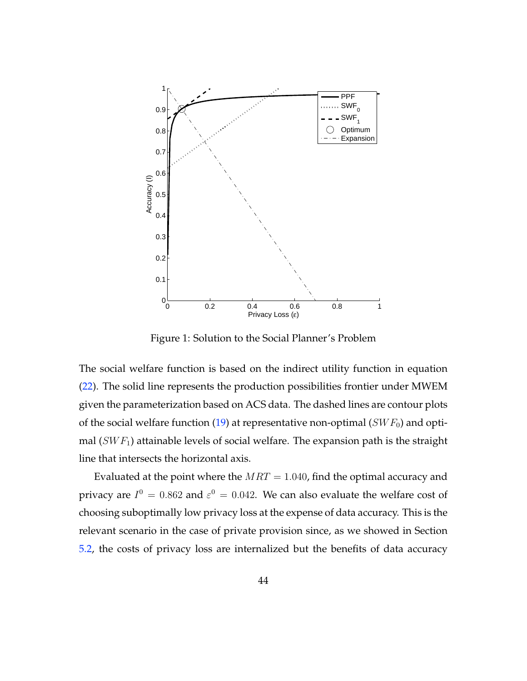

<span id="page-45-0"></span>Figure 1: Solution to the Social Planner's Problem

The social welfare function is based on the indirect utility function in equation [\(22\)](#page-40-2). The solid line represents the production possibilities frontier under MWEM given the parameterization based on ACS data. The dashed lines are contour plots of the social welfare function [\(19\)](#page-38-1) at representative non-optimal ( $SWF_0$ ) and optimal  $(SWF<sub>1</sub>)$  attainable levels of social welfare. The expansion path is the straight line that intersects the horizontal axis.

Evaluated at the point where the  $MRT = 1.040$ , find the optimal accuracy and privacy are  $I^0 = 0.862$  and  $\varepsilon^0 = 0.042$ . We can also evaluate the welfare cost of choosing suboptimally low privacy loss at the expense of data accuracy. This is the relevant scenario in the case of private provision since, as we showed in Section [5.2,](#page-37-0) the costs of privacy loss are internalized but the benefits of data accuracy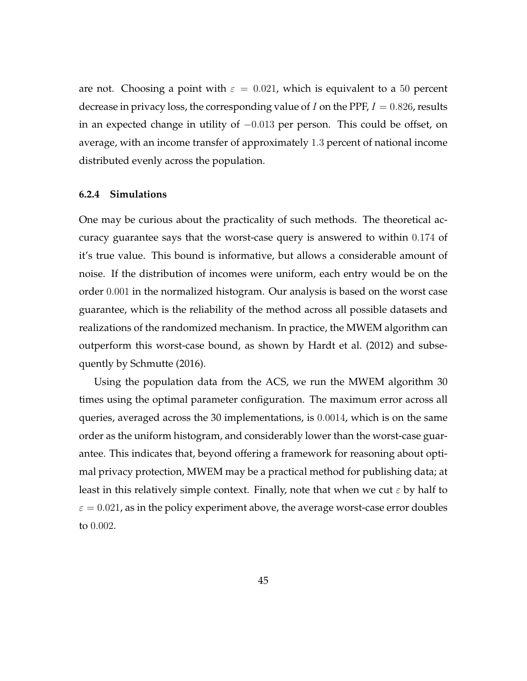are not. Choosing a point with  $\varepsilon = 0.021$ , which is equivalent to a 50 percent decrease in privacy loss, the corresponding value of I on the PPF,  $I = 0.826$ , results in an expected change in utility of  $-0.013$  per person. This could be offset, on average, with an income transfer of approximately 1.3 percent of national income distributed evenly across the population.

#### **6.2.4 Simulations**

One may be curious about the practicality of such methods. The theoretical accuracy guarantee says that the worst-case query is answered to within 0.174 of it's true value. This bound is informative, but allows a considerable amount of noise. If the distribution of incomes were uniform, each entry would be on the order 0.001 in the normalized histogram. Our analysis is based on the worst case guarantee, which is the reliability of the method across all possible datasets and realizations of the randomized mechanism. In practice, the MWEM algorithm can outperform this worst-case bound, as shown by [Hardt et al.](#page-58-0) [\(2012\)](#page-58-0) and subsequently by [Schmutte](#page-60-0) [\(2016\)](#page-60-0).

Using the population data from the ACS, we run the MWEM algorithm 30 times using the optimal parameter configuration. The maximum error across all queries, averaged across the 30 implementations, is 0.0014, which is on the same order as the uniform histogram, and considerably lower than the worst-case guarantee. This indicates that, beyond offering a framework for reasoning about optimal privacy protection, MWEM may be a practical method for publishing data; at least in this relatively simple context. Finally, note that when we cut  $\varepsilon$  by half to  $\varepsilon = 0.021$ , as in the policy experiment above, the average worst-case error doubles to 0.002.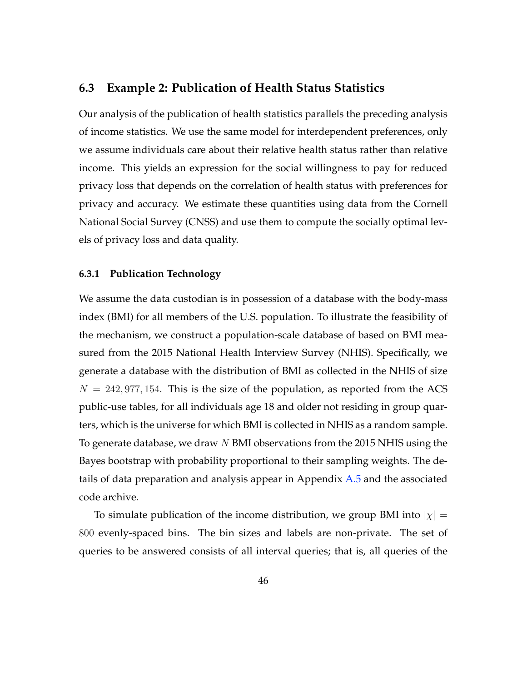## **6.3 Example 2: Publication of Health Status Statistics**

Our analysis of the publication of health statistics parallels the preceding analysis of income statistics. We use the same model for interdependent preferences, only we assume individuals care about their relative health status rather than relative income. This yields an expression for the social willingness to pay for reduced privacy loss that depends on the correlation of health status with preferences for privacy and accuracy. We estimate these quantities using data from the Cornell National Social Survey (CNSS) and use them to compute the socially optimal levels of privacy loss and data quality.

#### **6.3.1 Publication Technology**

We assume the data custodian is in possession of a database with the body-mass index (BMI) for all members of the U.S. population. To illustrate the feasibility of the mechanism, we construct a population-scale database of based on BMI measured from the 2015 National Health Interview Survey (NHIS). Specifically, we generate a database with the distribution of BMI as collected in the NHIS of size  $N = 242, 977, 154$ . This is the size of the population, as reported from the ACS public-use tables, for all individuals age 18 and older not residing in group quarters, which is the universe for which BMI is collected in NHIS as a random sample. To generate database, we draw N BMI observations from the 2015 NHIS using the Bayes bootstrap with probability proportional to their sampling weights. The details of data preparation and analysis appear in Appendix [A.5](#page-72-0) and the associated code archive.

To simulate publication of the income distribution, we group BMI into  $|\chi| =$ 800 evenly-spaced bins. The bin sizes and labels are non-private. The set of queries to be answered consists of all interval queries; that is, all queries of the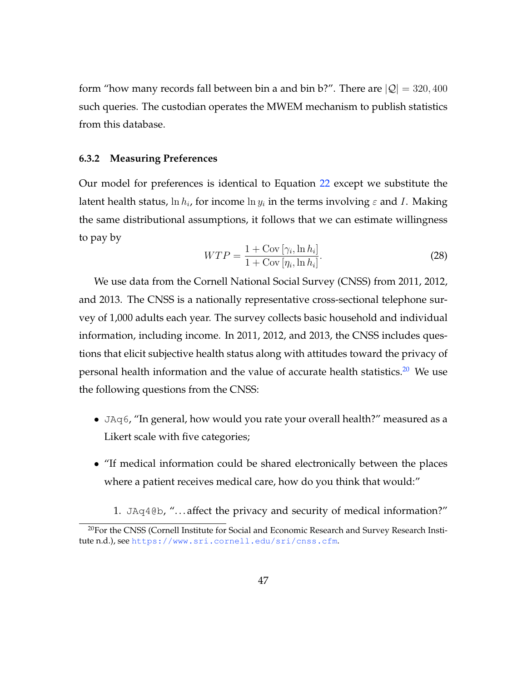form "how many records fall between bin a and bin b?". There are  $|Q| = 320, 400$ such queries. The custodian operates the MWEM mechanism to publish statistics from this database.

#### **6.3.2 Measuring Preferences**

Our model for preferences is identical to Equation [22](#page-40-2) except we substitute the latent health status,  $\ln h_i$ , for income  $\ln y_i$  in the terms involving  $\varepsilon$  and I. Making the same distributional assumptions, it follows that we can estimate willingness to pay by

$$
WTP = \frac{1 + \text{Cov} \left[ \gamma_i, \ln h_i \right]}{1 + \text{Cov} \left[ \eta_i, \ln h_i \right]}.
$$
\n(28)

We use data from the Cornell National Social Survey (CNSS) from 2011, 2012, and 2013. The CNSS is a nationally representative cross-sectional telephone survey of 1,000 adults each year. The survey collects basic household and individual information, including income. In 2011, 2012, and 2013, the CNSS includes questions that elicit subjective health status along with attitudes toward the privacy of personal health information and the value of accurate health statistics.<sup>[20](#page-48-0)</sup> We use the following questions from the CNSS:

- JAq6, "In general, how would you rate your overall health?" measured as a Likert scale with five categories;
- "If medical information could be shared electronically between the places where a patient receives medical care, how do you think that would:"
	- 1. JAq4@b, ". . . affect the privacy and security of medical information?"

<span id="page-48-0"></span><sup>&</sup>lt;sup>20</sup>For the CNSS [\(Cornell Institute for Social and Economic Research and Survey Research Insti](#page-56-3)[tute](#page-56-3) [n.d.\)](#page-56-3), see <https://www.sri.cornell.edu/sri/cnss.cfm>.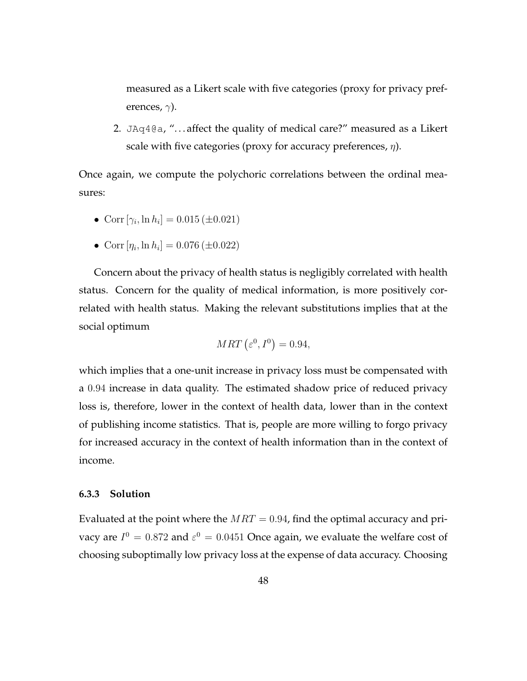measured as a Likert scale with five categories (proxy for privacy preferences,  $\gamma$ ).

2. JAq4 $@a$ , "... affect the quality of medical care?" measured as a Likert scale with five categories (proxy for accuracy preferences,  $\eta$ ).

Once again, we compute the polychoric correlations between the ordinal measures:

- Corr  $[\gamma_i, \ln h_i] = 0.015 (\pm 0.021)$
- Corr  $[\eta_i, \ln h_i] = 0.076 \, (\pm 0.022)$

Concern about the privacy of health status is negligibly correlated with health status. Concern for the quality of medical information, is more positively correlated with health status. Making the relevant substitutions implies that at the social optimum

$$
MRT\left(\varepsilon^0, I^0\right) = 0.94,
$$

which implies that a one-unit increase in privacy loss must be compensated with a 0.94 increase in data quality. The estimated shadow price of reduced privacy loss is, therefore, lower in the context of health data, lower than in the context of publishing income statistics. That is, people are more willing to forgo privacy for increased accuracy in the context of health information than in the context of income.

#### **6.3.3 Solution**

Evaluated at the point where the  $MRT = 0.94$ , find the optimal accuracy and privacy are  $I^0 = 0.872$  and  $\varepsilon^0 = 0.0451$  Once again, we evaluate the welfare cost of choosing suboptimally low privacy loss at the expense of data accuracy. Choosing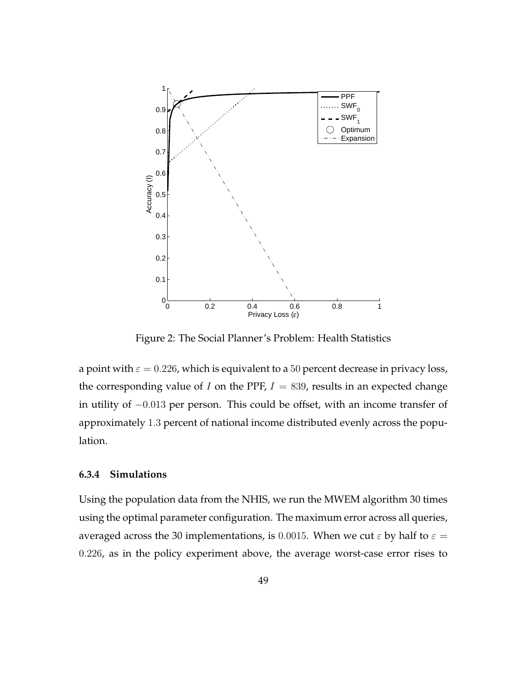

Figure 2: The Social Planner's Problem: Health Statistics

a point with  $\varepsilon = 0.226$ , which is equivalent to a 50 percent decrease in privacy loss, the corresponding value of I on the PPF,  $I = 839$ , results in an expected change in utility of −0.013 per person. This could be offset, with an income transfer of approximately 1.3 percent of national income distributed evenly across the population.

#### **6.3.4 Simulations**

Using the population data from the NHIS, we run the MWEM algorithm 30 times using the optimal parameter configuration. The maximum error across all queries, averaged across the 30 implementations, is 0.0015. When we cut  $\varepsilon$  by half to  $\varepsilon =$ 0.226, as in the policy experiment above, the average worst-case error rises to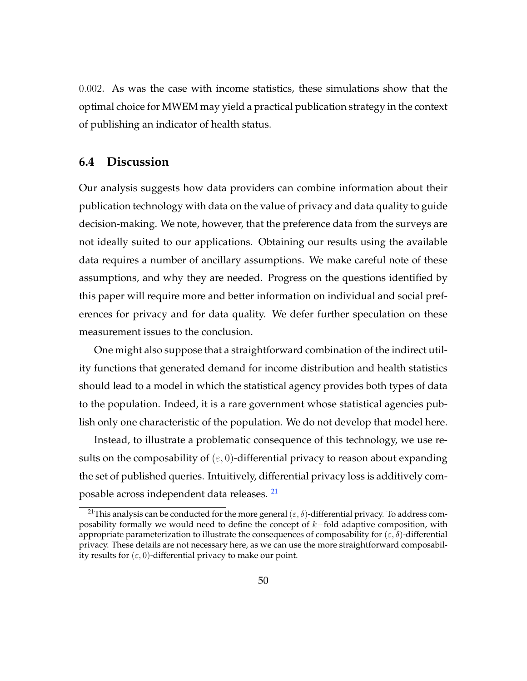0.002. As was the case with income statistics, these simulations show that the optimal choice for MWEM may yield a practical publication strategy in the context of publishing an indicator of health status.

### **6.4 Discussion**

Our analysis suggests how data providers can combine information about their publication technology with data on the value of privacy and data quality to guide decision-making. We note, however, that the preference data from the surveys are not ideally suited to our applications. Obtaining our results using the available data requires a number of ancillary assumptions. We make careful note of these assumptions, and why they are needed. Progress on the questions identified by this paper will require more and better information on individual and social preferences for privacy and for data quality. We defer further speculation on these measurement issues to the conclusion.

One might also suppose that a straightforward combination of the indirect utility functions that generated demand for income distribution and health statistics should lead to a model in which the statistical agency provides both types of data to the population. Indeed, it is a rare government whose statistical agencies publish only one characteristic of the population. We do not develop that model here.

Instead, to illustrate a problematic consequence of this technology, we use results on the composability of  $(\varepsilon, 0)$ -differential privacy to reason about expanding the set of published queries. Intuitively, differential privacy loss is additively com-posable across independent data releases.<sup>[21](#page-51-0)</sup>

<span id="page-51-0"></span><sup>&</sup>lt;sup>21</sup>This analysis can be conducted for the more general ( $\varepsilon$ ,  $\delta$ )-differential privacy. To address composability formally we would need to define the concept of k-fold adaptive composition, with appropriate parameterization to illustrate the consequences of composability for  $(\varepsilon, \delta)$ -differential privacy. These details are not necessary here, as we can use the more straightforward composability results for  $(\varepsilon, 0)$ -differential privacy to make our point.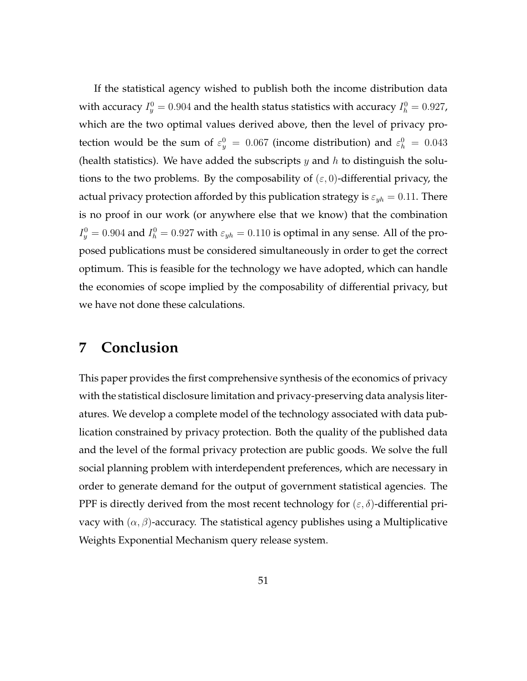If the statistical agency wished to publish both the income distribution data with accuracy  $I_y^0 = 0.904$  and the health status statistics with accuracy  $I_h^0 = 0.927$ , which are the two optimal values derived above, then the level of privacy protection would be the sum of  $\varepsilon_y^0 = 0.067$  (income distribution) and  $\varepsilon_h^0 = 0.043$ (health statistics). We have added the subscripts  $y$  and  $h$  to distinguish the solutions to the two problems. By the composability of  $(\varepsilon, 0)$ -differential privacy, the actual privacy protection afforded by this publication strategy is  $\varepsilon_{yh} = 0.11$ . There is no proof in our work (or anywhere else that we know) that the combination  $I_y^0 = 0.904$  and  $I_h^0 = 0.927$  with  $\varepsilon_{yh} = 0.110$  is optimal in any sense. All of the proposed publications must be considered simultaneously in order to get the correct optimum. This is feasible for the technology we have adopted, which can handle the economies of scope implied by the composability of differential privacy, but we have not done these calculations.

# **7 Conclusion**

This paper provides the first comprehensive synthesis of the economics of privacy with the statistical disclosure limitation and privacy-preserving data analysis literatures. We develop a complete model of the technology associated with data publication constrained by privacy protection. Both the quality of the published data and the level of the formal privacy protection are public goods. We solve the full social planning problem with interdependent preferences, which are necessary in order to generate demand for the output of government statistical agencies. The PPF is directly derived from the most recent technology for  $(\varepsilon, \delta)$ -differential privacy with  $(\alpha, \beta)$ -accuracy. The statistical agency publishes using a Multiplicative Weights Exponential Mechanism query release system.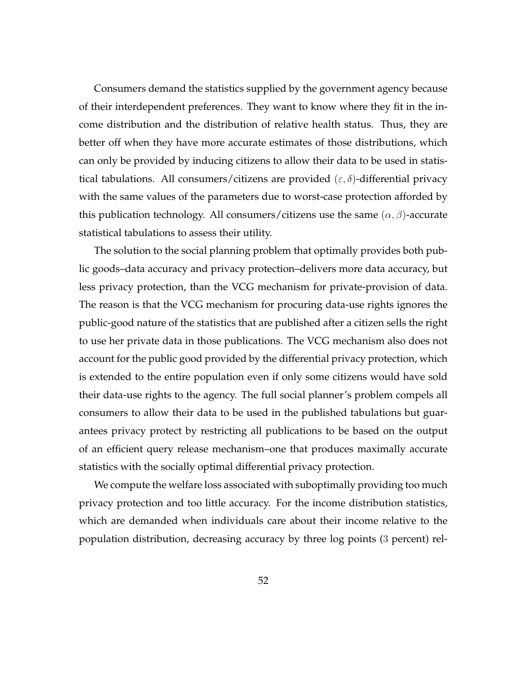Consumers demand the statistics supplied by the government agency because of their interdependent preferences. They want to know where they fit in the income distribution and the distribution of relative health status. Thus, they are better off when they have more accurate estimates of those distributions, which can only be provided by inducing citizens to allow their data to be used in statistical tabulations. All consumers/citizens are provided  $(\varepsilon, \delta)$ -differential privacy with the same values of the parameters due to worst-case protection afforded by this publication technology. All consumers/citizens use the same  $(\alpha, \beta)$ -accurate statistical tabulations to assess their utility.

The solution to the social planning problem that optimally provides both public goods–data accuracy and privacy protection–delivers more data accuracy, but less privacy protection, than the VCG mechanism for private-provision of data. The reason is that the VCG mechanism for procuring data-use rights ignores the public-good nature of the statistics that are published after a citizen sells the right to use her private data in those publications. The VCG mechanism also does not account for the public good provided by the differential privacy protection, which is extended to the entire population even if only some citizens would have sold their data-use rights to the agency. The full social planner's problem compels all consumers to allow their data to be used in the published tabulations but guarantees privacy protect by restricting all publications to be based on the output of an efficient query release mechanism–one that produces maximally accurate statistics with the socially optimal differential privacy protection.

We compute the welfare loss associated with suboptimally providing too much privacy protection and too little accuracy. For the income distribution statistics, which are demanded when individuals care about their income relative to the population distribution, decreasing accuracy by three log points (3 percent) rel-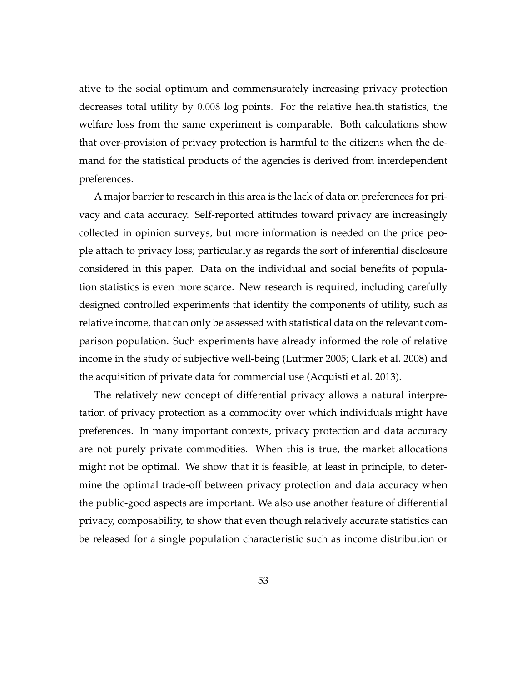ative to the social optimum and commensurately increasing privacy protection decreases total utility by 0.008 log points. For the relative health statistics, the welfare loss from the same experiment is comparable. Both calculations show that over-provision of privacy protection is harmful to the citizens when the demand for the statistical products of the agencies is derived from interdependent preferences.

A major barrier to research in this area is the lack of data on preferences for privacy and data accuracy. Self-reported attitudes toward privacy are increasingly collected in opinion surveys, but more information is needed on the price people attach to privacy loss; particularly as regards the sort of inferential disclosure considered in this paper. Data on the individual and social benefits of population statistics is even more scarce. New research is required, including carefully designed controlled experiments that identify the components of utility, such as relative income, that can only be assessed with statistical data on the relevant comparison population. Such experiments have already informed the role of relative income in the study of subjective well-being [\(Luttmer](#page-59-1) [2005;](#page-59-1) [Clark et al.](#page-56-4) [2008\)](#page-56-4) and the acquisition of private data for commercial use [\(Acquisti et al.](#page-55-3) [2013\)](#page-55-3).

The relatively new concept of differential privacy allows a natural interpretation of privacy protection as a commodity over which individuals might have preferences. In many important contexts, privacy protection and data accuracy are not purely private commodities. When this is true, the market allocations might not be optimal. We show that it is feasible, at least in principle, to determine the optimal trade-off between privacy protection and data accuracy when the public-good aspects are important. We also use another feature of differential privacy, composability, to show that even though relatively accurate statistics can be released for a single population characteristic such as income distribution or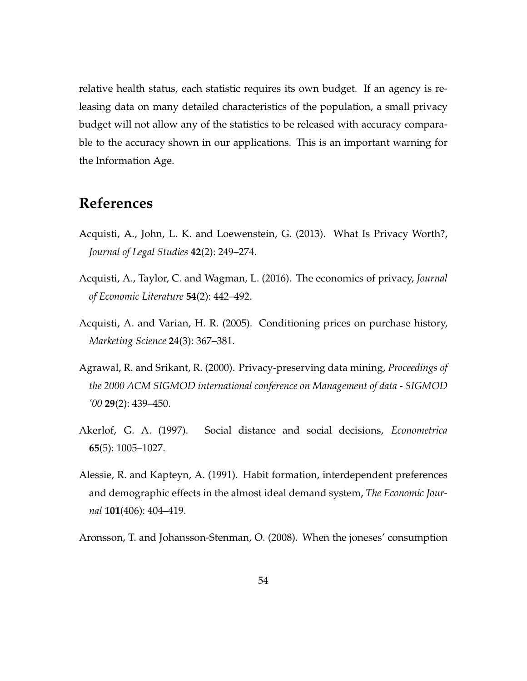relative health status, each statistic requires its own budget. If an agency is releasing data on many detailed characteristics of the population, a small privacy budget will not allow any of the statistics to be released with accuracy comparable to the accuracy shown in our applications. This is an important warning for the Information Age.

# **References**

- <span id="page-55-3"></span>Acquisti, A., John, L. K. and Loewenstein, G. (2013). What Is Privacy Worth?, *Journal of Legal Studies* **42**(2): 249–274.
- Acquisti, A., Taylor, C. and Wagman, L. (2016). The economics of privacy, *Journal of Economic Literature* **54**(2): 442–492.
- Acquisti, A. and Varian, H. R. (2005). Conditioning prices on purchase history, *Marketing Science* **24**(3): 367–381.
- Agrawal, R. and Srikant, R. (2000). Privacy-preserving data mining, *Proceedings of the 2000 ACM SIGMOD international conference on Management of data - SIGMOD '00* **29**(2): 439–450.
- <span id="page-55-0"></span>Akerlof, G. A. (1997). Social distance and social decisions, *Econometrica* **65**(5): 1005–1027.
- <span id="page-55-1"></span>Alessie, R. and Kapteyn, A. (1991). Habit formation, interdependent preferences and demographic effects in the almost ideal demand system, *The Economic Journal* **101**(406): 404–419.
- <span id="page-55-2"></span>Aronsson, T. and Johansson-Stenman, O. (2008). When the joneses' consumption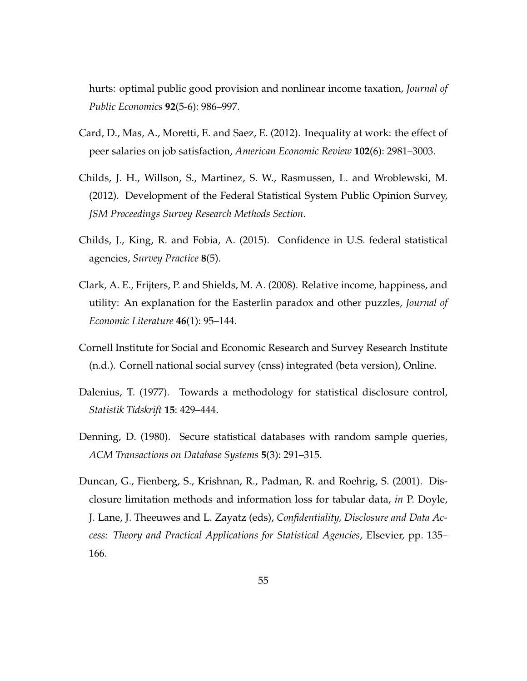hurts: optimal public good provision and nonlinear income taxation, *Journal of Public Economics* **92**(5-6): 986–997.

- <span id="page-56-0"></span>Card, D., Mas, A., Moretti, E. and Saez, E. (2012). Inequality at work: the effect of peer salaries on job satisfaction, *American Economic Review* **102**(6): 2981–3003.
- <span id="page-56-1"></span>Childs, J. H., Willson, S., Martinez, S. W., Rasmussen, L. and Wroblewski, M. (2012). Development of the Federal Statistical System Public Opinion Survey, *JSM Proceedings Survey Research Methods Section*.
- <span id="page-56-2"></span>Childs, J., King, R. and Fobia, A. (2015). Confidence in U.S. federal statistical agencies, *Survey Practice* **8**(5).
- <span id="page-56-4"></span>Clark, A. E., Frijters, P. and Shields, M. A. (2008). Relative income, happiness, and utility: An explanation for the Easterlin paradox and other puzzles, *Journal of Economic Literature* **46**(1): 95–144.
- <span id="page-56-3"></span>Cornell Institute for Social and Economic Research and Survey Research Institute (n.d.). Cornell national social survey (cnss) integrated (beta version), Online.
- Dalenius, T. (1977). Towards a methodology for statistical disclosure control, *Statistik Tidskrift* **15**: 429–444.
- Denning, D. (1980). Secure statistical databases with random sample queries, *ACM Transactions on Database Systems* **5**(3): 291–315.
- Duncan, G., Fienberg, S., Krishnan, R., Padman, R. and Roehrig, S. (2001). Disclosure limitation methods and information loss for tabular data, *in* P. Doyle, J. Lane, J. Theeuwes and L. Zayatz (eds), *Confidentiality, Disclosure and Data Access: Theory and Practical Applications for Statistical Agencies*, Elsevier, pp. 135– 166.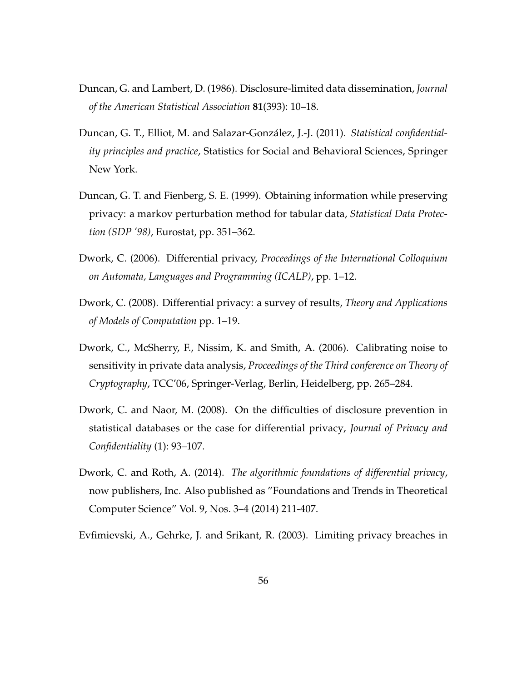- Duncan, G. and Lambert, D. (1986). Disclosure-limited data dissemination, *Journal of the American Statistical Association* **81**(393): 10–18.
- Duncan, G. T., Elliot, M. and Salazar-Gonzalez, J.-J. (2011). ´ *Statistical confidentiality principles and practice*, Statistics for Social and Behavioral Sciences, Springer New York.
- Duncan, G. T. and Fienberg, S. E. (1999). Obtaining information while preserving privacy: a markov perturbation method for tabular data, *Statistical Data Protection (SDP '98)*, Eurostat, pp. 351–362.
- Dwork, C. (2006). Differential privacy, *Proceedings of the International Colloquium on Automata, Languages and Programming (ICALP)*, pp. 1–12.
- Dwork, C. (2008). Differential privacy: a survey of results, *Theory and Applications of Models of Computation* pp. 1–19.
- <span id="page-57-0"></span>Dwork, C., McSherry, F., Nissim, K. and Smith, A. (2006). Calibrating noise to sensitivity in private data analysis, *Proceedings of the Third conference on Theory of Cryptography*, TCC'06, Springer-Verlag, Berlin, Heidelberg, pp. 265–284.
- Dwork, C. and Naor, M. (2008). On the difficulties of disclosure prevention in statistical databases or the case for differential privacy, *Journal of Privacy and Confidentiality* (1): 93–107.
- <span id="page-57-1"></span>Dwork, C. and Roth, A. (2014). *The algorithmic foundations of differential privacy*, now publishers, Inc. Also published as "Foundations and Trends in Theoretical Computer Science" Vol. 9, Nos. 3–4 (2014) 211-407.
- Evfimievski, A., Gehrke, J. and Srikant, R. (2003). Limiting privacy breaches in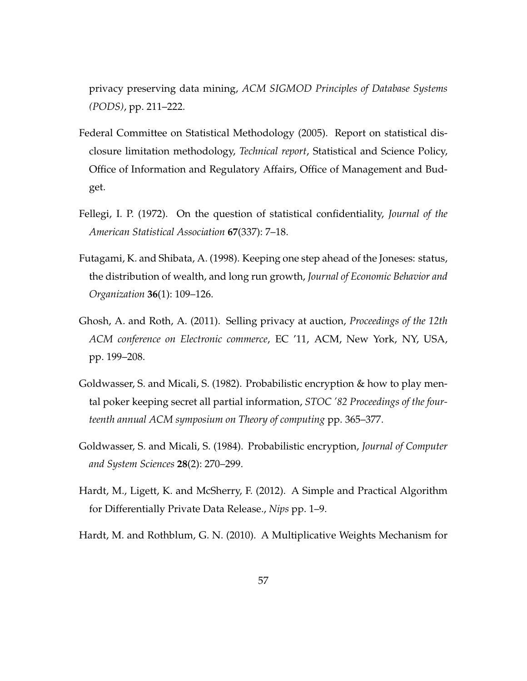privacy preserving data mining, *ACM SIGMOD Principles of Database Systems (PODS)*, pp. 211–222.

- Federal Committee on Statistical Methodology (2005). Report on statistical disclosure limitation methodology, *Technical report*, Statistical and Science Policy, Office of Information and Regulatory Affairs, Office of Management and Budget.
- Fellegi, I. P. (1972). On the question of statistical confidentiality, *Journal of the American Statistical Association* **67**(337): 7–18.
- Futagami, K. and Shibata, A. (1998). Keeping one step ahead of the Joneses: status, the distribution of wealth, and long run growth, *Journal of Economic Behavior and Organization* **36**(1): 109–126.
- <span id="page-58-1"></span>Ghosh, A. and Roth, A. (2011). Selling privacy at auction, *Proceedings of the 12th ACM conference on Electronic commerce*, EC '11, ACM, New York, NY, USA, pp. 199–208.
- Goldwasser, S. and Micali, S. (1982). Probabilistic encryption & how to play mental poker keeping secret all partial information, *STOC '82 Proceedings of the fourteenth annual ACM symposium on Theory of computing* pp. 365–377.
- Goldwasser, S. and Micali, S. (1984). Probabilistic encryption, *Journal of Computer and System Sciences* **28**(2): 270–299.
- <span id="page-58-0"></span>Hardt, M., Ligett, K. and McSherry, F. (2012). A Simple and Practical Algorithm for Differentially Private Data Release., *Nips* pp. 1–9.
- Hardt, M. and Rothblum, G. N. (2010). A Multiplicative Weights Mechanism for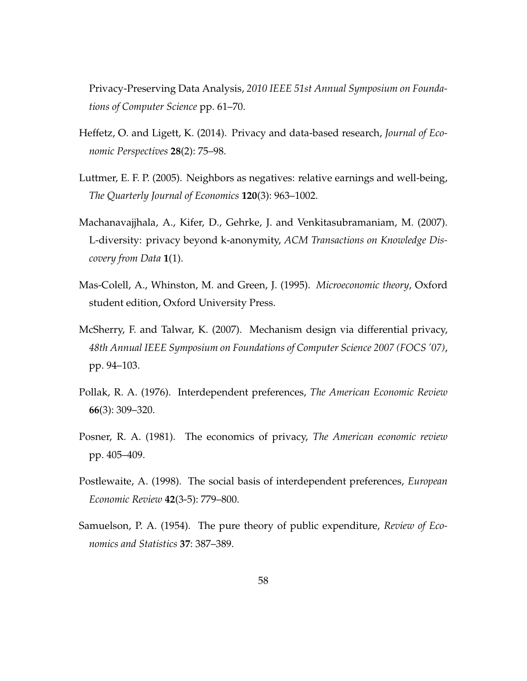Privacy-Preserving Data Analysis, *2010 IEEE 51st Annual Symposium on Foundations of Computer Science* pp. 61–70.

- Heffetz, O. and Ligett, K. (2014). Privacy and data-based research, *Journal of Economic Perspectives* **28**(2): 75–98.
- <span id="page-59-1"></span>Luttmer, E. F. P. (2005). Neighbors as negatives: relative earnings and well-being, *The Quarterly Journal of Economics* **120**(3): 963–1002.
- Machanavajjhala, A., Kifer, D., Gehrke, J. and Venkitasubramaniam, M. (2007). L-diversity: privacy beyond k-anonymity, *ACM Transactions on Knowledge Discovery from Data* **1**(1).
- Mas-Colell, A., Whinston, M. and Green, J. (1995). *Microeconomic theory*, Oxford student edition, Oxford University Press.
- McSherry, F. and Talwar, K. (2007). Mechanism design via differential privacy, *48th Annual IEEE Symposium on Foundations of Computer Science 2007 (FOCS '07)*, pp. 94–103.
- <span id="page-59-0"></span>Pollak, R. A. (1976). Interdependent preferences, *The American Economic Review* **66**(3): 309–320.
- Posner, R. A. (1981). The economics of privacy, *The American economic review* pp. 405–409.
- Postlewaite, A. (1998). The social basis of interdependent preferences, *European Economic Review* **42**(3-5): 779–800.
- Samuelson, P. A. (1954). The pure theory of public expenditure, *Review of Economics and Statistics* **37**: 387–389.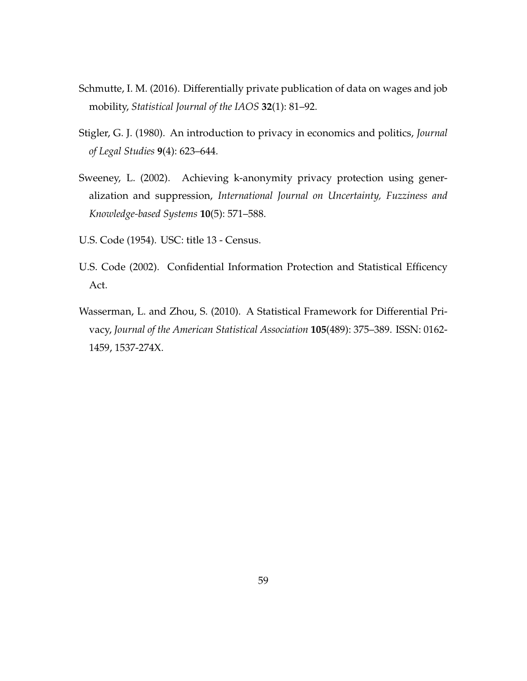- <span id="page-60-0"></span>Schmutte, I. M. (2016). Differentially private publication of data on wages and job mobility, *Statistical Journal of the IAOS* **32**(1): 81–92.
- Stigler, G. J. (1980). An introduction to privacy in economics and politics, *Journal of Legal Studies* **9**(4): 623–644.
- Sweeney, L. (2002). Achieving k-anonymity privacy protection using generalization and suppression, *International Journal on Uncertainty, Fuzziness and Knowledge-based Systems* **10**(5): 571–588.
- U.S. Code (1954). USC: title 13 Census.
- U.S. Code (2002). Confidential Information Protection and Statistical Efficency Act.
- Wasserman, L. and Zhou, S. (2010). A Statistical Framework for Differential Privacy, *Journal of the American Statistical Association* **105**(489): 375–389. ISSN: 0162- 1459, 1537-274X.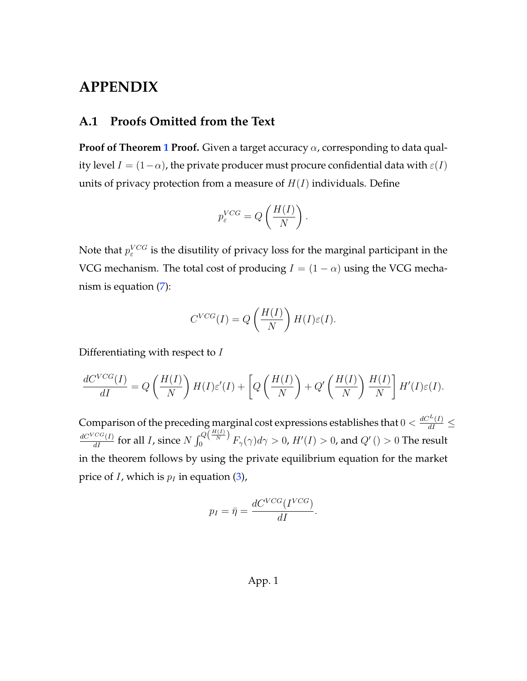# **APPENDIX**

# **A.1 Proofs Omitted from the Text**

**Proof of Theorem [1](#page-30-1) Proof.** Given a target accuracy α, corresponding to data quality level  $I = (1 - \alpha)$ , the private producer must procure confidential data with  $\varepsilon(I)$ units of privacy protection from a measure of  $H(I)$  individuals. Define

$$
p_{\varepsilon}^{VCG} = Q\left(\frac{H(I)}{N}\right).
$$

Note that  $p_{\varepsilon}^{VCG}$  is the disutility of privacy loss for the marginal participant in the VCG mechanism. The total cost of producing  $I = (1 - \alpha)$  using the VCG mechanism is equation [\(7\)](#page-27-0):

$$
C^{VCG}(I) = Q\left(\frac{H(I)}{N}\right)H(I)\varepsilon(I).
$$

Differentiating with respect to  $I$ 

$$
\frac{dC^{VCG}(I)}{dI} = Q\left(\frac{H(I)}{N}\right)H(I)\varepsilon'(I) + \left[Q\left(\frac{H(I)}{N}\right) + Q'\left(\frac{H(I)}{N}\right)\frac{H(I)}{N}\right]H'(I)\varepsilon(I).
$$

Comparison of the preceding marginal cost expressions establishes that  $0 < \frac{dC^L(I)}{dI} \le$  $\frac{dC^{VCG}(I)}{dI}$  for all *I*, since  $N \int_0^{Q(\frac{H(I)}{N})} F_\gamma(\gamma) d\gamma > 0$ ,  $H'(I) > 0$ , and  $Q'($   $) > 0$  The result in the theorem follows by using the private equilibrium equation for the market price of *I*, which is  $p_I$  in equation [\(3\)](#page-24-0),

$$
p_I = \bar{\eta} = \frac{dC^{VCG}(I^{VCG})}{dI}.
$$

### App. 1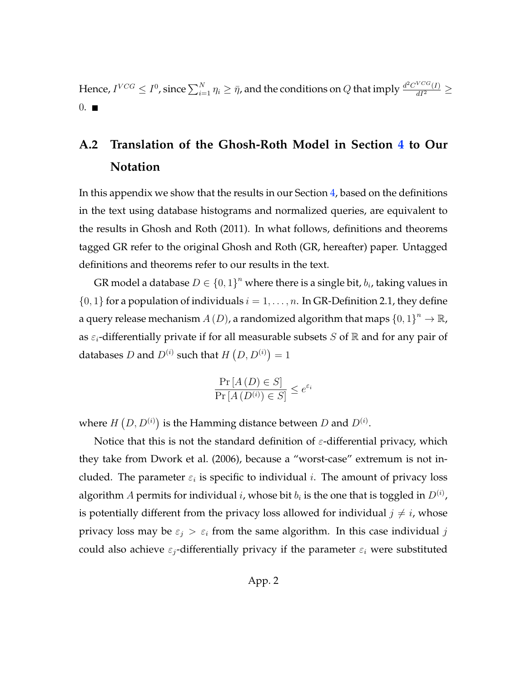Hence,  $I^{VCG}\leq I^0$ , since  $\sum_{i=1}^N \eta_i\geq \bar{\eta}$ , and the conditions on  $Q$  that imply  $\frac{d^2C^{VCG}(I)}{dI^2}\geq$  $0.$   $\blacksquare$ 

# **A.2 Translation of the Ghosh-Roth Model in Section [4](#page-21-0) to Our Notation**

In this appendix we show that the results in our Section [4,](#page-21-0) based on the definitions in the text using database histograms and normalized queries, are equivalent to the results in [Ghosh and Roth](#page-58-1) [\(2011\)](#page-58-1). In what follows, definitions and theorems tagged GR refer to the original Ghosh and Roth (GR, hereafter) paper. Untagged definitions and theorems refer to our results in the text.

GR model a database  $D \in \{0,1\}^n$  where there is a single bit,  $b_i$ , taking values in  $\{0, 1\}$  for a population of individuals  $i = 1, \ldots, n$ . In GR-Definition 2.1, they define a query release mechanism  $A\left( D\right)$ , a randomized algorithm that maps  $\left\{ 0,1\right\} ^{n}\rightarrow\mathbb{R}$ , as  $\varepsilon_i$ -differentially private if for all measurable subsets S of  $\mathbb R$  and for any pair of databases D and  $D^{(i)}$  such that  $H(D, D^{(i)}) = 1$ 

$$
\frac{\Pr\left[A\left(D\right) \in S\right]}{\Pr\left[A\left(D^{(i)}\right) \in S\right]} \le e^{\varepsilon_i}
$$

where  $H(D, D^{(i)})$  is the Hamming distance between D and  $D^{(i)}$ .

Notice that this is not the standard definition of  $\varepsilon$ -differential privacy, which they take from [Dwork et al.](#page-57-0) [\(2006\)](#page-57-0), because a "worst-case" extremum is not included. The parameter  $\varepsilon_i$  is specific to individual i. The amount of privacy loss algorithm  $A$  permits for individual  $i$ , whose bit  $b_i$  is the one that is toggled in  $D^{(i)}$ , is potentially different from the privacy loss allowed for individual  $j \neq i$ , whose privacy loss may be  $\varepsilon_j > \varepsilon_i$  from the same algorithm. In this case individual j could also achieve  $\varepsilon_i$ -differentially privacy if the parameter  $\varepsilon_i$  were substituted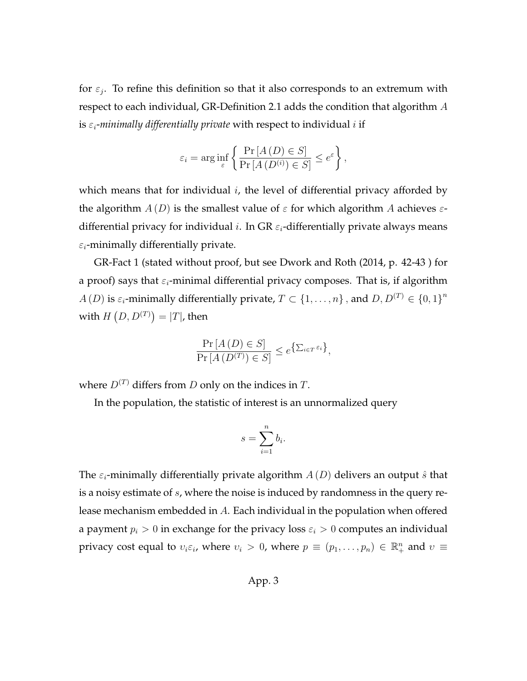for  $\varepsilon_j$ . To refine this definition so that it also corresponds to an extremum with respect to each individual, GR-Definition 2.1 adds the condition that algorithm  $A$ is  $\varepsilon_i$ -minimally differentially private with respect to individual i if

$$
\varepsilon_i = \arg\inf_{\varepsilon} \left\{ \frac{\Pr\left[A\left(D\right) \in S\right]}{\Pr\left[A\left(D^{(i)}\right) \in S\right]} \leq e^{\varepsilon} \right\},\,
$$

which means that for individual  $i$ , the level of differential privacy afforded by the algorithm  $A(D)$  is the smallest value of  $\varepsilon$  for which algorithm A achieves  $\varepsilon$ differential privacy for individual *i*. In GR  $\varepsilon_i$ -differentially private always means  $\varepsilon_i$ -minimally differentially private.

GR-Fact 1 (stated without proof, but see [Dwork and Roth](#page-57-1) [\(2014,](#page-57-1) p. 42-43 ) for a proof) says that  $\varepsilon_i$ -minimal differential privacy composes. That is, if algorithm  $A(D)$  is  $\varepsilon_i$ -minimally differentially private,  $T \subset \{1, \ldots, n\}$ , and  $D, D^{(T)} \in \{0, 1\}^n$ with  $H\left( D,D^{(T)}\right) =\left\vert T\right\vert$ , then

$$
\frac{\Pr\left[A\left(D\right) \in S\right]}{\Pr\left[A\left(D^{\left(T\right)}\right) \in S\right]} \le e^{\left\{\sum_{i \in T} \varepsilon_{i}\right\}},
$$

where  $D^{(T)}$  differs from D only on the indices in T.

In the population, the statistic of interest is an unnormalized query

$$
s = \sum_{i=1}^{n} b_i.
$$

The  $\varepsilon_i$ -minimally differentially private algorithm  $A(D)$  delivers an output  $\hat{s}$  that is a noisy estimate of  $s$ , where the noise is induced by randomness in the query release mechanism embedded in A. Each individual in the population when offered a payment  $p_i > 0$  in exchange for the privacy loss  $\varepsilon_i > 0$  computes an individual privacy cost equal to  $v_i \varepsilon_i$ , where  $v_i > 0$ , where  $p \equiv (p_1, \ldots, p_n) \in \mathbb{R}^n_+$  and  $v \equiv$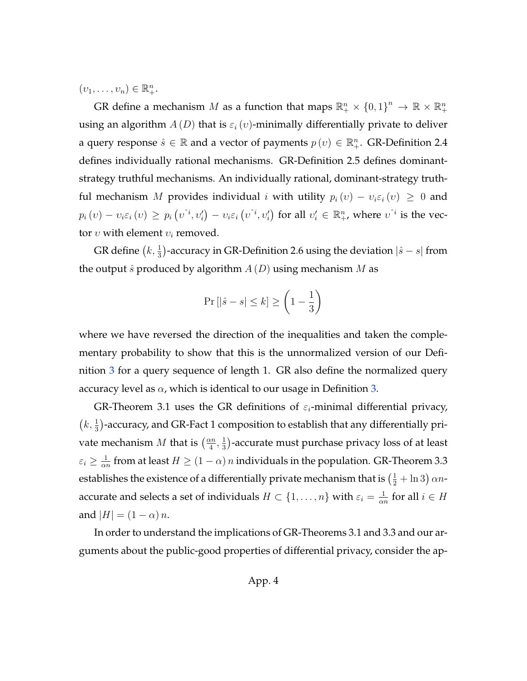$(v_1,\ldots,v_n)\in\mathbb{R}^n_+.$ 

GR define a mechanism  $M$  as a function that maps  $\mathbb{R}^n_+ \times \{0,1\}^n \to \mathbb{R} \times \mathbb{R}^n_+$ using an algorithm  $A(D)$  that is  $\varepsilon_i(v)$ -minimally differentially private to deliver a query response  $\hat{s} \in \mathbb{R}$  and a vector of payments  $p(v) \in \mathbb{R}_+^n$ . GR-Definition 2.4 defines individually rational mechanisms. GR-Definition 2.5 defines dominantstrategy truthful mechanisms. An individually rational, dominant-strategy truthful mechanism M provides individual i with utility  $p_i(v) - v_i \varepsilon_i(v) \geq 0$  and  $p_i(v) - v_i \varepsilon_i(v) \geq p_i(v^{\varepsilon_i}, v'_i) - v_i \varepsilon_i(v^{\varepsilon_i}, v'_i)$  for all  $v'_i \in \mathbb{R}^n_+$ , where  $v^{\varepsilon_i}$  is the vector  $v$  with element  $v_i$  removed.

GR define  $\left(k,\frac{1}{3}\right)$ -accuracy in GR-Definition 2.6 using the deviation  $\left|\hat{s}-s\right|$  from the output  $\hat{s}$  produced by algorithm  $A(D)$  using mechanism M as

$$
\Pr\left[|\hat{s} - s| \le k\right] \ge \left(1 - \frac{1}{3}\right)
$$

where we have reversed the direction of the inequalities and taken the complementary probability to show that this is the unnormalized version of our Definition [3](#page-21-1) for a query sequence of length 1. GR also define the normalized query accuracy level as  $\alpha$ , which is identical to our usage in Definition [3.](#page-21-1)

GR-Theorem 3.1 uses the GR definitions of  $\varepsilon_i$ -minimal differential privacy,  $(k, \frac{1}{3})$ -accuracy, and GR-Fact 1 composition to establish that any differentially private mechanism  $M$  that is  $\left(\frac{\alpha n}{4}\right)$  $\frac{\nu n}{4}$ ,  $\frac{1}{3}$  $\frac{1}{3}$ )-accurate must purchase privacy loss of at least  $\varepsilon_i \geq \frac{1}{\alpha_i}$  $\frac{1}{\alpha n}$  from at least  $H \geq (1-\alpha) \, n$  individuals in the population. GR-Theorem 3.3 establishes the existence of a differentially private mechanism that is  $\left(\frac{1}{2} + \ln 3\right) \alpha n$ accurate and selects a set of individuals  $H \subset \{1, \ldots, n\}$  with  $\varepsilon_i = \frac{1}{\alpha_i}$  $\frac{1}{\alpha n}$  for all  $i \in H$ and  $|H| = (1 - \alpha) n$ .

In order to understand the implications of GR-Theorems 3.1 and 3.3 and our arguments about the public-good properties of differential privacy, consider the ap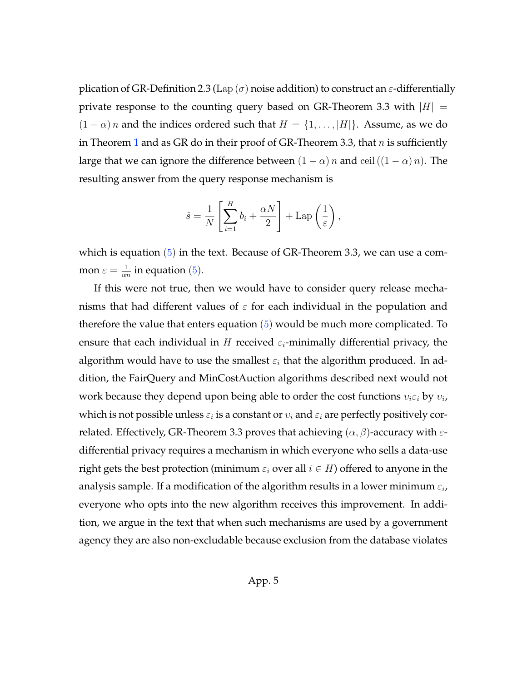plication of GR-Definition 2.3 (Lap  $(\sigma)$  noise addition) to construct an  $\varepsilon$ -differentially private response to the counting query based on GR-Theorem 3.3 with  $|H| =$  $(1 - \alpha)$  *n* and the indices ordered such that  $H = \{1, \ldots, |H|\}$ . Assume, as we do in Theorem [1](#page-30-1) and as GR do in their proof of GR-Theorem 3.3, that  $n$  is sufficiently large that we can ignore the difference between  $(1 - \alpha) n$  and ceil  $((1 - \alpha) n)$ . The resulting answer from the query response mechanism is

$$
\hat{s} = \frac{1}{N} \left[ \sum_{i=1}^{H} b_i + \frac{\alpha N}{2} \right] + \text{Lap} \left( \frac{1}{\varepsilon} \right),
$$

which is equation  $(5)$  in the text. Because of GR-Theorem 3.3, we can use a common  $\varepsilon = \frac{1}{\alpha}$  $\frac{1}{\alpha n}$  in equation [\(5\)](#page-26-0).

If this were not true, then we would have to consider query release mechanisms that had different values of  $\varepsilon$  for each individual in the population and therefore the value that enters equation  $(5)$  would be much more complicated. To ensure that each individual in H received  $\varepsilon_i$ -minimally differential privacy, the algorithm would have to use the smallest  $\varepsilon_i$  that the algorithm produced. In addition, the FairQuery and MinCostAuction algorithms described next would not work because they depend upon being able to order the cost functions  $v_i \varepsilon_i$  by  $v_i$ , which is not possible unless  $\varepsilon_i$  is a constant or  $v_i$  and  $\varepsilon_i$  are perfectly positively correlated. Effectively, GR-Theorem 3.3 proves that achieving  $(\alpha, \beta)$ -accuracy with  $\varepsilon$ differential privacy requires a mechanism in which everyone who sells a data-use right gets the best protection (minimum  $\varepsilon_i$  over all  $i \in H$ ) offered to anyone in the analysis sample. If a modification of the algorithm results in a lower minimum  $\varepsilon_i$ , everyone who opts into the new algorithm receives this improvement. In addition, we argue in the text that when such mechanisms are used by a government agency they are also non-excludable because exclusion from the database violates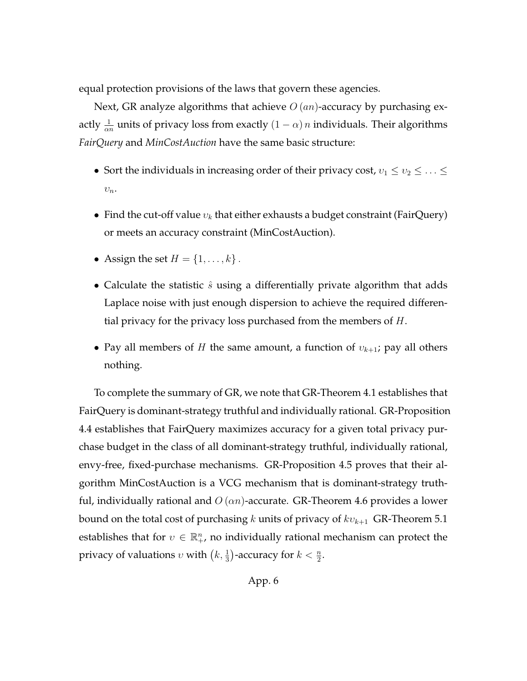equal protection provisions of the laws that govern these agencies.

Next, GR analyze algorithms that achieve  $O(an)$ -accuracy by purchasing exactly  $\frac{1}{\alpha n}$  units of privacy loss from exactly  $(1 - \alpha) n$  individuals. Their algorithms *FairQuery* and *MinCostAuction* have the same basic structure:

- Sort the individuals in increasing order of their privacy cost,  $v_1 \le v_2 \le \ldots \le v_n$  $v_n$ .
- Find the cut-off value  $v_k$  that either exhausts a budget constraint (FairQuery) or meets an accuracy constraint (MinCostAuction).
- Assign the set  $H = \{1, \ldots, k\}$ .
- Calculate the statistic  $\hat{s}$  using a differentially private algorithm that adds Laplace noise with just enough dispersion to achieve the required differential privacy for the privacy loss purchased from the members of  $H$ .
- Pay all members of H the same amount, a function of  $v_{k+1}$ ; pay all others nothing.

To complete the summary of GR, we note that GR-Theorem 4.1 establishes that FairQuery is dominant-strategy truthful and individually rational. GR-Proposition 4.4 establishes that FairQuery maximizes accuracy for a given total privacy purchase budget in the class of all dominant-strategy truthful, individually rational, envy-free, fixed-purchase mechanisms. GR-Proposition 4.5 proves that their algorithm MinCostAuction is a VCG mechanism that is dominant-strategy truthful, individually rational and  $O(\alpha n)$ -accurate. GR-Theorem 4.6 provides a lower bound on the total cost of purchasing k units of privacy of  $kv_{k+1}$  GR-Theorem 5.1 establishes that for  $v \in \mathbb{R}^n_+$ , no individually rational mechanism can protect the privacy of valuations  $v$  with  $\left(k,\frac{1}{3}\right)$ -accuracy for  $k<\frac{n}{2}$ .

App. 6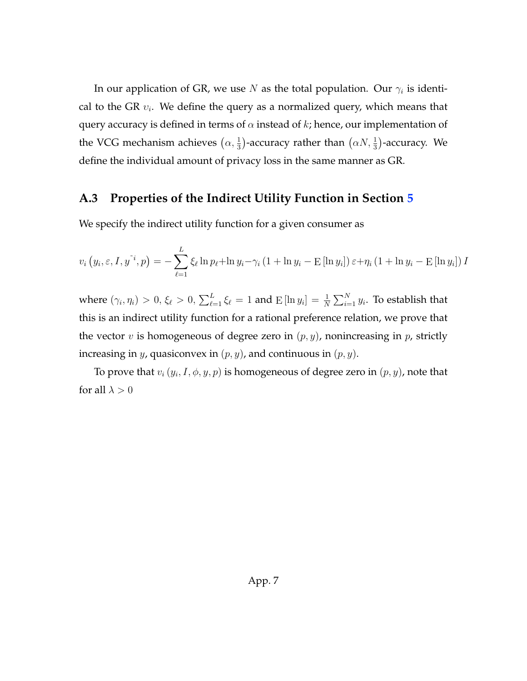In our application of GR, we use  $N$  as the total population. Our  $\gamma_i$  is identical to the GR  $v_i$ . We define the query as a normalized query, which means that query accuracy is defined in terms of  $\alpha$  instead of k; hence, our implementation of the VCG mechanism achieves  $(\alpha, \frac{1}{3})$ -accuracy rather than  $(\alpha N, \frac{1}{3})$ -accuracy. We define the individual amount of privacy loss in the same manner as GR.

# <span id="page-67-0"></span>**A.3 Properties of the Indirect Utility Function in Section [5](#page-30-0)**

We specify the indirect utility function for a given consumer as

$$
v_i\left(y_i, \varepsilon, I, y^{\tilde{i}}, p\right) = -\sum_{\ell=1}^L \xi_\ell \ln p_\ell + \ln y_i - \gamma_i \left(1 + \ln y_i - \operatorname{E}\left[\ln y_i\right]\right) \varepsilon + \eta_i \left(1 + \ln y_i - \operatorname{E}\left[\ln y_i\right]\right) I
$$

where  $(\gamma_i, \eta_i) > 0, \, \xi_\ell > 0, \, \sum_{\ell=1}^L \xi_\ell = 1$  and  $\mathrm{E}\left[ \ln y_i \right] = \frac{1}{N} \sum_{i=1}^N y_i$ . To establish that this is an indirect utility function for a rational preference relation, we prove that the vector v is homogeneous of degree zero in  $(p, y)$ , nonincreasing in p, strictly increasing in y, quasiconvex in  $(p, y)$ , and continuous in  $(p, y)$ .

To prove that  $v_i\left( y_i, I, \phi, y, p \right)$  is homogeneous of degree zero in  $(p, y)$ , note that for all  $\lambda > 0$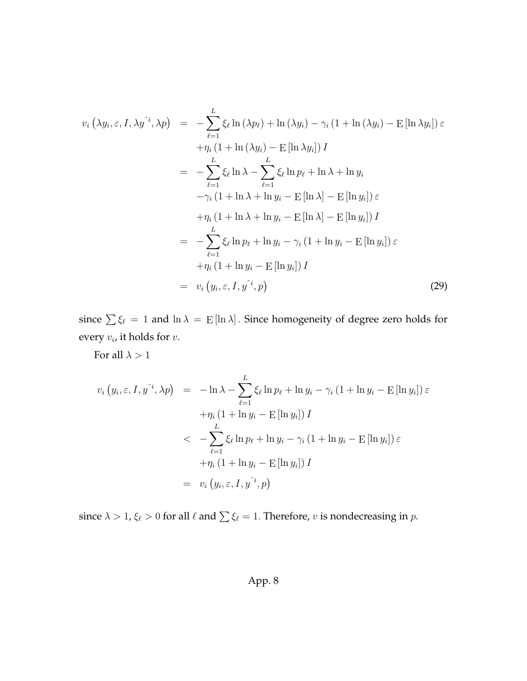$$
v_i(\lambda y_i, \varepsilon, I, \lambda y^{\tilde{i}}, \lambda p) = -\sum_{\ell=1}^L \xi_{\ell} \ln(\lambda p_{\ell}) + \ln(\lambda y_i) - \gamma_i (1 + \ln(\lambda y_i) - \text{E} [\ln \lambda y_i]) \varepsilon
$$
  
+  $\eta_i (1 + \ln(\lambda y_i) - \text{E} [\ln \lambda y_i]) I$   
=  $-\sum_{\ell=1}^L \xi_{\ell} \ln \lambda - \sum_{\ell=1}^L \xi_{\ell} \ln p_{\ell} + \ln \lambda + \ln y_i$   
 $-\gamma_i (1 + \ln \lambda + \ln y_i - \text{E} [\ln \lambda] - \text{E} [\ln y_i]) \varepsilon$   
 $+\eta_i (1 + \ln \lambda + \ln y_i - \text{E} [\ln \lambda] - \text{E} [\ln y_i]) I$   
=  $-\sum_{\ell=1}^L \xi_{\ell} \ln p_{\ell} + \ln y_i - \gamma_i (1 + \ln y_i - \text{E} [\ln y_i]) \varepsilon$   
 $+\eta_i (1 + \ln y_i - \text{E} [\ln y_i]) I$   
=  $v_i (y_i, \varepsilon, I, y^{\tilde{i}}, p)$  (29)

since  $\sum \xi_\ell = 1$  and  $\ln \lambda = \mathrm{E} [\ln \lambda]$ . Since homogeneity of degree zero holds for every  $v_i$ , it holds for  $v$ .

For all  $\lambda > 1$ 

$$
v_i (y_i, \varepsilon, I, y^{\tilde{i}}, \lambda p) = -\ln \lambda - \sum_{\ell=1}^L \xi_\ell \ln p_\ell + \ln y_i - \gamma_i (1 + \ln y_i - \text{E}[\ln y_i]) \varepsilon
$$
  
+ 
$$
\eta_i (1 + \ln y_i - \text{E}[\ln y_i]) I
$$
  

$$
< - \sum_{\ell=1}^L \xi_\ell \ln p_\ell + \ln y_i - \gamma_i (1 + \ln y_i - \text{E}[\ln y_i]) \varepsilon
$$
  
+ 
$$
\eta_i (1 + \ln y_i - \text{E}[\ln y_i]) I
$$
  
= 
$$
v_i (y_i, \varepsilon, I, y^{\tilde{i}}, p)
$$

since  $\lambda > 1$ ,  $\xi_{\ell} > 0$  for all  $\ell$  and  $\sum \xi_{\ell} = 1$ . Therefore, v is nondecreasing in  $p$ .

# App. 8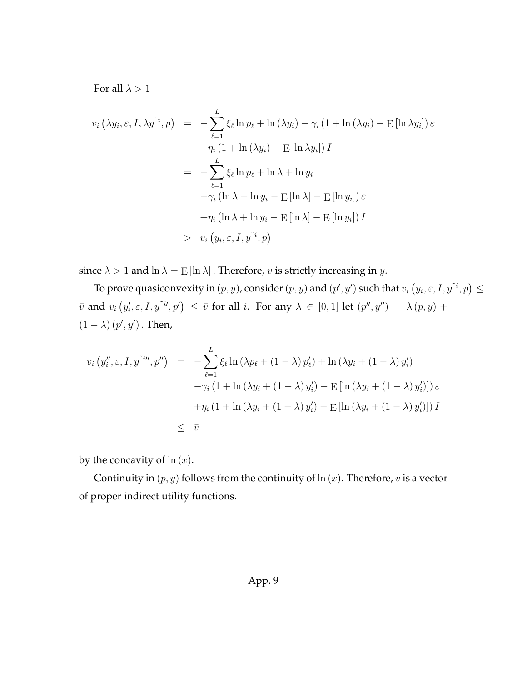For all  $\lambda > 1$ 

$$
v_i(\lambda y_i, \varepsilon, I, \lambda y^{\tilde{i}}, p) = -\sum_{\ell=1}^L \xi_\ell \ln p_\ell + \ln(\lambda y_i) - \gamma_i (1 + \ln(\lambda y_i) - \text{E} [\ln \lambda y_i]) \varepsilon
$$
  
+  $\eta_i (1 + \ln(\lambda y_i) - \text{E} [\ln \lambda y_i]) I$   
=  $-\sum_{\ell=1}^L \xi_\ell \ln p_\ell + \ln \lambda + \ln y_i$   
 $-\gamma_i (\ln \lambda + \ln y_i - \text{E} [\ln \lambda] - \text{E} [\ln y_i]) \varepsilon$   
+  $\eta_i (\ln \lambda + \ln y_i - \text{E} [\ln \lambda] - \text{E} [\ln y_i]) I$   
>  $v_i (y_i, \varepsilon, I, y^{\tilde{i}}, p)$ 

since  $\lambda > 1$  and  $\ln \lambda =$   $E[\ln \lambda]$ . Therefore, v is strictly increasing in y.

To prove quasiconvexity in  $(p,y)$ , consider  $(p,y)$  and  $(p',y')$  such that  $v_i$   $\left(y_i,\varepsilon, I, y^{\varepsilon i}, p\right) \leq$  $\bar v$  and  $v_i\left(y'_i,\varepsilon, I, y^{\tilde{\imath}i\prime},p'\right)\,\leq\,\bar v$  for all  $i.$  For any  $\lambda\,\in\,[0,1]$  let  $(p'',y'')\,=\,\lambda\,(p,y)\,+\,1$  $(1 - \lambda)(p', y')$ . Then,

$$
v_i (y_i'', \varepsilon, I, y^{\tilde{\iota}w}, p'') = -\sum_{\ell=1}^L \xi_\ell \ln (\lambda p_\ell + (1 - \lambda) p'_\ell) + \ln (\lambda y_i + (1 - \lambda) y'_i)
$$
  

$$
-\gamma_i (1 + \ln (\lambda y_i + (1 - \lambda) y'_i) - \operatorname{E} [\ln (\lambda y_i + (1 - \lambda) y'_i)]) \varepsilon
$$
  

$$
+\eta_i (1 + \ln (\lambda y_i + (1 - \lambda) y'_i) - \operatorname{E} [\ln (\lambda y_i + (1 - \lambda) y'_i)]) I
$$
  

$$
\leq \overline{v}
$$

by the concavity of  $ln(x)$ .

Continuity in  $(p, y)$  follows from the continuity of  $\ln(x)$ . Therefore, v is a vector of proper indirect utility functions.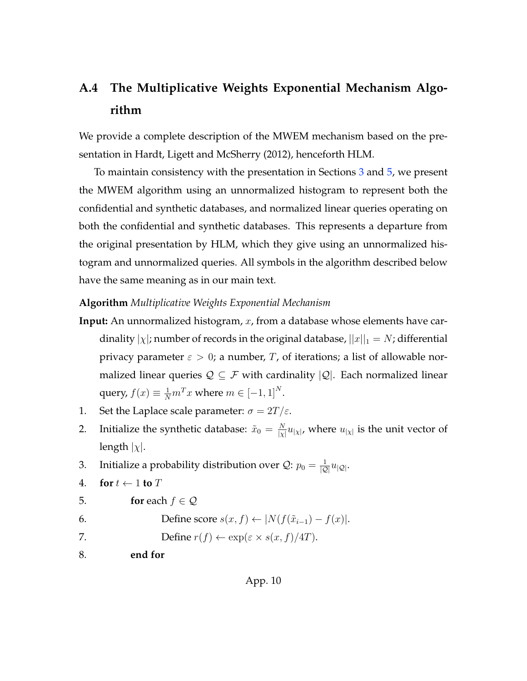# <span id="page-70-0"></span>**A.4 The Multiplicative Weights Exponential Mechanism Algorithm**

We provide a complete description of the MWEM mechanism based on the presentation in [Hardt, Ligett and McSherry](#page-58-0) [\(2012\)](#page-58-0), henceforth HLM.

To maintain consistency with the presentation in Sections [3](#page-16-0) and [5,](#page-30-0) we present the MWEM algorithm using an unnormalized histogram to represent both the confidential and synthetic databases, and normalized linear queries operating on both the confidential and synthetic databases. This represents a departure from the original presentation by HLM, which they give using an unnormalized histogram and unnormalized queries. All symbols in the algorithm described below have the same meaning as in our main text.

#### **Algorithm** *Multiplicative Weights Exponential Mechanism*

- **Input:** An unnormalized histogram, x, from a database whose elements have cardinality  $|\chi|$ ; number of records in the original database,  $||x||_1 = N$ ; differential privacy parameter  $\varepsilon > 0$ ; a number, T, of iterations; a list of allowable normalized linear queries  $Q \subseteq \mathcal{F}$  with cardinality  $|Q|$ . Each normalized linear query,  $f(x) \equiv \frac{1}{N} m^T x$  where  $m \in [-1, 1]^N$ .
- 1. Set the Laplace scale parameter:  $\sigma = 2T/\varepsilon$ .
- 2. Initialize the synthetic database:  $\tilde{x}_0 = \frac{N}{|x|}$  $\frac{N}{|\chi|} u_{|\chi|}$ , where  $u_{|\chi|}$  is the unit vector of length  $|\chi|$ .
- 3. Initialize a probability distribution over  $\mathcal{Q}$ :  $p_0 = \frac{1}{|\mathcal{Q}|} u_{|\mathcal{Q}|}$ .
- 4. **for**  $t \leftarrow 1$  **to**  $T$
- 5. **for** each  $f \in \mathcal{Q}$
- 

6. Define score  $s(x, f) \leftarrow |N(f(\tilde{x}_{i-1}) - f(x))|$ .

- 7. Define  $r(f) \leftarrow \exp(\varepsilon \times s(x, f)/4T)$ .
- 8. **end for**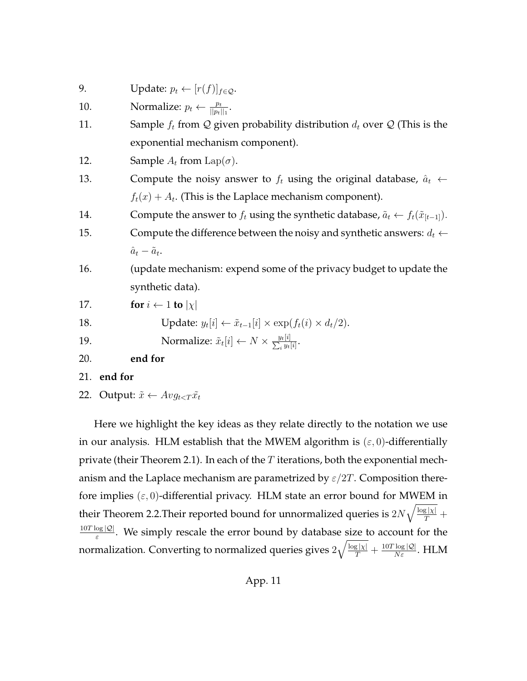9. Update:  $p_t \leftarrow [r(f)]_{f \in \mathcal{Q}}$ . 10. Normalize:  $p_t \leftarrow \frac{p_t}{||p_t||_1}$ . 11. Sample  $f_t$  from  $\mathcal Q$  given probability distribution  $d_t$  over  $\mathcal Q$  (This is the exponential mechanism component). 12. Sample  $A_t$  from Lap( $\sigma$ ). 13. Compute the noisy answer to  $f_t$  using the original database,  $\hat{a}_t \leftarrow$  $f_t(x) + A_t$ . (This is the Laplace mechanism component). 14. Compute the answer to  $f_t$  using the synthetic database,  $\tilde{a}_t \leftarrow f_t(\tilde{x}_{[t-1]})$ . 15. Compute the difference between the noisy and synthetic answers:  $d_t \leftarrow$  $\hat{a}_t - \tilde{a}_t.$ 16. (update mechanism: expend some of the privacy budget to update the synthetic data). 17. **for**  $i \leftarrow 1$  **to**  $|\chi|$ 18. Update:  $y_t[i] \leftarrow \tilde{x}_{t-1}[i] \times \exp(f_t(i) \times d_t/2).$ 19. Normalize:  $\tilde{x}_t[i] \leftarrow N \times \frac{y_t[i]}{\sum_i y_t}$  $\frac{y_t[i]}{y_t[i]}.$ 20. **end for** 21. **end for**

22. Output:  $\tilde{x} \leftarrow Avg_{t < T} \tilde{x}_t$ 

Here we highlight the key ideas as they relate directly to the notation we use in our analysis. HLM establish that the MWEM algorithm is  $(\varepsilon, 0)$ -differentially private (their Theorem 2.1). In each of the  $T$  iterations, both the exponential mechanism and the Laplace mechanism are parametrized by  $\varepsilon/2T$ . Composition therefore implies  $(\varepsilon, 0)$ -differential privacy. HLM state an error bound for MWEM in their Theorem 2.2. Their reported bound for unnormalized queries is  $2N\sqrt{\frac{\log |x|}{T}} +$  $10T \log |\mathcal{Q}|$  $\frac{\log |\mathcal{Q}|}{\varepsilon}$ . We simply rescale the error bound by database size to account for the normalization. Converting to normalized queries gives  $2\sqrt{\frac{\log |\chi|}{T}} + \frac{10T\log |\mathcal{Q}|}{N\varepsilon}.$   ${\rm HLM}$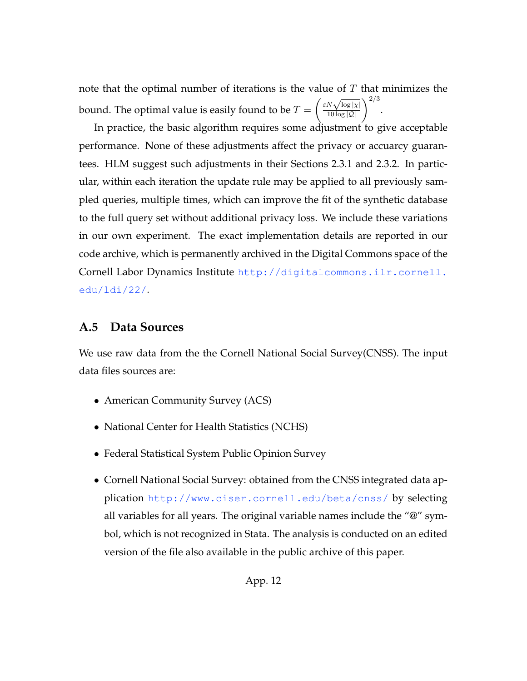note that the optimal number of iterations is the value of  $T$  that minimizes the bound. The optimal value is easily found to be  $T=\emptyset$  $\left(\frac{\varepsilon N\sqrt{\log |\chi|}}{10\log |Q|}\right)^{2/3}$ .

In practice, the basic algorithm requires some adjustment to give acceptable performance. None of these adjustments affect the privacy or accuarcy guarantees. HLM suggest such adjustments in their Sections 2.3.1 and 2.3.2. In particular, within each iteration the update rule may be applied to all previously sampled queries, multiple times, which can improve the fit of the synthetic database to the full query set without additional privacy loss. We include these variations in our own experiment. The exact implementation details are reported in our code archive, which is permanently archived in the Digital Commons space of the Cornell Labor Dynamics Institute [http://digitalcommons.ilr.cornell.](http://digitalcommons.ilr.cornell.edu/ldi/22/) [edu/ldi/22/](http://digitalcommons.ilr.cornell.edu/ldi/22/).

## **A.5 Data Sources**

We use raw data from the the Cornell National Social Survey(CNSS). The input data files sources are:

- American Community Survey (ACS)
- National Center for Health Statistics (NCHS)
- Federal Statistical System Public Opinion Survey
- Cornell National Social Survey: obtained from the CNSS integrated data application <http://www.ciser.cornell.edu/beta/cnss/> by selecting all variables for all years. The original variable names include the "@" symbol, which is not recognized in Stata. The analysis is conducted on an edited version of the file also available in the public archive of this paper.